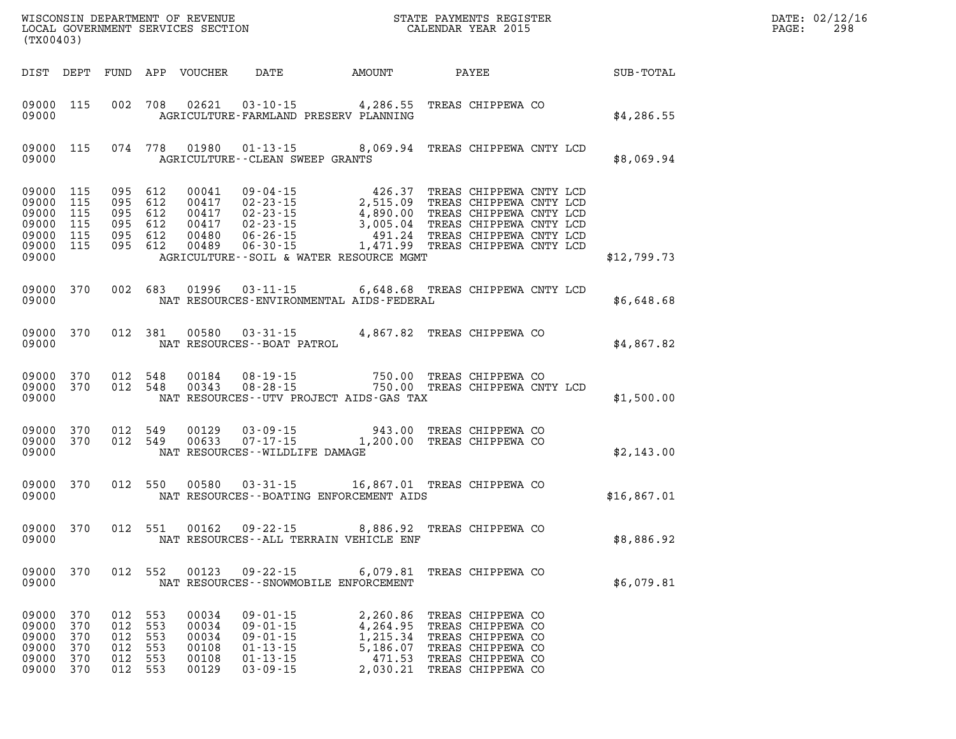| $\mathtt{DATE}$ : | 02/12/16 |
|-------------------|----------|
| PAGE:             | 298      |

| (TX00403)                                                 |                                        |                                        |                                        |                                                    |                                                                                                          | WISCONSIN DEPARTMENT OF REVENUE<br>LOCAL GOVERNMENT SERVICES SECTION<br>CALENDAR YEAR 2015                                                                                                                                                                                      |                                                                                                                            | $\mathbb{R}^n$<br>DATE: 02/12/1<br>$\mathtt{PAGE}$ : |  |  |
|-----------------------------------------------------------|----------------------------------------|----------------------------------------|----------------------------------------|----------------------------------------------------|----------------------------------------------------------------------------------------------------------|---------------------------------------------------------------------------------------------------------------------------------------------------------------------------------------------------------------------------------------------------------------------------------|----------------------------------------------------------------------------------------------------------------------------|------------------------------------------------------|--|--|
|                                                           |                                        |                                        |                                        |                                                    |                                                                                                          | DIST DEPT FUND APP VOUCHER DATE AMOUNT PAYEE SUB-TOTAL                                                                                                                                                                                                                          |                                                                                                                            |                                                      |  |  |
| 09000                                                     | 09000 115                              |                                        |                                        |                                                    |                                                                                                          | 002 708 02621 03-10-15 4,286.55 TREAS CHIPPEWA CO<br>AGRICULTURE-FARMLAND PRESERV PLANNING                                                                                                                                                                                      |                                                                                                                            | \$4,286.55                                           |  |  |
| 09000                                                     | 09000 115                              |                                        |                                        |                                                    | AGRICULTURE -- CLEAN SWEEP GRANTS                                                                        | 074 778 01980 01-13-15 8,069.94 TREAS CHIPPEWA CNTY LCD                                                                                                                                                                                                                         |                                                                                                                            | \$8,069.94                                           |  |  |
| 09000 115<br>09000 115<br>09000 115<br>09000 115<br>09000 | 09000 115<br>09000 115                 | 095 612                                |                                        |                                                    |                                                                                                          | 095 612 00041 09-04-15 426.37 TREAS CHIPPEWA CNTY LCD<br>095 612 00417 02-23-15 2,515.09 TREAS CHIPPEWA CNTY LCD<br>095 612 00417 02-23-15 4,890.00 TREAS CHIPPEWA CNTY LCD<br>095 612 00489 06-26-15 1,471.99 TREAS CHIPPEWA CNTY L<br>AGRICULTURE--SOIL & WATER RESOURCE MGMT |                                                                                                                            | \$12,799.73                                          |  |  |
| 09000                                                     | 09000 370                              |                                        |                                        |                                                    |                                                                                                          | 002 683 01996 03-11-15 6,648.68 TREAS CHIPPEWA CNTY LCD<br>NAT RESOURCES-ENVIRONMENTAL AIDS-FEDERAL                                                                                                                                                                             |                                                                                                                            | \$6,648.68                                           |  |  |
| 09000                                                     | 09000 370                              |                                        |                                        |                                                    | NAT RESOURCES - - BOAT PATROL                                                                            | 012 381 00580 03-31-15 4,867.82 TREAS CHIPPEWA CO                                                                                                                                                                                                                               |                                                                                                                            | \$4,867.82                                           |  |  |
| 09000                                                     | 09000 370<br>09000 370                 |                                        |                                        |                                                    |                                                                                                          | 012 548 00184 08-19-15 750.00 TREAS CHIPPEWA CO<br>012 548 00343 08-28-15 750.00 TREAS CHIPPEWA CNTY LCD<br>NAT RESOURCES--UTV PROJECT AIDS-GAS TAX                                                                                                                             |                                                                                                                            | \$1,500.00                                           |  |  |
| 09000                                                     |                                        |                                        |                                        |                                                    | NAT RESOURCES--WILDLIFE DAMAGE                                                                           | 09000 370 012 549 00129 03-09-15 943.00 TREAS CHIPPEWA CO<br>09000 370 012 549 00633 07-17-15 1,200.00 TREAS CHIPPEWA CO                                                                                                                                                        |                                                                                                                            | \$2,143.00                                           |  |  |
| 09000                                                     | 09000 370                              |                                        |                                        |                                                    |                                                                                                          | 012 550 00580 03-31-15 16,867.01 TREAS CHIPPEWA CO<br>NAT RESOURCES--BOATING ENFORCEMENT AIDS                                                                                                                                                                                   |                                                                                                                            | \$16,867.01                                          |  |  |
| 09000                                                     | 09000 370                              |                                        |                                        |                                                    |                                                                                                          | 012 551 00162 09-22-15 8,886.92 TREAS CHIPPEWA CO<br>NAT RESOURCES--ALL TERRAIN VEHICLE ENF                                                                                                                                                                                     |                                                                                                                            | \$8,886.92                                           |  |  |
| 09000<br>09000                                            | 370                                    | 012                                    | 552                                    | 00123                                              | $09 - 22 - 15$                                                                                           | 6,079.81<br>NAT RESOURCES - - SNOWMOBILE ENFORCEMENT                                                                                                                                                                                                                            | TREAS CHIPPEWA CO                                                                                                          | \$6,079.81                                           |  |  |
| 09000<br>09000<br>09000<br>09000<br>09000<br>09000        | 370<br>370<br>370<br>370<br>370<br>370 | 012<br>012<br>012<br>012<br>012<br>012 | 553<br>553<br>553<br>553<br>553<br>553 | 00034<br>00034<br>00034<br>00108<br>00108<br>00129 | $09 - 01 - 15$<br>$09 - 01 - 15$<br>$09 - 01 - 15$<br>$01 - 13 - 15$<br>$01 - 13 - 15$<br>$03 - 09 - 15$ | 2,260.86<br>4,264.95<br>1,215.34<br>5,186.07<br>471.53<br>2,030.21                                                                                                                                                                                                              | TREAS CHIPPEWA CO<br>TREAS CHIPPEWA CO<br>TREAS CHIPPEWA CO<br>TREAS CHIPPEWA CO<br>TREAS CHIPPEWA CO<br>TREAS CHIPPEWA CO |                                                      |  |  |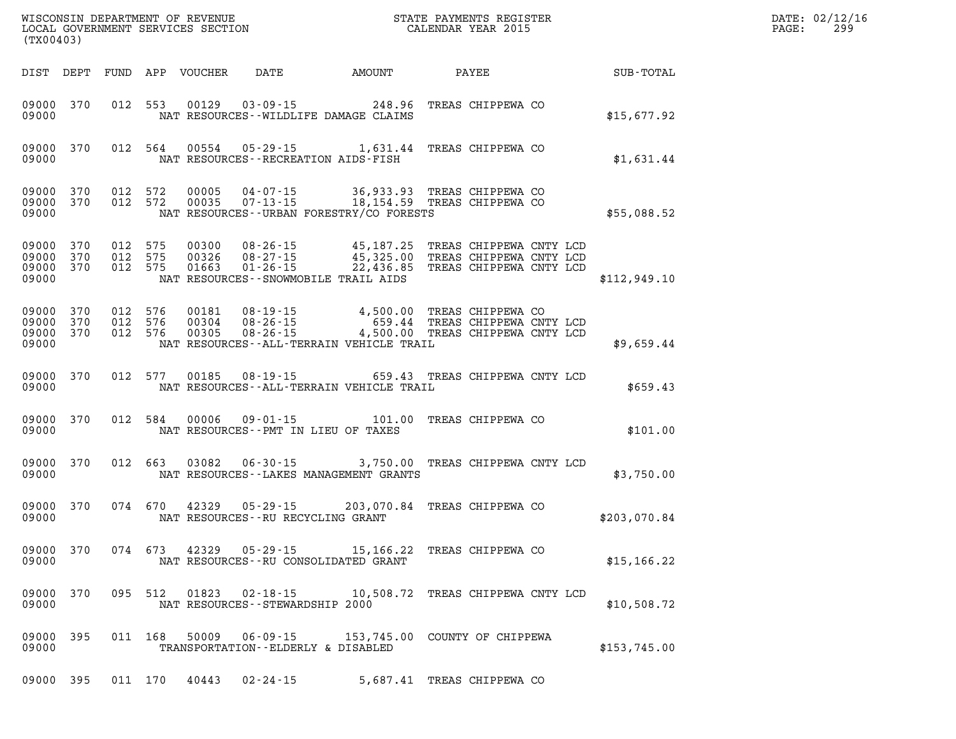| (TX00403)                                |                        |                               |                         |                                                      |                                                                                                                                                                                                 |       |                         |                                               | DATE: 02/12/16<br>PAGE:<br>299 |
|------------------------------------------|------------------------|-------------------------------|-------------------------|------------------------------------------------------|-------------------------------------------------------------------------------------------------------------------------------------------------------------------------------------------------|-------|-------------------------|-----------------------------------------------|--------------------------------|
|                                          |                        |                               |                         | DIST DEPT FUND APP VOUCHER DATE AMOUNT               |                                                                                                                                                                                                 | PAYEE |                         | $\operatorname{SUB}$ - $\operatorname{TOTAL}$ |                                |
| 09000 370<br>09000                       |                        |                               |                         |                                                      | 012 553 00129 03-09-15 248.96<br>NAT RESOURCES - WILDLIFE DAMAGE CLAIMS                                                                                                                         |       | TREAS CHIPPEWA CO       | \$15,677.92                                   |                                |
| 09000                                    |                        |                               |                         | NAT RESOURCES - - RECREATION AIDS - FISH             | 09000 370 012 564 00554 05-29-15 1,631.44 TREAS CHIPPEWA CO                                                                                                                                     |       |                         | \$1,631.44                                    |                                |
| 09000                                    | 09000 370<br>09000 370 | 012 572<br>012 572            |                         |                                                      | 00005  04-07-15  36,933.93 TREAS CHIPPEWA CO<br>00035  07-13-15  18,154.59 TREAS CHIPPEWA CO<br>NAT RESOURCES--URBAN FORESTRY/CO FORESTS                                                        |       |                         | \$55,088.52                                   |                                |
| 09000 370<br>09000<br>09000 370<br>09000 | 370                    | 012 575<br>012 575<br>012 575 |                         | NAT RESOURCES - - SNOWMOBILE TRAIL AIDS              | 00300  08-26-15  45,187.25  TREAS CHIPPEWA CNTY LCD<br>00326  08-27-15  45,325.00  TREAS CHIPPEWA CNTY LCD<br>01663  01-26-15  22,436.85  TREAS CHIPPEWA CNTY LCD                               |       |                         | \$112,949.10                                  |                                |
| 09000 370<br>09000<br>09000 370<br>09000 | 370                    | 012 576<br>012 576<br>012 576 |                         |                                                      | 00181  08-19-15  4,500.00 TREAS CHIPPEWA CO<br>00304  08-26-15  659.44 TREAS CHIPPEWA CNTY LCD<br>00305  08-26-15  4,500.00 TREAS CHIPPEWA CNTY LCD<br>NAT RESOURCES--ALL-TERRAIN VEHICLE TRAIL |       |                         | \$9.659.44                                    |                                |
| 09000                                    | 09000 370              |                               |                         |                                                      | 012 577 00185 08-19-15 659.43 TREAS CHIPPEWA CNTY LCD<br>NAT RESOURCES--ALL-TERRAIN VEHICLE TRAIL                                                                                               |       |                         | \$659.43                                      |                                |
| 09000                                    | 09000 370              |                               |                         | NAT RESOURCES--PMT IN LIEU OF TAXES                  | 012 584 00006 09-01-15 101.00 TREAS CHIPPEWA CO                                                                                                                                                 |       |                         | \$101.00                                      |                                |
| 09000                                    | 09000 370              |                               |                         |                                                      | 012 663 03082 06-30-15 3,750.00 TREAS CHIPPEWA CNTY LCD<br>NAT RESOURCES--LAKES MANAGEMENT GRANTS                                                                                               |       |                         | \$3,750.00                                    |                                |
| 09000                                    | 09000 370              |                               |                         | NAT RESOURCES--RU RECYCLING GRANT                    | 074 670 42329 05-29-15 203,070.84 TREAS CHIPPEWA CO                                                                                                                                             |       |                         | \$203,070.84                                  |                                |
| 09000                                    |                        |                               | 09000 370 074 673 42329 | 05-29-15<br>NAT RESOURCES--RU CONSOLIDATED GRANT     | 15,166.22 TREAS CHIPPEWA CO                                                                                                                                                                     |       |                         | \$15, 166.22                                  |                                |
| 09000 370<br>09000                       |                        | 095 512                       | 01823                   | 02-18-15<br>NAT RESOURCES - - STEWARDSHIP 2000       | 10,508.72                                                                                                                                                                                       |       | TREAS CHIPPEWA CNTY LCD | \$10,508.72                                   |                                |
| 09000 395<br>09000                       |                        | 011 168                       | 50009                   | $06 - 09 - 15$<br>TRANSPORTATION--ELDERLY & DISABLED | 153,745.00 COUNTY OF CHIPPEWA                                                                                                                                                                   |       |                         | \$153,745.00                                  |                                |

**09000 395 011 170 40443 02-24-15 5,687.41 TREAS CHIPPEWA CO**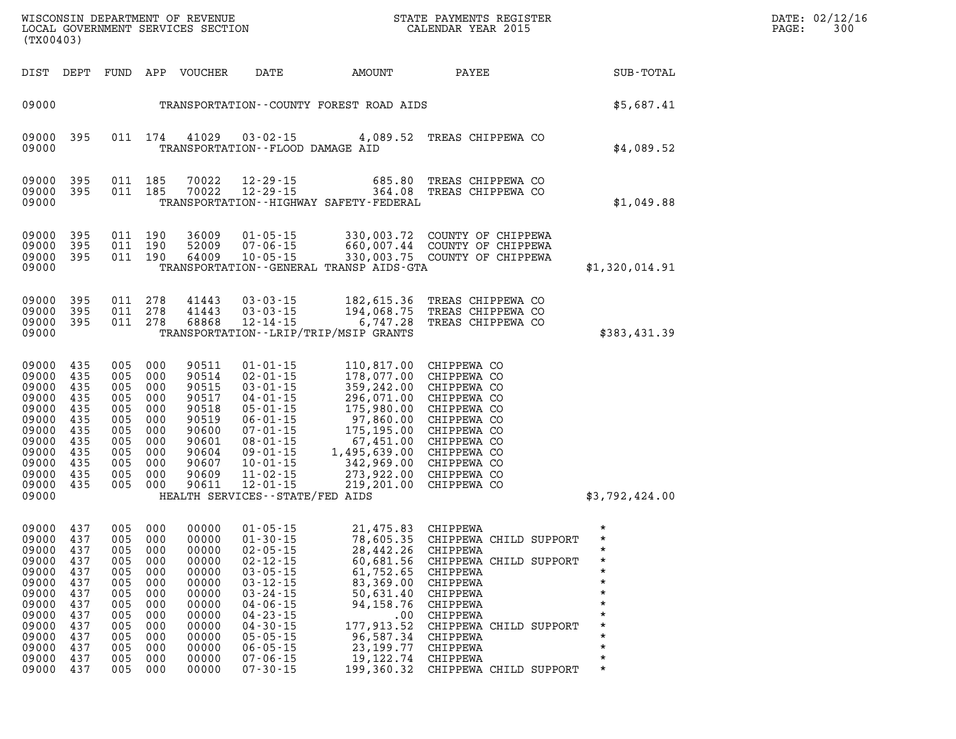| (TX00403)                                                                                                                      |                                                                                         |                                                                                                    |                                                                                         | WISCONSIN DEPARTMENT OF REVENUE<br>LOCAL GOVERNMENT SERVICES SECTION                                                       |                                                                                                                                                                                                                                                          | STATE PAYMENTS REGISTER<br>CALENDAR YEAR 2015                                                                                                                                                |                                                                                                                                                                                                    |                                                                          |
|--------------------------------------------------------------------------------------------------------------------------------|-----------------------------------------------------------------------------------------|----------------------------------------------------------------------------------------------------|-----------------------------------------------------------------------------------------|----------------------------------------------------------------------------------------------------------------------------|----------------------------------------------------------------------------------------------------------------------------------------------------------------------------------------------------------------------------------------------------------|----------------------------------------------------------------------------------------------------------------------------------------------------------------------------------------------|----------------------------------------------------------------------------------------------------------------------------------------------------------------------------------------------------|--------------------------------------------------------------------------|
| DIST                                                                                                                           | DEPT                                                                                    | FUND                                                                                               | APP                                                                                     | VOUCHER                                                                                                                    | DATE                                                                                                                                                                                                                                                     | AMOUNT                                                                                                                                                                                       | PAYEE                                                                                                                                                                                              | SUB-TOTAL                                                                |
| 09000                                                                                                                          |                                                                                         |                                                                                                    |                                                                                         |                                                                                                                            |                                                                                                                                                                                                                                                          | TRANSPORTATION--COUNTY FOREST ROAD AIDS                                                                                                                                                      |                                                                                                                                                                                                    | \$5,687.41                                                               |
| 09000<br>09000                                                                                                                 | 395                                                                                     | 011                                                                                                | 174                                                                                     | 41029                                                                                                                      | $03 - 02 - 15$<br>TRANSPORTATION -- FLOOD DAMAGE AID                                                                                                                                                                                                     |                                                                                                                                                                                              | 4,089.52 TREAS CHIPPEWA CO                                                                                                                                                                         | \$4,089.52                                                               |
| 09000<br>09000<br>09000                                                                                                        | 395<br>395                                                                              | 011<br>011                                                                                         | 185<br>185                                                                              | 70022<br>70022                                                                                                             | $12 - 29 - 15$<br>$12 - 29 - 15$                                                                                                                                                                                                                         | 685.80<br>364.08<br>TRANSPORTATION - - HIGHWAY SAFETY - FEDERAL                                                                                                                              | TREAS CHIPPEWA CO<br>TREAS CHIPPEWA CO                                                                                                                                                             | \$1,049.88                                                               |
| 09000<br>09000<br>09000<br>09000                                                                                               | 395<br>395<br>395                                                                       | 011<br>011<br>011                                                                                  | 190<br>190<br>190                                                                       | 36009<br>52009<br>64009                                                                                                    | $01 - 05 - 15$<br>$07 - 06 - 15$<br>$10 - 05 - 15$                                                                                                                                                                                                       | 330,003.72<br>TRANSPORTATION - - GENERAL TRANSP AIDS - GTA                                                                                                                                   | COUNTY OF CHIPPEWA<br>660,007.44 COUNTY OF CHIPPEWA<br>330,003.75 COUNTY OF CHIPPEWA                                                                                                               | \$1,320,014.91                                                           |
| 09000<br>09000<br>09000<br>09000                                                                                               | 395<br>395<br>395                                                                       | 011<br>011<br>011                                                                                  | 278<br>278<br>278                                                                       | 41443<br>41443<br>68868                                                                                                    | $03 - 03 - 15$<br>$03 - 03 - 15$<br>$12 - 14 - 15$                                                                                                                                                                                                       | 182,615.36<br>194,068.75<br>6,747.28<br>TRANSPORTATION - - LRIP/TRIP/MSIP GRANTS                                                                                                             | TREAS CHIPPEWA CO<br>TREAS CHIPPEWA CO<br>TREAS CHIPPEWA CO                                                                                                                                        | \$383,431.39                                                             |
| 09000<br>09000<br>09000<br>09000<br>09000<br>09000<br>09000<br>09000<br>09000<br>09000<br>09000<br>09000<br>09000              | 435<br>435<br>435<br>435<br>435<br>435<br>435<br>435<br>435<br>435<br>435<br>435        | 005<br>005<br>005<br>005<br>005<br>005<br>005<br>005<br>005<br>005<br>005<br>005                   | 000<br>000<br>000<br>000<br>000<br>000<br>000<br>000<br>000<br>000<br>000<br>000        | 90511<br>90514<br>90515<br>90517<br>90518<br>90519<br>90600<br>90601<br>90604<br>90607<br>90609<br>90611                   | $01 - 01 - 15$<br>$02 - 01 - 15$<br>$03 - 01 - 15$<br>$04 - 01 - 15$<br>$05 - 01 - 15$<br>$06 - 01 - 15$<br>$07 - 01 - 15$<br>$08 - 01 - 15$<br>$09 - 01 - 15$<br>$10 - 01 - 15$<br>$11 - 02 - 15$<br>$12 - 01 - 15$<br>HEALTH SERVICES--STATE/FED AIDS  | 110,817.00<br>178,077.00<br>359,242.00<br>296,071.00<br>175,980.00<br>97,860.00<br>175,195.00<br>67,451.00<br>1,495,639.00<br>342,969.00<br>273,922.00<br>219,201.00                         | CHIPPEWA CO<br>CHIPPEWA CO<br>CHIPPEWA CO<br>CHIPPEWA CO<br>CHIPPEWA CO<br>CHIPPEWA CO<br>CHIPPEWA CO<br>CHIPPEWA CO<br>CHIPPEWA CO<br>CHIPPEWA CO<br>CHIPPEWA CO<br>CHIPPEWA CO                   | \$3,792,424.00                                                           |
| 09000<br>09000<br>09000 437<br>09000<br>09000<br>09000<br>09000<br>09000<br>09000<br>09000<br>09000<br>09000<br>09000<br>09000 | 437<br>437<br>437<br>437<br>437<br>437<br>437<br>437<br>437<br>437<br>437<br>437<br>437 | 005<br>005<br>005 000<br>005<br>005<br>005<br>005<br>005<br>005<br>005<br>005<br>005<br>005<br>005 | 000<br>000<br>000<br>000<br>000<br>000<br>000<br>000<br>000<br>000<br>000<br>000<br>000 | 00000<br>00000<br>00000<br>00000<br>00000<br>00000<br>00000<br>00000<br>00000<br>00000<br>00000<br>00000<br>00000<br>00000 | $01 - 05 - 15$<br>$01 - 30 - 15$<br>$02 - 05 - 15$<br>$02 - 12 - 15$<br>$03 - 05 - 15$<br>$03 - 12 - 15$<br>$03 - 24 - 15$<br>$04 - 06 - 15$<br>$04 - 23 - 15$<br>$04 - 30 - 15$<br>$05 - 05 - 15$<br>$06 - 05 - 15$<br>$07 - 06 - 15$<br>$07 - 30 - 15$ | 21,475.83 CHIPPEWA<br>78,605.35<br>28,442.26 CHIPPEWA<br>61,752.65 CHIPPEWA<br>83,369.00<br>50,631.40<br>94,158.76<br>.00<br>177,913.52<br>96,587.34<br>23,199.77<br>19,122.74<br>199,360.32 | CHIPPEWA CHILD SUPPORT<br>60,681.56 CHIPPEWA CHILD SUPPORT<br>CHIPPEWA<br>CHIPPEWA<br>CHIPPEWA<br>CHIPPEWA<br>CHIPPEWA CHILD SUPPORT<br>CHIPPEWA<br>CHIPPEWA<br>CHIPPEWA<br>CHIPPEWA CHILD SUPPORT | $^\star$<br>$\star$<br>*<br>*<br>*<br>*<br>$\star$<br>*<br>*<br>$^\star$ |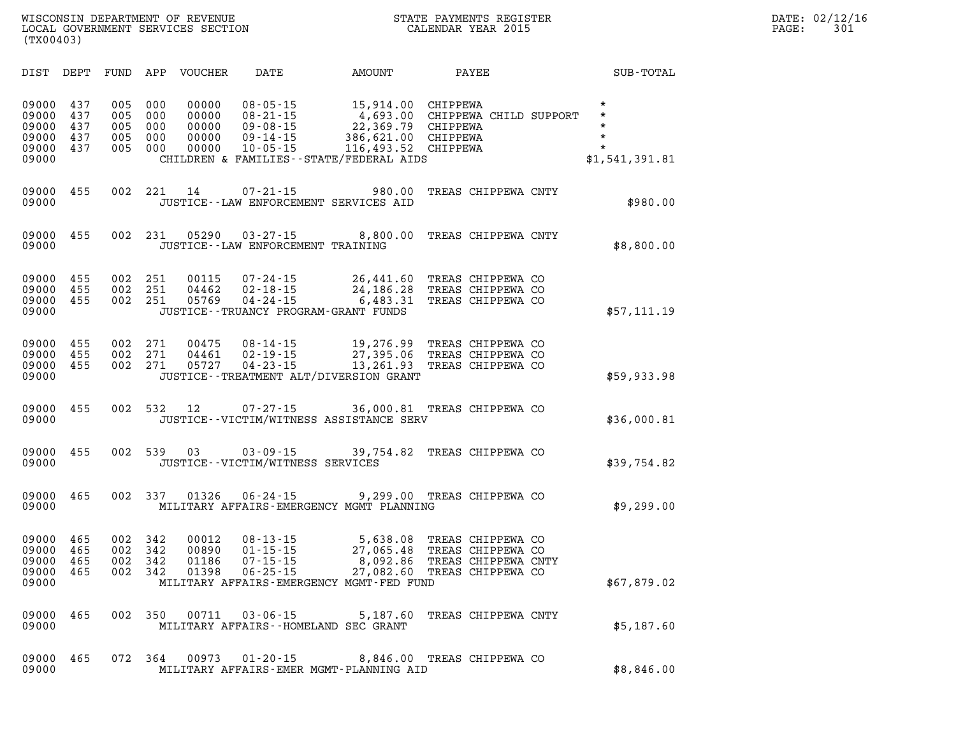| WISCONSIN DEPARTMENT OF REVENUE                | STATE PAYMENTS REGISTER | DATE: 02/12/16 |
|------------------------------------------------|-------------------------|----------------|
| LOCAL GOVERNMENT SERVICES SECTION<br>(TX00403) | CALENDAR YEAR 2015      | 301<br>PAGE:   |

| DIST                                               | DEPT                            | FUND                            | APP                             | <b>VOUCHER</b>                            | <b>DATE</b>                                                                            | <b>AMOUNT</b>                                                                                                | PAYEE                                                                                | SUB-TOTAL                                                       |
|----------------------------------------------------|---------------------------------|---------------------------------|---------------------------------|-------------------------------------------|----------------------------------------------------------------------------------------|--------------------------------------------------------------------------------------------------------------|--------------------------------------------------------------------------------------|-----------------------------------------------------------------|
| 09000<br>09000<br>09000<br>09000<br>09000<br>09000 | 437<br>437<br>437<br>437<br>437 | 005<br>005<br>005<br>005<br>005 | 000<br>000<br>000<br>000<br>000 | 00000<br>00000<br>00000<br>00000<br>00000 | $08 - 05 - 15$<br>$08 - 21 - 15$<br>$09 - 08 - 15$<br>$09 - 14 - 15$<br>$10 - 05 - 15$ | 15,914.00<br>4,693.00<br>22,369.79<br>386,621.00<br>116,493.52<br>CHILDREN & FAMILIES - - STATE/FEDERAL AIDS | <b>CHIPPEWA</b><br>CHIPPEWA CHILD SUPPORT<br>CHIPPEWA<br><b>CHIPPEWA</b><br>CHIPPEWA | $\star$<br>$\star$<br>*<br>$\star$<br>$\star$<br>\$1,541,391.81 |
| 09000<br>09000                                     | 455                             | 002                             | 221                             | 14                                        | $07 - 21 - 15$                                                                         | 980.00<br>JUSTICE -- LAW ENFORCEMENT SERVICES AID                                                            | TREAS CHIPPEWA CNTY                                                                  | \$980.00                                                        |
| 09000<br>09000                                     | 455                             | 002                             | 231                             | 05290                                     | $03 - 27 - 15$<br>JUSTICE - - LAW ENFORCEMENT TRAINING                                 | 8,800.00                                                                                                     | TREAS CHIPPEWA CNTY                                                                  | \$8,800.00                                                      |
| 09000<br>09000<br>09000<br>09000                   | 455<br>455<br>455               | 002<br>002<br>002               | 251<br>251<br>251               | 00115<br>04462<br>05769                   | 07-24-15<br>$02 - 18 - 15$<br>$04 - 24 - 15$                                           | 26,441.60<br>24,186.28<br>6,483.31<br>JUSTICE - - TRUANCY PROGRAM - GRANT FUNDS                              | TREAS CHIPPEWA CO<br>TREAS CHIPPEWA CO<br>TREAS CHIPPEWA CO                          | \$57,111.19                                                     |
| 09000<br>09000<br>09000<br>09000                   | 455<br>455<br>455               | 002<br>002<br>002               | 271<br>271<br>271               | 00475<br>04461<br>05727                   | $08 - 14 - 15$<br>$02 - 19 - 15$<br>$04 - 23 - 15$                                     | 19,276.99<br>27,395.06<br>13,261.93<br>JUSTICE - TREATMENT ALT/DIVERSION GRANT                               | TREAS CHIPPEWA CO<br>TREAS CHIPPEWA CO<br>TREAS CHIPPEWA CO                          | \$59,933.98                                                     |
| 09000<br>09000                                     | 455                             | 002                             | 532                             | 12                                        | $07 - 27 - 15$                                                                         | 36,000.81<br>JUSTICE--VICTIM/WITNESS ASSISTANCE SERV                                                         | TREAS CHIPPEWA CO                                                                    | \$36,000.81                                                     |
| 09000<br>09000                                     | 455                             | 002                             | 539                             | 03                                        | $03 - 09 - 15$<br>JUSTICE - - VICTIM/WITNESS SERVICES                                  | 39,754.82                                                                                                    | TREAS CHIPPEWA CO                                                                    | \$39,754.82                                                     |
| 09000<br>09000                                     | 465                             | 002                             | 337                             | 01326                                     | $06 - 24 - 15$                                                                         | 9,299.00<br>MILITARY AFFAIRS-EMERGENCY MGMT PLANNING                                                         | TREAS CHIPPEWA CO                                                                    | \$9,299.00                                                      |
| 09000<br>09000<br>09000<br>09000<br>09000          | 465<br>465<br>465<br>465        | 002<br>002<br>002<br>002        | 342<br>342<br>342<br>342        | 00012<br>00890<br>01186<br>01398          | $08 - 13 - 15$<br>$01 - 15 - 15$<br>$07 - 15 - 15$<br>$06 - 25 - 15$                   | 5,638.08<br>27,065.48<br>8,092.86<br>27,082.60<br>MILITARY AFFAIRS-EMERGENCY MGMT-FED FUND                   | TREAS CHIPPEWA CO<br>TREAS CHIPPEWA CO<br>TREAS CHIPPEWA CNTY<br>TREAS CHIPPEWA CO   | \$67,879.02                                                     |
| 09000<br>09000                                     | 465                             | 002                             | 350                             | 00711                                     | $03 - 06 - 15$                                                                         | 5,187.60<br>MILITARY AFFAIRS -- HOMELAND SEC GRANT                                                           | TREAS CHIPPEWA CNTY                                                                  | \$5,187.60                                                      |
| 09000<br>09000                                     | 465                             | 072                             | 364                             | 00973                                     | $01 - 20 - 15$                                                                         | 8,846.00<br>MILITARY AFFAIRS-EMER MGMT-PLANNING AID                                                          | TREAS CHIPPEWA CO                                                                    | \$8,846.00                                                      |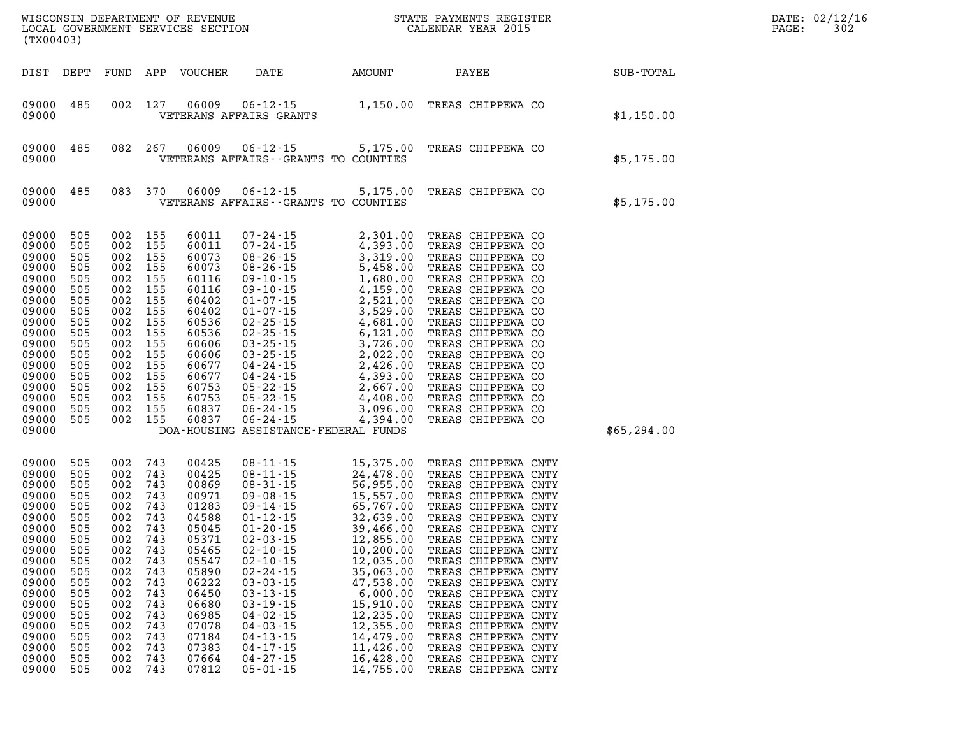| WISCONSIN DEPARTMENT OF REVENUE<br>LOCAL GOVERNMENT SERVICES SECTION TERMS CALENDAR YEAR 2015<br>(TX00403)                                                                           |                                                                                                                                   |                                                                                                                                                                                                    |                                                                    |                                                                                                                                                                         |                                                                                                                                                                                                                                                                                                                                                                                                                                                                                                                           |                                                                                                                                            |       | STATE PAYMENTS REGISTER                                                                                                                                                                                                                                                                                                                                                                                                                           | $R = \frac{1}{2}$ | PAGE: | DATE: 02/12/16<br>302 |
|--------------------------------------------------------------------------------------------------------------------------------------------------------------------------------------|-----------------------------------------------------------------------------------------------------------------------------------|----------------------------------------------------------------------------------------------------------------------------------------------------------------------------------------------------|--------------------------------------------------------------------|-------------------------------------------------------------------------------------------------------------------------------------------------------------------------|---------------------------------------------------------------------------------------------------------------------------------------------------------------------------------------------------------------------------------------------------------------------------------------------------------------------------------------------------------------------------------------------------------------------------------------------------------------------------------------------------------------------------|--------------------------------------------------------------------------------------------------------------------------------------------|-------|---------------------------------------------------------------------------------------------------------------------------------------------------------------------------------------------------------------------------------------------------------------------------------------------------------------------------------------------------------------------------------------------------------------------------------------------------|-------------------|-------|-----------------------|
| DIST DEPT                                                                                                                                                                            |                                                                                                                                   |                                                                                                                                                                                                    |                                                                    | FUND APP VOUCHER                                                                                                                                                        | DATE AMOUNT                                                                                                                                                                                                                                                                                                                                                                                                                                                                                                               |                                                                                                                                            | PAYEE |                                                                                                                                                                                                                                                                                                                                                                                                                                                   | SUB-TOTAL         |       |                       |
| 09000 485<br>09000                                                                                                                                                                   |                                                                                                                                   | 002 127                                                                                                                                                                                            |                                                                    |                                                                                                                                                                         | 06009 $06 - 12 - 15$ $1,150.00$ TREAS CHIPPEWA CO<br>VETERANS AFFAIRS GRANTS                                                                                                                                                                                                                                                                                                                                                                                                                                              |                                                                                                                                            |       |                                                                                                                                                                                                                                                                                                                                                                                                                                                   | \$1,150.00        |       |                       |
| 09000<br>09000                                                                                                                                                                       | 485                                                                                                                               |                                                                                                                                                                                                    | 082 267                                                            | 06009                                                                                                                                                                   | $06 - 12 - 15$<br>VETERANS AFFAIRS -- GRANTS TO COUNTIES                                                                                                                                                                                                                                                                                                                                                                                                                                                                  | 5,175.00 TREAS CHIPPEWA CO                                                                                                                 |       |                                                                                                                                                                                                                                                                                                                                                                                                                                                   | \$5,175.00        |       |                       |
| 09000<br>09000                                                                                                                                                                       | 485                                                                                                                               |                                                                                                                                                                                                    |                                                                    | 083 370 06009                                                                                                                                                           | 06-12-15 5,175.00 TREAS CHIPPEWA CO<br>VETERANS AFFAIRS -- GRANTS TO COUNTIES                                                                                                                                                                                                                                                                                                                                                                                                                                             |                                                                                                                                            |       |                                                                                                                                                                                                                                                                                                                                                                                                                                                   | \$5,175.00        |       |                       |
| 09000<br>09000<br>09000<br>09000<br>09000<br>09000<br>09000<br>09000<br>09000<br>09000<br>09000<br>09000<br>09000<br>09000<br>09000<br>09000<br>09000<br>09000<br>09000              | 505<br>505<br>505<br>505<br>505<br>505<br>505<br>505<br>505<br>505<br>505<br>505<br>505<br>505<br>505<br>505<br>505<br>505        | 002 155<br>002 155<br>002 155<br>002 155<br>002 155<br>002 155<br>002 155<br>002 155<br>002 155<br>002 155<br>002 155<br>002 155<br>002 155<br>002 155<br>002 155<br>002 155<br>002 155<br>002 155 |                                                                    | 60011<br>60011<br>60073<br>60073<br>60116<br>60116<br>60402<br>60402<br>60536<br>60536<br>60606<br>60606<br>60677<br>60677<br>60753<br>60753<br>60837<br>60837          | $\begin{array}{cccc} 07\text{-}24\text{-}15 & 2,301.00 \\ 07\text{-}24\text{-}15 & 4,393.00 \\ 08\text{-}26\text{-}15 & 3,319.00 \\ 08\text{-}26\text{-}15 & 5,458.00 \\ 09\text{-}10\text{-}15 & 4,159.00 \\ 09\text{-}10\text{-}15 & 4,159.00 \\ 01\text{-}07\text{-}15 & 2,521.00 \\ 01\text{-}07\text{-}15 & 3,529.00 \\ 02\text$<br>DOA-HOUSING ASSISTANCE-FEDERAL FUNDS                                                                                                                                             |                                                                                                                                            |       | TREAS CHIPPEWA CO<br>TREAS CHIPPEWA CO<br>TREAS CHIPPEWA CO<br>TREAS CHIPPEWA CO<br>TREAS CHIPPEWA CO<br>TREAS CHIPPEWA CO<br>TREAS CHIPPEWA CO<br>TREAS CHIPPEWA CO<br>TREAS CHIPPEWA CO<br>TREAS CHIPPEWA CO<br>TREAS CHIPPEWA CO<br>TREAS CHIPPEWA CO<br>TREAS CHIPPEWA CO<br>TREAS CHIPPEWA CO<br>TREAS CHIPPEWA CO<br>TREAS CHIPPEWA CO<br>TREAS CHIPPEWA CO<br>TREAS CHIPPEWA CO                                                            | \$65,294.00       |       |                       |
| 09000<br>09000<br>09000<br>09000<br>09000<br>09000<br>09000<br>09000<br>09000 505<br>09000<br>09000<br>09000<br>09000<br>09000<br>09000<br>09000<br>09000<br>09000<br>09000<br>09000 | 505<br>505<br>505<br>505<br>505<br>505<br>505<br>505<br>505<br>505<br>505<br>505<br>505<br>505<br>505<br>505<br>505<br>505<br>505 | 002 743<br>002 743<br>002 743<br>002 743<br>002 743<br>002 743<br>002 743<br>002 743<br>002 743<br>002<br>002<br>002<br>002<br>002<br>002<br>002<br>002<br>002<br>002<br>002 743                   | 743<br>743<br>743<br>743<br>743<br>743<br>743<br>743<br>743<br>743 | 00425<br>00425<br>00869<br>00971<br>01283<br>04588<br>05045<br>05371<br>05547<br>05890<br>06222<br>06450<br>06680<br>06985<br>07078<br>07184<br>07383<br>07664<br>07812 | $\begin{array}{llll} 08\cdot 11\cdot 15 & 15\,, 375\, .\, 00 \\ 08\cdot 11\cdot 15 & 24\,, 478\, .\, 00 \\ 08\cdot 31\cdot 15 & 56\,, 955\, .\, 00 \\ 09\cdot 08\cdot 15 & 15\,, 557\, .\, 00 \\ 09\cdot 14\cdot 15 & 65\,, 767\, .\, 00 \\ 01\cdot 12\cdot 15 & 32\,, 639\, .\, 00 \\ 01\cdot 20\cdot 15 & 39\,, $<br>$02 - 10 - 15$<br>$02 - 24 - 15$<br>$03 - 03 - 15$<br>$03 - 13 - 15$<br>$03 - 19 - 15$<br>$04 - 02 - 15$<br>$04 - 03 - 15$<br>$04 - 13 - 15$<br>$04 - 17 - 15$<br>$04 - 27 - 15$<br>$05 - 01 - 15$ | 12,035.00<br>35,063.00<br>47,538.00<br>6,000.00<br>15,910.00<br>12,235.00<br>12,355.00<br>14,479.00<br>11,426.00<br>16,428.00<br>14,755.00 |       | TREAS CHIPPEWA CNTY<br>TREAS CHIPPEWA CNTY<br>TREAS CHIPPEWA CNTY<br>TREAS CHIPPEWA CNTY<br>TREAS CHIPPEWA CNTY<br>TREAS CHIPPEWA CNTY<br>TREAS CHIPPEWA CNTY<br>TREAS CHIPPEWA CNTY<br>TREAS CHIPPEWA CNTY<br>TREAS CHIPPEWA CNTY<br>TREAS CHIPPEWA CNTY<br>TREAS CHIPPEWA CNTY<br>TREAS CHIPPEWA CNTY<br>TREAS CHIPPEWA CNTY<br>TREAS CHIPPEWA CNTY<br>TREAS CHIPPEWA CNTY<br>TREAS CHIPPEWA CNTY<br>TREAS CHIPPEWA CNTY<br>TREAS CHIPPEWA CNTY |                   |       |                       |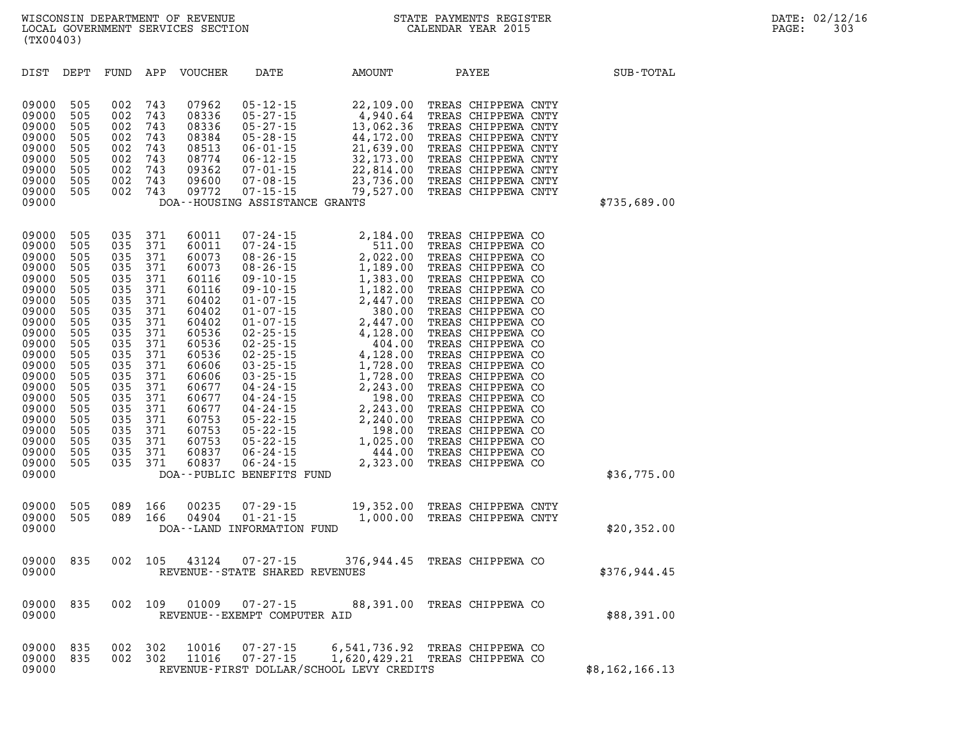|                                                                                                             | (TX00403)                                                                         |                                                                           |                                                                                                                        | WISCONSIN DEPARTMENT OF REVENUE<br>LOCAL GOVERNMENT SERVICES SECTION                                                           |                                                                                                                                                                                                                                   |                                                                                                                                                                                                                                                                                                                                                                                                                                                                                                                    | STATE PAYMENTS REGISTER<br>CALENDAR YEAR 2015                                                                                                                                                                                       |  | DATE: 02/12/16<br>PAGE:<br>303 |  |
|-------------------------------------------------------------------------------------------------------------|-----------------------------------------------------------------------------------|---------------------------------------------------------------------------|------------------------------------------------------------------------------------------------------------------------|--------------------------------------------------------------------------------------------------------------------------------|-----------------------------------------------------------------------------------------------------------------------------------------------------------------------------------------------------------------------------------|--------------------------------------------------------------------------------------------------------------------------------------------------------------------------------------------------------------------------------------------------------------------------------------------------------------------------------------------------------------------------------------------------------------------------------------------------------------------------------------------------------------------|-------------------------------------------------------------------------------------------------------------------------------------------------------------------------------------------------------------------------------------|--|--------------------------------|--|
| DIST                                                                                                        | DEPT                                                                              | FUND                                                                      | APP                                                                                                                    | VOUCHER                                                                                                                        | DATE                                                                                                                                                                                                                              | AMOUNT                                                                                                                                                                                                                                                                                                                                                                                                                                                                                                             | PAYEE                                                                                                                                                                                                                               |  | SUB-TOTAL                      |  |
| 09000<br>09000<br>09000<br>09000<br>09000<br>09000<br>09000<br>09000<br>09000<br>09000                      | 505<br>505<br>505<br>505<br>505<br>505<br>505<br>505<br>505                       | 002<br>002<br>002<br>002<br>002<br>002<br>002<br>002<br>002               | 743<br>743<br>743<br>743<br>743<br>743<br>743<br>743<br>743                                                            | 07962<br>08336<br>08336<br>08384<br>08513<br>08774<br>09362<br>09600<br>09772                                                  | $05 - 12 - 15$<br>$05 - 27 - 15$<br>$05 - 27 - 15$<br>$05 - 28 - 15$<br>$06 - 01 - 15$<br>$06 - 12 - 15$<br>$07 - 01 - 15$<br>$07 - 08 - 15$<br>$07 - 15 - 15$<br>DOA--HOUSING ASSISTANCE GRANTS                                  | 22,109.00<br>4,940.64<br>13,062.36<br>44,172.00<br>21,639.00<br>32,173.00<br>22,814.00<br>79,527.00                                                                                                                                                                                                                                                                                                                                                                                                                | TREAS CHIPPEWA CNTY<br>TREAS CHIPPEWA CNTY<br>TREAS CHIPPEWA CNTY<br>TREAS CHIPPEWA CNTY<br>TREAS CHIPPEWA CNTY<br>TREAS CHIPPEWA CNTY<br>TREAS CHIPPEWA CNTY<br>23,736.00 TREAS CHIPPEWA CNTY<br>TREAS CHIPPEWA CNTY               |  | \$735,689.00                   |  |
| 09000<br>09000<br>09000<br>09000<br>09000<br>09000<br>09000<br>09000<br>09000<br>09000<br>09000<br>$\cdots$ | 505<br>505<br>505<br>505<br>505<br>505<br>505<br>505<br>505<br>505<br>505<br>$ -$ | 035<br>035<br>035<br>035<br>035<br>035<br>035<br>035<br>035<br>035<br>035 | 371<br>371<br>371<br>371<br>371<br>371<br>371<br>371<br>371<br>371<br>371<br>$\sim$ $\sim$ $\sim$ $\sim$ $\sim$ $\sim$ | 60011<br>60011<br>60073<br>60073<br>60116<br>60116<br>60402<br>60402<br>60402<br>60536<br>60536<br>$\sim$ $\sim$ $\sim$ $\sim$ | $07 - 24 - 15$<br>$07 - 24 - 15$<br>$08 - 26 - 15$<br>$08 - 26 - 15$<br>$09 - 10 - 15$<br>$09 - 10 - 15$<br>$01 - 07 - 15$<br>$01 - 07 - 15$<br>$01 - 07 - 15$<br>$02 - 25 - 15$<br>$02 - 25 - 15$<br>$\sim$ $\sim$ $\sim$ $\sim$ | 2,184.00<br>511.00<br>2,022.00<br>1,189.00<br>1,383.00<br>1,182.00<br>2,447.00<br>380.00<br>2,447.00<br>4,128.00<br>404.00<br>$\overline{1}$ $\overline{1}$ $\overline{2}$ $\overline{2}$ $\overline{2}$ $\overline{2}$ $\overline{2}$ $\overline{2}$ $\overline{2}$ $\overline{2}$ $\overline{2}$ $\overline{2}$ $\overline{2}$ $\overline{2}$ $\overline{2}$ $\overline{2}$ $\overline{2}$ $\overline{2}$ $\overline{2}$ $\overline{2}$ $\overline{2}$ $\overline{2}$ $\overline{2}$ $\overline{2}$ $\overline{$ | TREAS CHIPPEWA CO<br>TREAS CHIPPEWA CO<br>TREAS CHIPPEWA CO<br>TREAS CHIPPEWA CO<br>TREAS CHIPPEWA CO<br>TREAS CHIPPEWA CO<br>TREAS CHIPPEWA CO<br>TREAS CHIPPEWA CO<br>TREAS CHIPPEWA CO<br>TREAS CHIPPEWA CO<br>TREAS CHIPPEWA CO |  |                                |  |

| 35,689.00 |  |
|-----------|--|

|                | TREAS CHIPPEWA CO   |       | 2,447.00                                 | $01 - 07 - 15$                 | 60402 | 371 | 035 | 505 | 09000 |
|----------------|---------------------|-------|------------------------------------------|--------------------------------|-------|-----|-----|-----|-------|
|                | TREAS CHIPPEWA CO   |       | 380.00                                   | $01 - 07 - 15$                 | 60402 | 371 | 035 | 505 | 09000 |
|                | TREAS CHIPPEWA CO   |       | 2,447.00                                 | $01 - 07 - 15$                 | 60402 | 371 | 035 | 505 | 09000 |
|                | CHIPPEWA CO         | TREAS | 4,128.00                                 | $02 - 25 - 15$                 | 60536 | 371 | 035 | 505 | 09000 |
|                | TREAS CHIPPEWA CO   |       | 404.00                                   | $02 - 25 - 15$                 | 60536 | 371 | 035 | 505 | 09000 |
|                | TREAS CHIPPEWA CO   |       | 4,128.00                                 | $02 - 25 - 15$                 | 60536 | 371 | 035 | 505 | 09000 |
|                | TREAS CHIPPEWA CO   |       | 1,728.00                                 | $03 - 25 - 15$                 | 60606 | 371 | 035 | 505 | 09000 |
|                | TREAS CHIPPEWA CO   |       | 1,728.00                                 | $03 - 25 - 15$                 | 60606 | 371 | 035 | 505 | 09000 |
|                | TREAS CHIPPEWA CO   |       | 2,243.00                                 | $04 - 24 - 15$                 | 60677 | 371 | 035 | 505 | 09000 |
|                | TREAS CHIPPEWA CO   |       | 198.00                                   | $04 - 24 - 15$                 | 60677 | 371 | 035 | 505 | 09000 |
|                | TREAS CHIPPEWA CO   |       | 2,243.00                                 | $04 - 24 - 15$                 | 60677 | 371 | 035 | 505 | 09000 |
|                | TREAS CHIPPEWA CO   |       | 2,240.00                                 | $05 - 22 - 15$                 | 60753 | 371 | 035 | 505 | 09000 |
|                | TREAS CHIPPEWA CO   |       | 198.00                                   | $05 - 22 - 15$                 | 60753 | 371 | 035 | 505 | 09000 |
|                | TREAS CHIPPEWA CO   |       | 1,025.00                                 | $05 - 22 - 15$                 | 60753 | 371 | 035 | 505 | 09000 |
|                | TREAS CHIPPEWA CO   |       | 444.00                                   | $06 - 24 - 15$                 | 60837 | 371 | 035 | 505 | 09000 |
|                | TREAS CHIPPEWA CO   |       | 2,323.00                                 | $06 - 24 - 15$                 | 60837 | 371 | 035 | 505 | 09000 |
| \$36,775.00    |                     |       |                                          | DOA--PUBLIC BENEFITS FUND      |       |     |     |     | 09000 |
|                |                     |       |                                          |                                |       |     |     |     |       |
|                |                     |       |                                          |                                |       |     |     |     |       |
|                | TREAS CHIPPEWA CNTY |       | 19,352.00                                | $07 - 29 - 15$                 | 00235 | 166 | 089 | 505 | 09000 |
|                | TREAS CHIPPEWA CNTY |       | 1,000.00                                 | $01 - 21 - 15$                 | 04904 | 166 | 089 | 505 | 09000 |
| \$20,352.00    |                     |       |                                          | DOA--LAND INFORMATION FUND     |       |     |     |     | 09000 |
|                |                     |       |                                          |                                |       |     |     |     |       |
|                | TREAS CHIPPEWA CO   |       | 376,944.45                               | $07 - 27 - 15$                 | 43124 | 105 | 002 | 835 | 09000 |
| \$376,944.45   |                     |       |                                          | REVENUE--STATE SHARED REVENUES |       |     |     |     | 09000 |
|                |                     |       |                                          |                                |       |     |     |     |       |
|                |                     |       |                                          |                                |       |     |     |     |       |
|                | TREAS CHIPPEWA CO   |       | 88,391.00                                | $07 - 27 - 15$                 | 01009 | 109 | 002 | 835 | 09000 |
| \$88,391.00    |                     |       |                                          | REVENUE--EXEMPT COMPUTER AID   |       |     |     |     | 09000 |
|                |                     |       |                                          |                                |       |     |     |     |       |
|                |                     |       |                                          |                                |       |     |     |     |       |
|                | TREAS CHIPPEWA CO   |       | 6,541,736.92                             | $07 - 27 - 15$                 | 10016 | 302 | 002 | 835 | 09000 |
|                | TREAS CHIPPEWA CO   |       | 1,620,429.21                             | $07 - 27 - 15$                 | 11016 | 302 | 002 | 835 | 09000 |
| \$8,162,166.13 |                     |       | REVENUE-FIRST DOLLAR/SCHOOL LEVY CREDITS |                                |       |     |     |     | 09000 |
|                |                     |       |                                          |                                |       |     |     |     |       |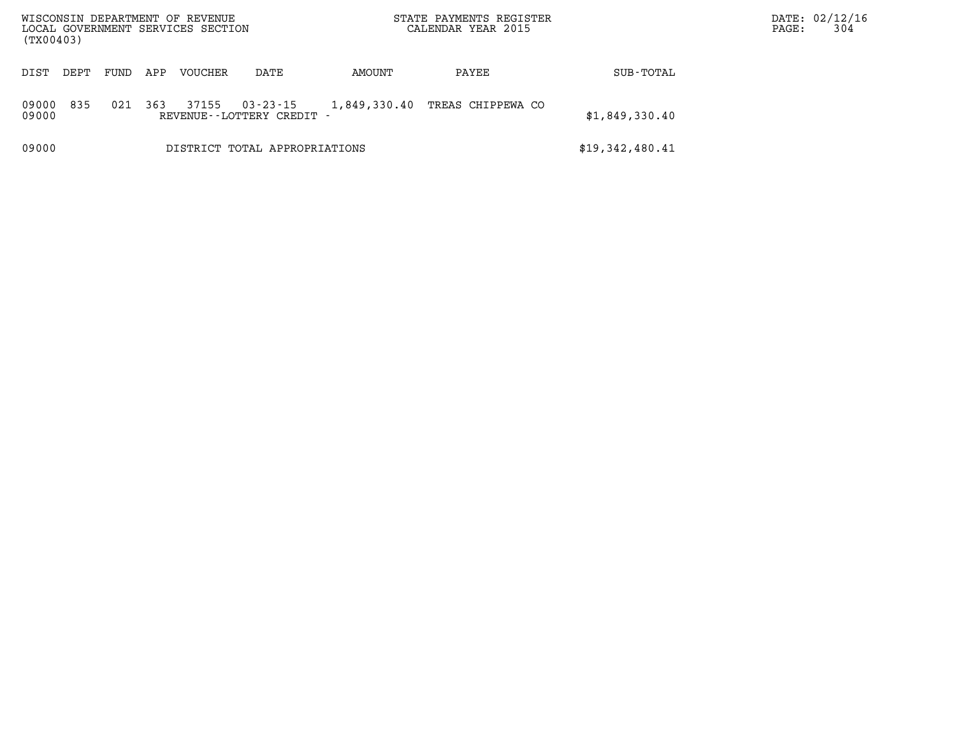| (TX00403)      |      |      |     | WISCONSIN DEPARTMENT OF REVENUE<br>LOCAL GOVERNMENT SERVICES SECTION |                                                |              | STATE PAYMENTS REGISTER<br>CALENDAR YEAR 2015 |                 | DATE: 02/12/16<br>304<br>PAGE: |
|----------------|------|------|-----|----------------------------------------------------------------------|------------------------------------------------|--------------|-----------------------------------------------|-----------------|--------------------------------|
| DIST           | DEPT | FUND | APP | VOUCHER                                                              | DATE                                           | AMOUNT       | PAYEE                                         | SUB-TOTAL       |                                |
| 09000<br>09000 | 835  | 021  | 363 | 37155                                                                | $03 - 23 - 15$<br>REVENUE - - LOTTERY CREDIT - | 1,849,330.40 | TREAS CHIPPEWA CO                             | \$1,849,330.40  |                                |
| 09000          |      |      |     |                                                                      | DISTRICT TOTAL APPROPRIATIONS                  |              |                                               | \$19,342,480.41 |                                |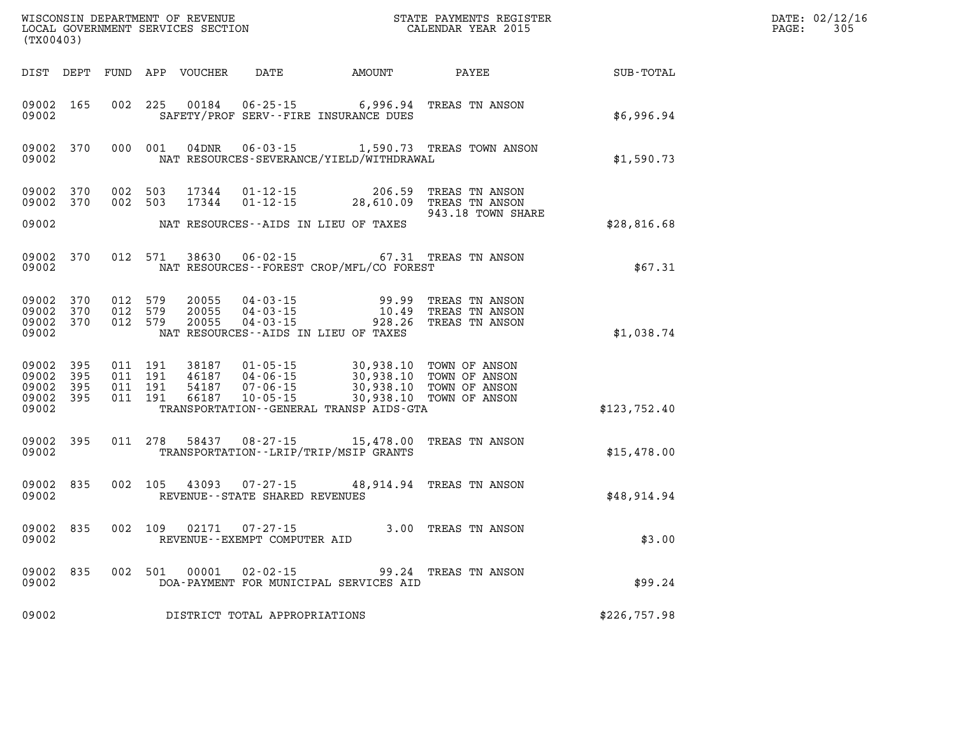| (TX00403)                                     |                     |                                          |         | WISCONSIN DEPARTMENT OF REVENUE<br>LOCAL GOVERNMENT SERVICES SECTION |                                                |                                                                                                                                                                                         | STATE PAYMENTS REGISTER<br>CALENDAR YEAR 2015                   |              | DATE: 02/12/16<br>305<br>PAGE: |
|-----------------------------------------------|---------------------|------------------------------------------|---------|----------------------------------------------------------------------|------------------------------------------------|-----------------------------------------------------------------------------------------------------------------------------------------------------------------------------------------|-----------------------------------------------------------------|--------------|--------------------------------|
|                                               |                     |                                          |         | DIST DEPT FUND APP VOUCHER                                           |                                                | DATE AMOUNT                                                                                                                                                                             | PAYEE                                                           | SUB-TOTAL    |                                |
| 09002 165<br>09002                            |                     | 002 225                                  |         | 00184                                                                |                                                | 06-25-15 6,996.94<br>SAFETY/PROF SERV--FIRE INSURANCE DUES                                                                                                                              | TREAS TN ANSON                                                  | \$6,996.94   |                                |
| 09002                                         | 09002 370           |                                          | 000 001 | 04DNR                                                                |                                                | NAT RESOURCES-SEVERANCE/YIELD/WITHDRAWAL                                                                                                                                                | 06-03-15 1,590.73 TREAS TOWN ANSON                              | \$1,590.73   |                                |
| 09002 370<br>09002 370                        |                     | 002 503<br>002 503                       |         | 17344<br>17344                                                       | 01-12-15<br>01 - 12 - 15<br>01 - 12 - 15       | 206.59                                                                                                                                                                                  | TREAS TN ANSON<br>28,610.09 TREAS TN ANSON<br>943.18 TOWN SHARE |              |                                |
| 09002                                         |                     |                                          |         |                                                                      |                                                | NAT RESOURCES--AIDS IN LIEU OF TAXES                                                                                                                                                    |                                                                 | \$28,816.68  |                                |
| 09002 370<br>09002                            |                     |                                          | 012 571 | 38630                                                                | $06 - 02 - 15$                                 | NAT RESOURCES - - FOREST CROP/MFL/CO FOREST                                                                                                                                             | 67.31 TREAS TN ANSON                                            | \$67.31      |                                |
| 09002 370<br>09002<br>09002 370<br>09002      | 370                 | 012 579<br>012 579<br>012 579            |         | 20055<br>20055<br>20055                                              | $04 - 03 - 15$<br>04 - 03 - 15<br>04 - 03 - 15 | 99.99<br>10.49<br>928.26<br>NAT RESOURCES--AIDS IN LIEU OF TAXES                                                                                                                        | TREAS TN ANSON<br>TREAS TN ANSON<br>TREAS TN ANSON              | \$1,038.74   |                                |
| 09002 395<br>09002<br>09002<br>09002<br>09002 | - 395<br>395<br>395 | 011 191<br>011 191<br>011 191<br>011 191 |         | 38187<br>46187<br>54187<br>66187                                     | 04-06-15<br>$10 - 05 - 15$                     | 01-05-15 30,938.10 TOWN OF ANSON<br>04-06-15 30,938.10 TOWN OF ANSON<br>07-06-15 30,938.10 TOWN OF ANSON<br>10-05-15 30,938.10 TOWN OF ANSON<br>TRANSPORTATION--GENERAL TRANSP AIDS-GTA | 30,938.10 TOWN OF ANSON                                         | \$123,752.40 |                                |
| 09002<br>09002                                | 395                 |                                          | 011 278 |                                                                      |                                                | TRANSPORTATION - - LRIP/TRIP/MSIP GRANTS                                                                                                                                                | 58437 08-27-15 15,478.00 TREAS TN ANSON                         | \$15,478.00  |                                |
| 09002 835<br>09002                            |                     |                                          | 002 105 | 43093                                                                | REVENUE - - STATE SHARED REVENUES              |                                                                                                                                                                                         | 07-27-15 48,914.94 TREAS TN ANSON                               | \$48,914.94  |                                |
| 09002 835<br>09002                            |                     | 002 109                                  |         | 02171                                                                | $07 - 27 - 15$<br>REVENUE--EXEMPT COMPUTER AID |                                                                                                                                                                                         | 3.00 TREAS TN ANSON                                             | \$3.00       |                                |
| 09002 835<br>09002                            |                     |                                          | 002 501 | 00001                                                                | 02-02-15                                       | DOA-PAYMENT FOR MUNICIPAL SERVICES AID                                                                                                                                                  | 99.24 TREAS TN ANSON                                            | \$99.24      |                                |
| 09002                                         |                     |                                          |         |                                                                      | DISTRICT TOTAL APPROPRIATIONS                  |                                                                                                                                                                                         |                                                                 | \$226,757.98 |                                |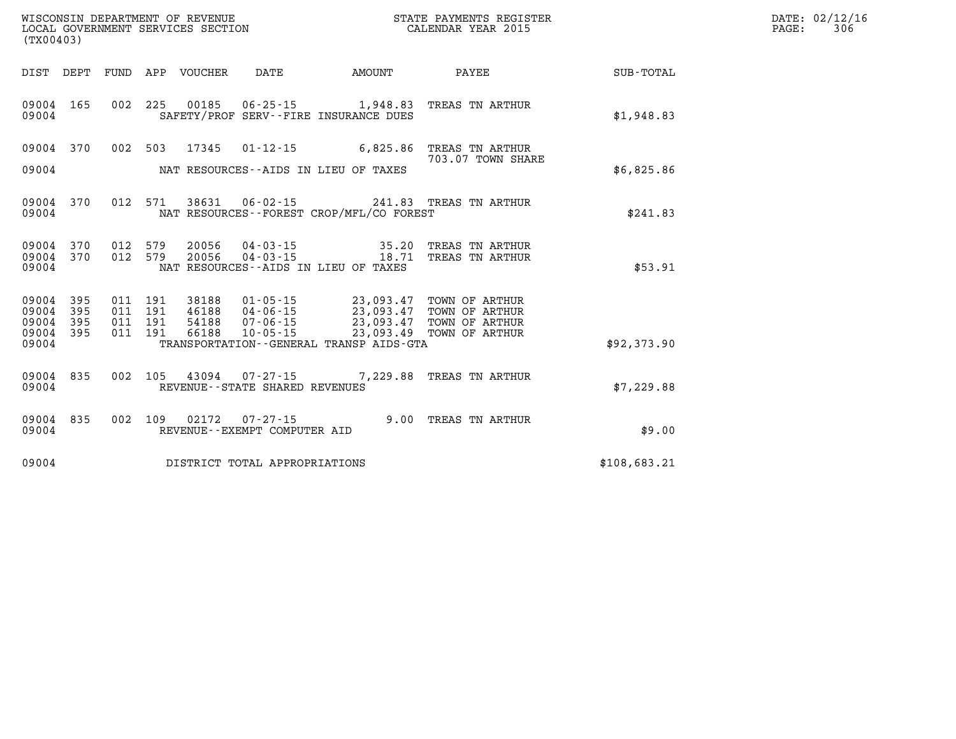| (TX00403)               |                   |                               |         |                                 |                                                        | WISCONSIN DEPARTMENT OF REVENUE<br>LOCAL GOVERNMENT SERVICES SECTION<br>STATE PAYMENTS REGISTER<br>CALENDAR YEAR 2015                  |                                                                      |              | DATE: 02/12/16<br>306<br>$\mathtt{PAGE}$ : |
|-------------------------|-------------------|-------------------------------|---------|---------------------------------|--------------------------------------------------------|----------------------------------------------------------------------------------------------------------------------------------------|----------------------------------------------------------------------|--------------|--------------------------------------------|
|                         |                   |                               |         | DIST DEPT FUND APP VOUCHER DATE |                                                        | <b>AMOUNT</b>                                                                                                                          | <b>PAYEE</b>                                                         | SUB-TOTAL    |                                            |
| 09004                   | 09004 165         |                               |         |                                 |                                                        | SAFETY/PROF SERV--FIRE INSURANCE DUES                                                                                                  | 002 225 00185 06-25-15 1,948.83 TREAS TN ARTHUR                      | \$1,948.83   |                                            |
|                         | 09004 370         |                               |         |                                 |                                                        |                                                                                                                                        | 002 503 17345 01-12-15 6,825.86 TREAS TN ARTHUR<br>703.07 TOWN SHARE |              |                                            |
| 09004                   |                   |                               |         |                                 |                                                        | NAT RESOURCES--AIDS IN LIEU OF TAXES                                                                                                   |                                                                      | \$6,825.86   |                                            |
| 09004                   |                   |                               |         |                                 |                                                        | NAT RESOURCES--FOREST CROP/MFL/CO FOREST                                                                                               | 09004 370 012 571 38631 06-02-15 241.83 TREAS TN ARTHUR              | \$241.83     |                                            |
| 09004 370<br>09004      |                   |                               | 012 579 |                                 | 09004 370 012 579 20056 04-03-15                       | NAT RESOURCES--AIDS IN LIEU OF TAXES                                                                                                   | 35.20 TREAS TN ARTHUR<br>20056  04-03-15  18.71  TREAS TN ARTHUR     | \$53.91      |                                            |
| 09004<br>09004<br>09004 | 395<br>395<br>395 | 011 191<br>011 191<br>011 191 |         |                                 |                                                        | 38188  01-05-15  23,093.47  TOWN OF ARTHUR<br>46188  04-06-15  23,093.47  TOWN OF ARTHUR<br>54188  07-06-15  23,093.47  TOWN OF ARTHUR |                                                                      |              |                                            |
| 09004<br>09004          | 395               |                               | 011 191 |                                 |                                                        | 66188  10-05-15  23,093.49  TOWN OF ARTHUR<br>TRANSPORTATION--GENERAL TRANSP AIDS-GTA                                                  |                                                                      | \$92,373.90  |                                            |
| 09004                   | 09004 835         |                               |         |                                 | REVENUE - - STATE SHARED REVENUES                      |                                                                                                                                        | 002 105 43094 07-27-15 7,229.88 TREAS TN ARTHUR                      | \$7,229.88   |                                            |
| 09004 835<br>09004      |                   |                               |         |                                 | 002 109 02172 07-27-15<br>REVENUE--EXEMPT COMPUTER AID |                                                                                                                                        | 9.00 TREAS TN ARTHUR                                                 | \$9.00       |                                            |
| 09004                   |                   |                               |         |                                 | DISTRICT TOTAL APPROPRIATIONS                          |                                                                                                                                        |                                                                      | \$108,683.21 |                                            |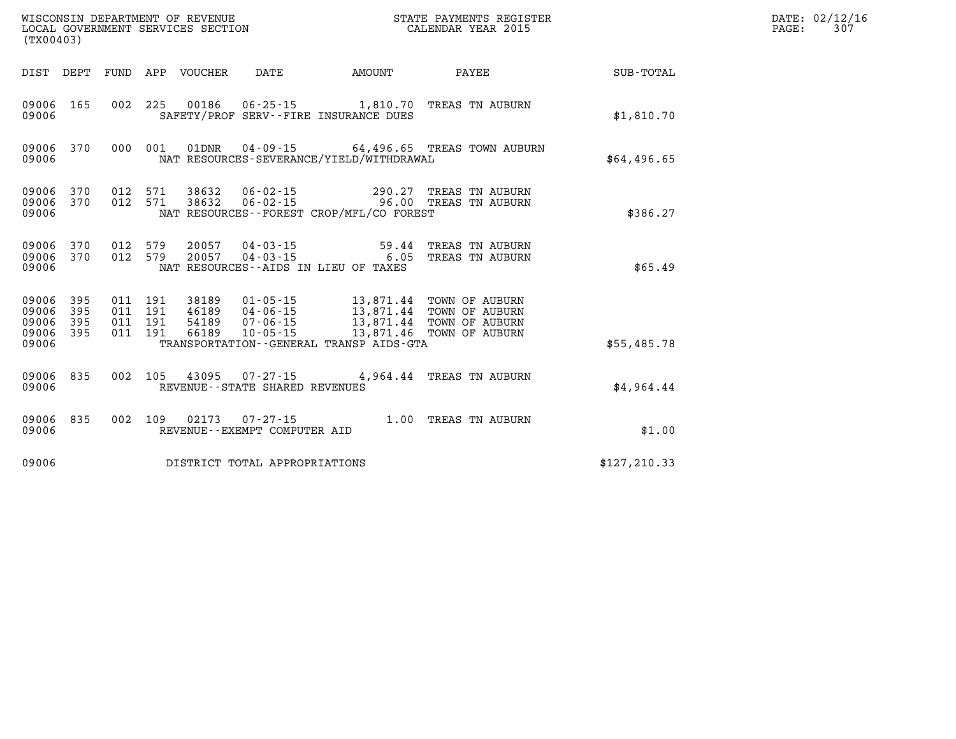| (TX00403)                            |                   |                                          |         | WISCONSIN DEPARTMENT OF REVENUE<br>LOCAL GOVERNMENT SERVICES SECTION |                                                     | STATE PAYMENTS REGISTER<br>CALENDAR YEAR 2015                                                                                                                               |                                                                   |               | DATE: 02/12/16<br>307<br>PAGE: |
|--------------------------------------|-------------------|------------------------------------------|---------|----------------------------------------------------------------------|-----------------------------------------------------|-----------------------------------------------------------------------------------------------------------------------------------------------------------------------------|-------------------------------------------------------------------|---------------|--------------------------------|
|                                      |                   |                                          |         | DIST DEPT FUND APP VOUCHER                                           | DATE                                                | <b>EXAMPLE THE PROPERTY OF A MOUNT</b>                                                                                                                                      | <b>PAYEE</b>                                                      | SUB-TOTAL     |                                |
| 09006 165<br>09006                   |                   |                                          |         |                                                                      |                                                     | SAFETY/PROF SERV--FIRE INSURANCE DUES                                                                                                                                       | 002 225 00186 06-25-15 1,810.70 TREAS TN AUBURN                   | \$1,810.70    |                                |
| 09006 370<br>09006                   |                   |                                          |         |                                                                      |                                                     | NAT RESOURCES-SEVERANCE/YIELD/WITHDRAWAL                                                                                                                                    | 000 001 01DNR 04-09-15 64,496.65 TREAS TOWN AUBURN                | \$64,496.65   |                                |
| 09006 370<br>09006                   | 09006 370         | 012 571<br>012 571                       |         | 38632<br>38632                                                       |                                                     | NAT RESOURCES - - FOREST CROP/MFL/CO FOREST                                                                                                                                 | 06-02-15 290.27 TREAS TN AUBURN<br>06-02-15 96.00 TREAS TN AUBURN | \$386.27      |                                |
| 09006 370<br>09006                   | 09006 370         | 012 579<br>012 579                       |         | 20057<br>20057                                                       | $04 - 03 - 15$<br>$04 - 03 - 15$                    | 59.44<br>NAT RESOURCES--AIDS IN LIEU OF TAXES                                                                                                                               | TREAS TN AUBURN<br>6.05 TREAS TN AUBURN                           | \$65.49       |                                |
| 09006<br>09006<br>09006<br>09006 395 | 395<br>395<br>395 | 011 191<br>011 191<br>011 191<br>011 191 |         | 38189                                                                | 46189 04-06-15                                      | 01-05-15 13,871.44 TOWN OF AUBURN<br>46189  04-06-15  13,871.44  TOWN OF AUBURN<br>54189  07-06-15  13,871.44  TOWN OF AUBURN<br>66189  10-05-15  13,871.46  TOWN OF AUBURN |                                                                   |               |                                |
| 09006                                |                   |                                          |         |                                                                      |                                                     | TRANSPORTATION--GENERAL TRANSP AIDS-GTA                                                                                                                                     |                                                                   | \$55,485.78   |                                |
| 09006 835<br>09006                   |                   |                                          | 002 105 |                                                                      | 43095 07-27-15<br>REVENUE - - STATE SHARED REVENUES |                                                                                                                                                                             | 4,964.44 TREAS TN AUBURN                                          | \$4,964.44    |                                |
| 09006 835<br>09006                   |                   |                                          |         |                                                                      | REVENUE--EXEMPT COMPUTER AID                        |                                                                                                                                                                             | 002 109 02173 07-27-15 1.00 TREAS TN AUBURN                       | \$1.00        |                                |
| 09006                                |                   |                                          |         |                                                                      | DISTRICT TOTAL APPROPRIATIONS                       |                                                                                                                                                                             |                                                                   | \$127, 210.33 |                                |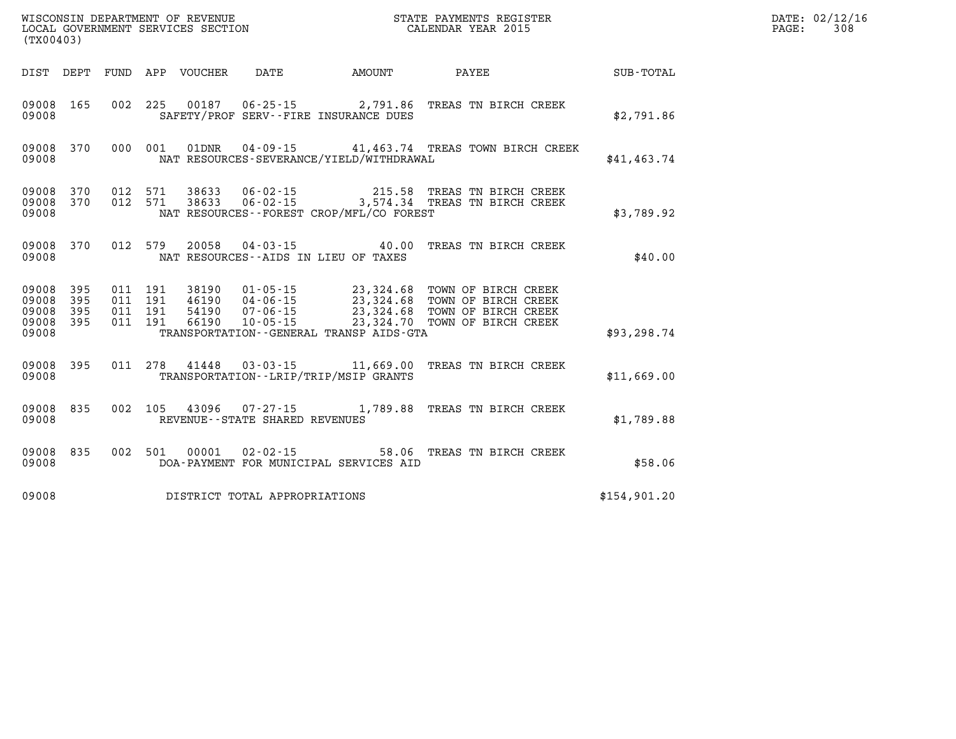| (TX00403)               |                                      |                    |                    |                                |                                              |                                                                                                                                                                                                          |              | DATE: 02/12/16<br>308<br>$\mathtt{PAGE}$ : |
|-------------------------|--------------------------------------|--------------------|--------------------|--------------------------------|----------------------------------------------|----------------------------------------------------------------------------------------------------------------------------------------------------------------------------------------------------------|--------------|--------------------------------------------|
|                         |                                      |                    |                    |                                |                                              | DIST DEPT FUND APP VOUCHER DATE AMOUNT PAYEE                                                                                                                                                             | SUB-TOTAL    |                                            |
| 09008                   | 09008 165                            |                    |                    |                                | SAFETY/PROF SERV--FIRE INSURANCE DUES        | 002 225 00187 06-25-15 2,791.86 TREAS TN BIRCH CREEK                                                                                                                                                     | \$2,791.86   |                                            |
| 09008                   |                                      |                    |                    |                                | NAT RESOURCES-SEVERANCE/YIELD/WITHDRAWAL     | 09008 370 000 001 01DNR 04-09-15 41,463.74 TREAS TOWN BIRCH CREEK                                                                                                                                        | \$41,463.74  |                                            |
| 09008                   |                                      |                    |                    |                                | NAT RESOURCES - - FOREST CROP/MFL/CO FOREST  | 09008 370 012 571 38633 06-02-15 215.58 TREAS TN BIRCH CREEK<br>09008 370 012 571 38633 06-02-15 3,574.34 TREAS TN BIRCH CREEK                                                                           | \$3,789.92   |                                            |
| 09008                   |                                      |                    |                    |                                | NAT RESOURCES--AIDS IN LIEU OF TAXES         | 09008 370 012 579 20058 04-03-15 40.00 TREAS TN BIRCH CREEK                                                                                                                                              | \$40.00      |                                            |
| 09008<br>09008<br>09008 | 09008 395<br>395<br>395<br>09008 395 | 011 191<br>011 191 | 011 191<br>011 191 |                                | TRANSPORTATION - - GENERAL TRANSP AIDS - GTA | 38190  01-05-15  23,324.68  TOWN OF BIRCH CREEK<br>46190  04-06-15  23,324.68  TOWN OF BIRCH CREEK<br>54190  07-06-15  23,324.68  TOWN OF BIRCH CREEK<br>66190  10-05-15  23,324.70  TOWN OF BIRCH CREEK | \$93,298.74  |                                            |
| 09008                   | 09008 395                            |                    |                    |                                | TRANSPORTATION - - LRIP/TRIP/MSIP GRANTS     | 011  278  41448  03-03-15  11,669.00 TREAS TN BIRCH CREEK                                                                                                                                                | \$11,669.00  |                                            |
| 09008                   |                                      |                    |                    | REVENUE--STATE SHARED REVENUES |                                              | 09008 835 002 105 43096 07-27-15 1,789.88 TREAS TN BIRCH CREEK                                                                                                                                           | \$1,789.88   |                                            |
| 09008                   |                                      |                    |                    |                                | DOA-PAYMENT FOR MUNICIPAL SERVICES AID       | 09008 835 002 501 00001 02-02-15 58.06 TREAS TN BIRCH CREEK                                                                                                                                              | \$58.06      |                                            |
| 09008                   |                                      |                    |                    | DISTRICT TOTAL APPROPRIATIONS  |                                              |                                                                                                                                                                                                          | \$154,901.20 |                                            |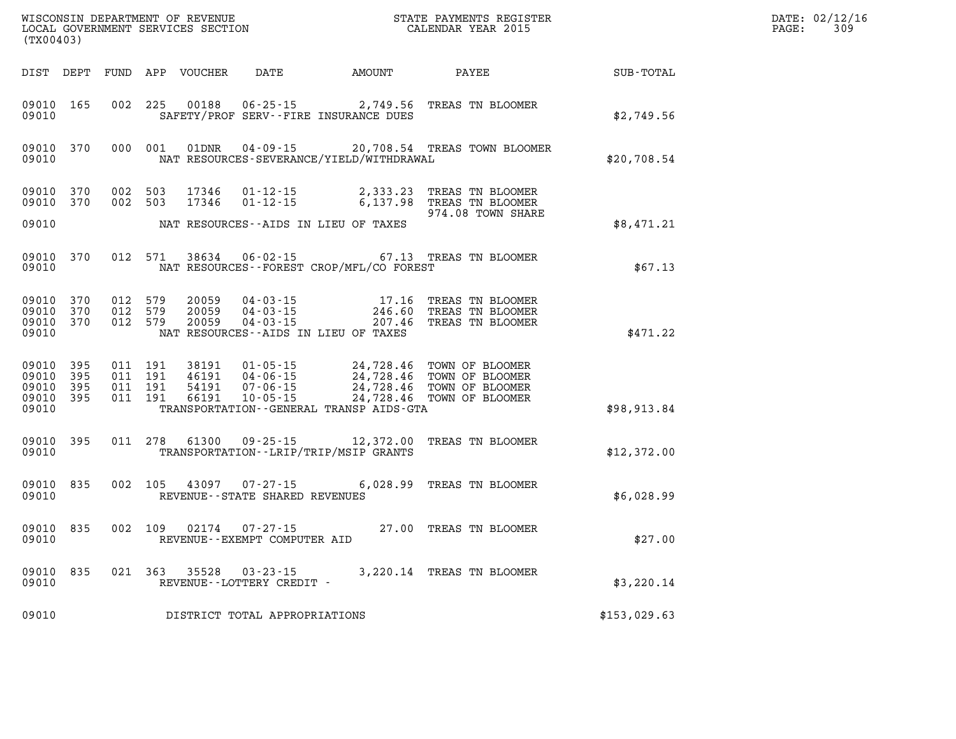| (TX00403)                                         |              |                                          |         | WISCONSIN DEPARTMENT OF REVENUE<br>LOCAL GOVERNMENT SERVICES SECTION |                                                |                                                                  | STATE PAYMENTS REGISTER<br>CALENDAR YEAR 2015                                                                                                                              |              | DATE: 02/12/16<br>$\mathtt{PAGE}$ :<br>309 |
|---------------------------------------------------|--------------|------------------------------------------|---------|----------------------------------------------------------------------|------------------------------------------------|------------------------------------------------------------------|----------------------------------------------------------------------------------------------------------------------------------------------------------------------------|--------------|--------------------------------------------|
|                                                   |              |                                          |         | DIST DEPT FUND APP VOUCHER                                           |                                                | DATE AMOUNT                                                      | PAYEE                                                                                                                                                                      | SUB-TOTAL    |                                            |
| 09010 165<br>09010                                |              | 002 225                                  |         | 00188                                                                |                                                | $06 - 25 - 15$ 2,749.56<br>SAFETY/PROF SERV--FIRE INSURANCE DUES | TREAS TN BLOOMER                                                                                                                                                           | \$2,749.56   |                                            |
| 09010 370<br>09010                                |              | 000 001                                  |         | 01DNR                                                                |                                                | NAT RESOURCES-SEVERANCE/YIELD/WITHDRAWAL                         | 04-09-15 20,708.54 TREAS TOWN BLOOMER                                                                                                                                      | \$20,708.54  |                                            |
| 09010 370<br>09010 370                            |              | 002 503<br>002 503                       |         | 17346<br>17346                                                       | $01 - 12 - 15$<br>$01 - 12 - 15$               |                                                                  | 2,333.23 TREAS TN BLOOMER<br>6,137.98 TREAS TN BLOOMER<br>974.08 TOWN SHARE                                                                                                |              |                                            |
| 09010                                             |              |                                          |         |                                                                      |                                                | NAT RESOURCES--AIDS IN LIEU OF TAXES                             |                                                                                                                                                                            | \$8,471.21   |                                            |
| 09010 370<br>09010                                |              |                                          | 012 571 | 38634                                                                | $06 - 02 - 15$                                 | NAT RESOURCES--FOREST CROP/MFL/CO FOREST                         | 67.13 TREAS TN BLOOMER                                                                                                                                                     | \$67.13      |                                            |
| 09010 370<br>09010<br>09010 370<br>09010          | 370          | 012 579<br>012 579<br>012 579            |         | 20059<br>20059<br>20059                                              | 04 - 03 - 15<br>04 - 03 - 15<br>$04 - 03 - 15$ | 17.16<br>246.60<br>NAT RESOURCES -- AIDS IN LIEU OF TAXES        | TREAS TN BLOOMER<br>TREAS TN BLOOMER<br>207.46 TREAS TN BLOOMER                                                                                                            | \$471.22     |                                            |
| 09010 395<br>09010<br>09010<br>09010 395<br>09010 | - 395<br>395 | 011 191<br>011 191<br>011 191<br>011 191 |         | 38191<br>46191<br>54191<br>66191                                     |                                                | TRANSPORTATION--GENERAL TRANSP AIDS-GTA                          | 01-05-15<br>04-06-15<br>04-06-15<br>07-06-15<br>24,728.46<br>24,728.46<br>24,728.46<br>07-05-15<br>24,728.46<br>07-05-15<br>24,728.46<br>07-05-15<br>24,728.46<br>07-07-15 | \$98,913.84  |                                            |
| 09010 395<br>09010                                |              | 011 278                                  |         | 61300                                                                |                                                | TRANSPORTATION - - LRIP/TRIP/MSIP GRANTS                         | 09-25-15 12,372.00 TREAS TN BLOOMER                                                                                                                                        | \$12,372.00  |                                            |
| 09010 835<br>09010                                |              | 002 105                                  |         | 43097                                                                | 07-27-15<br>REVENUE--STATE SHARED REVENUES     |                                                                  | 6,028.99 TREAS TN BLOOMER                                                                                                                                                  | \$6,028.99   |                                            |
| 09010 835<br>09010                                |              | 002 109                                  |         | 02174                                                                | 07-27-15<br>REVENUE--EXEMPT COMPUTER AID       |                                                                  | 27.00 TREAS TN BLOOMER                                                                                                                                                     | \$27.00      |                                            |
| 09010 835<br>09010                                |              | 021 363                                  |         | 35528                                                                | $03 - 23 - 15$<br>REVENUE - - LOTTERY CREDIT - |                                                                  | 3,220.14 TREAS TN BLOOMER                                                                                                                                                  | \$3,220.14   |                                            |
| 09010                                             |              |                                          |         |                                                                      | DISTRICT TOTAL APPROPRIATIONS                  |                                                                  |                                                                                                                                                                            | \$153,029.63 |                                            |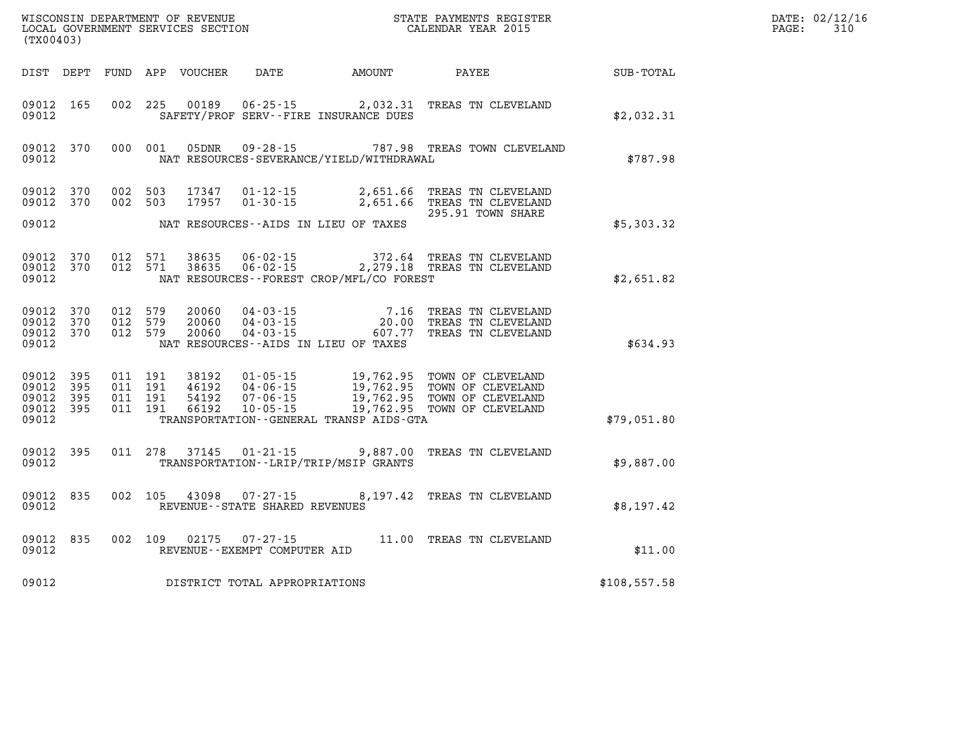| (TX00403)                                     |                    |                                          |         | WISCONSIN DEPARTMENT OF REVENUE<br>LOCAL GOVERNMENT SERVICES SECTION |                                                        |                                              |                                                                                                                                   |              | DATE: 02/12/16<br>PAGE:<br>310 |
|-----------------------------------------------|--------------------|------------------------------------------|---------|----------------------------------------------------------------------|--------------------------------------------------------|----------------------------------------------|-----------------------------------------------------------------------------------------------------------------------------------|--------------|--------------------------------|
|                                               |                    |                                          |         | DIST DEPT FUND APP VOUCHER                                           | DATE                                                   | AMOUNT                                       | PAYEE                                                                                                                             | SUB-TOTAL    |                                |
| 09012 165<br>09012                            |                    |                                          | 002 225 | 00189                                                                |                                                        | SAFETY/PROF SERV--FIRE INSURANCE DUES        | 06-25-15 2,032.31 TREAS TN CLEVELAND                                                                                              | \$2,032.31   |                                |
| 09012 370<br>09012                            |                    | 000 001                                  |         | 05DNR                                                                | $09 - 28 - 15$                                         | NAT RESOURCES-SEVERANCE/YIELD/WITHDRAWAL     | 787.98 TREAS TOWN CLEVELAND                                                                                                       | \$787.98     |                                |
| 09012 370<br>09012 370                        |                    | 002 503<br>002 503                       |         | 17347<br>17957                                                       |                                                        |                                              | 01-12-15 2,651.66 TREAS TN CLEVELAND<br>01-30-15 2,651.66 TREAS TN CLEVELAND<br>295.91 TOWN SHARE                                 |              |                                |
| 09012                                         |                    |                                          |         |                                                                      |                                                        | NAT RESOURCES--AIDS IN LIEU OF TAXES         |                                                                                                                                   | \$5,303.32   |                                |
| 09012 370<br>09012 370<br>09012               |                    | 012 571<br>012 571                       |         | 38635<br>38635                                                       |                                                        | NAT RESOURCES - - FOREST CROP/MFL/CO FOREST  | 06-02-15 372.64 TREAS TN CLEVELAND<br>06-02-15 2,279.18 TREAS TN CLEVELAND                                                        | \$2,651.82   |                                |
| 09012<br>09012<br>09012<br>09012              | 370<br>370<br>370  | 012 579<br>012 579<br>012 579            |         | 20060<br>20060<br>20060                                              |                                                        | NAT RESOURCES--AIDS IN LIEU OF TAXES         | 04-03-15 7.16 TREAS TN CLEVELAND<br>04-03-15 20.00 TREAS TN CLEVELAND<br>04-03-15 607.77 TREAS TN CLEVELAND                       | \$634.93     |                                |
| 09012 395<br>09012<br>09012<br>09012<br>09012 | 395<br>-395<br>395 | 011 191<br>011 191<br>011 191<br>011 191 |         | 38192<br>46192<br>54192<br>66192                                     | 04-06-15<br>07-06-15<br>$10 - 05 - 15$                 | TRANSPORTATION - - GENERAL TRANSP AIDS - GTA | 01-05-15 19,762.95 TOWN OF CLEVELAND<br>19,762.95 TOWN OF CLEVELAND<br>19,762.95 TOWN OF CLEVELAND<br>19,762.95 TOWN OF CLEVELAND | \$79,051.80  |                                |
| 09012 395<br>09012                            |                    | 011 278                                  |         |                                                                      |                                                        | TRANSPORTATION - - LRIP/TRIP/MSIP GRANTS     | 37145  01-21-15  9,887.00  TREAS TN CLEVELAND                                                                                     | \$9,887.00   |                                |
| 09012 835<br>09012                            |                    | 002 105                                  |         |                                                                      | REVENUE - - STATE SHARED REVENUES                      |                                              | 8,197.42 TREAS TN CLEVELAND                                                                                                       | \$8,197.42   |                                |
| 09012 835<br>09012                            |                    |                                          |         |                                                                      | 002 109 02175 07-27-15<br>REVENUE--EXEMPT COMPUTER AID |                                              | 11.00 TREAS TN CLEVELAND                                                                                                          | \$11.00      |                                |
| 09012                                         |                    |                                          |         |                                                                      | DISTRICT TOTAL APPROPRIATIONS                          |                                              |                                                                                                                                   | \$108,557.58 |                                |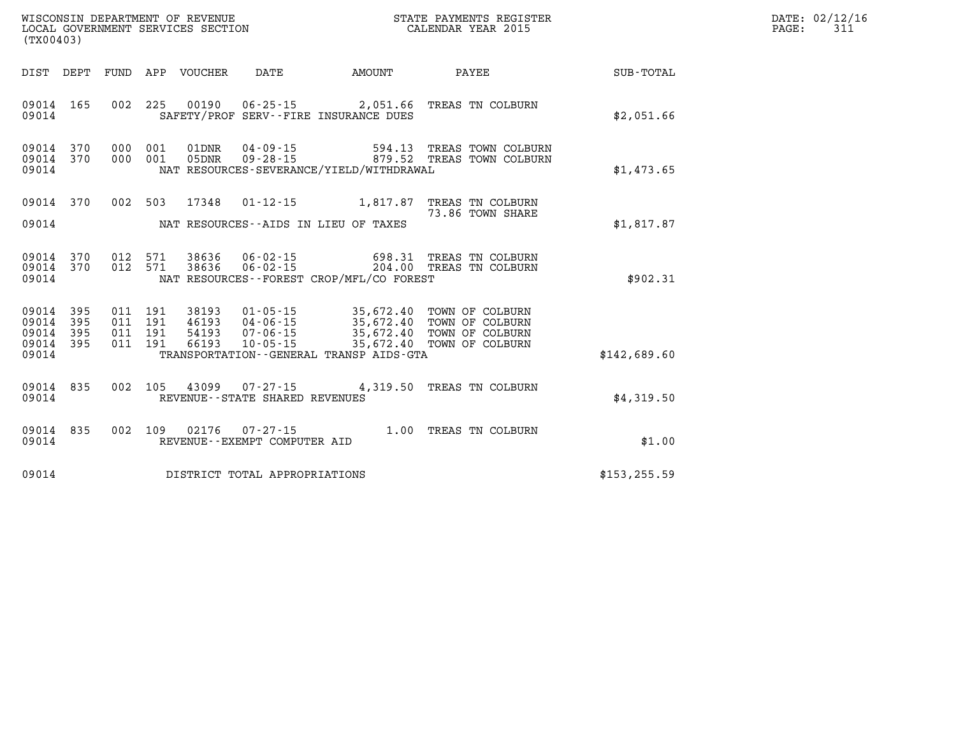| WISCONSIN DEPARTMENT OF REVENUE   | STATE PAYMENTS REGISTER | DATE: 02/12/16     |
|-----------------------------------|-------------------------|--------------------|
| LOCAL GOVERNMENT SERVICES SECTION | CALENDAR YEAR 2015      | 21<br>PAGE:<br>ᇰᆠᆚ |

| LOCAL GOVERNMENT SERVICES SECTION<br>(TX00403)                                                        |                                                                                                                                                                                                                      | CALENDAR YEAR 2015        |               | PAGE: | 311 |
|-------------------------------------------------------------------------------------------------------|----------------------------------------------------------------------------------------------------------------------------------------------------------------------------------------------------------------------|---------------------------|---------------|-------|-----|
|                                                                                                       | DIST DEPT FUND APP VOUCHER DATE AMOUNT PAYEE                                                                                                                                                                         |                           | SUB-TOTAL     |       |     |
| 09014 165<br>09014                                                                                    | 002 225 00190 06-25-15 2,051.66 TREAS TN COLBURN<br>SAFETY/PROF SERV--FIRE INSURANCE DUES                                                                                                                            |                           | \$2,051.66    |       |     |
| 09014 370<br>000 001<br>09014 370<br>000 001<br>09014                                                 | 01DNR  04-09-15  594.13 TREAS TOWN COLBURN<br>05DNR  09-28-15  679.52 TREAS TOWN COLBURN<br>NAT RESOURCES-SEVERANCE/YIELD/WITHDRAWAL                                                                                 |                           | \$1,473.65    |       |     |
| 09014 370                                                                                             | 002 503 17348 01-12-15 1,817.87 TREAS TN COLBURN<br>09014 MAT RESOURCES--AIDS IN LIEU OF TAXES                                                                                                                       | 73.86 TOWN SHARE          | \$1,817.87    |       |     |
| 09014 370<br>09014 370<br>09014                                                                       | 012 571 38636 06-02-15 698.31 TREAS TN COLBURN 012 571 38636 06-02-15 204.00 TREAS TN COLBURN<br>NAT RESOURCES--FOREST CROP/MFL/CO FOREST                                                                            |                           | \$902.31      |       |     |
| 09014 395<br>011 191<br>09014 395<br>011 191<br>09014 395<br>011 191<br>09014 395<br>011 191<br>09014 | 38193  01-05-15  35,672.40  TOWN OF COLBURN<br>46193  04-06-15  35,672.40  TOWN OF COLBURN<br>54193  07-06-15  35,672.40  TOWN OF COLBURN<br>66193<br>$10 - 05 - 15$<br>TRANSPORTATION - - GENERAL TRANSP AIDS - GTA | 35,672.40 TOWN OF COLBURN | \$142,689.60  |       |     |
| 09014 835<br>09014                                                                                    | 002 105 43099 07-27-15 4,319.50 TREAS TN COLBURN<br>REVENUE--STATE SHARED REVENUES                                                                                                                                   |                           | \$4,319.50    |       |     |
| 09014 835<br>09014                                                                                    | 002 109 02176 07-27-15 1.00 TREAS TN COLBURN<br>REVENUE--EXEMPT COMPUTER AID                                                                                                                                         |                           | \$1.00        |       |     |
| 09014                                                                                                 | DISTRICT TOTAL APPROPRIATIONS                                                                                                                                                                                        |                           | \$153, 255.59 |       |     |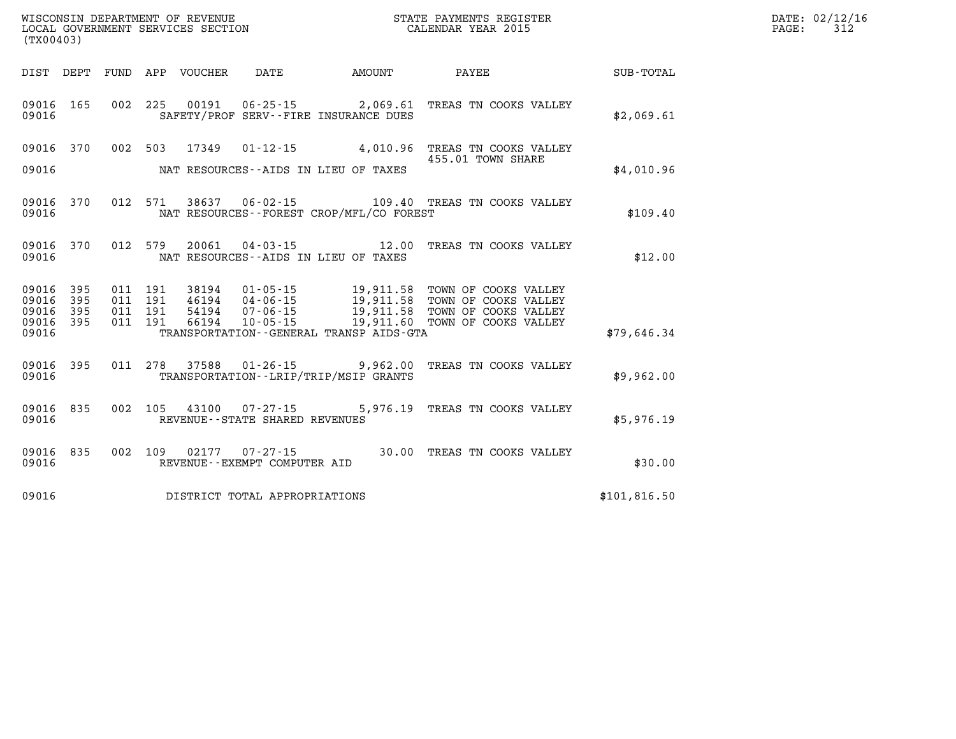| (TX00403)                       |                        |  |                                                                       |                                              | WISCONSIN DEPARTMENT OF REVENUE<br>LOCAL GOVERNMENT SERVICES SECTION<br>LOCAL GOVERNMENT SERVICES SECTION<br>CALENDAR YEAR 2015 |              | DATE: 02/12/16<br>$\mathtt{PAGE:}$<br>312 |
|---------------------------------|------------------------|--|-----------------------------------------------------------------------|----------------------------------------------|---------------------------------------------------------------------------------------------------------------------------------|--------------|-------------------------------------------|
|                                 |                        |  |                                                                       | DIST DEPT FUND APP VOUCHER DATE AMOUNT PAYEE |                                                                                                                                 | SUB-TOTAL    |                                           |
| 09016                           |                        |  |                                                                       | SAFETY/PROF SERV--FIRE INSURANCE DUES        | 09016 165 002 225 00191 06-25-15 2,069.61 TREAS TN COOKS VALLEY                                                                 | \$2,069.61   |                                           |
| 09016                           |                        |  |                                                                       | NAT RESOURCES--AIDS IN LIEU OF TAXES         | 09016 370 002 503 17349 01-12-15 4,010.96 TREAS TN COOKS VALLEY<br>455.01 TOWN SHARE                                            | \$4,010.96   |                                           |
| 09016                           |                        |  |                                                                       | NAT RESOURCES--FOREST CROP/MFL/CO FOREST     | 09016 370 012 571 38637 06-02-15 109.40 TREAS TN COOKS VALLEY                                                                   | \$109.40     |                                           |
| 09016                           |                        |  |                                                                       | NAT RESOURCES--AIDS IN LIEU OF TAXES         | 09016 370 012 579 20061 04-03-15 12.00 TREAS TN COOKS VALLEY                                                                    | \$12.00      |                                           |
| 09016 395<br>09016 395<br>09016 | 09016 395<br>09016 395 |  |                                                                       | TRANSPORTATION--GENERAL TRANSP AIDS-GTA      |                                                                                                                                 | \$79,646.34  |                                           |
| 09016                           |                        |  |                                                                       | TRANSPORTATION - - LRIP/TRIP/MSIP GRANTS     | 09016 395 011 278 37588 01-26-15 9,962.00 TREAS TN COOKS VALLEY                                                                 | \$9,962.00   |                                           |
| 09016                           |                        |  | 09016 835 002 105 43100 07-27-15<br>REVENUE - - STATE SHARED REVENUES |                                              | 5,976.19 TREAS TN COOKS VALLEY                                                                                                  | \$5,976.19   |                                           |
| 09016                           | 09016 835 002 109      |  | REVENUE--EXEMPT COMPUTER AID                                          |                                              | 02177  07-27-15  30.00 TREAS TN COOKS VALLEY                                                                                    | \$30.00      |                                           |
| 09016                           |                        |  | DISTRICT TOTAL APPROPRIATIONS                                         |                                              |                                                                                                                                 | \$101,816.50 |                                           |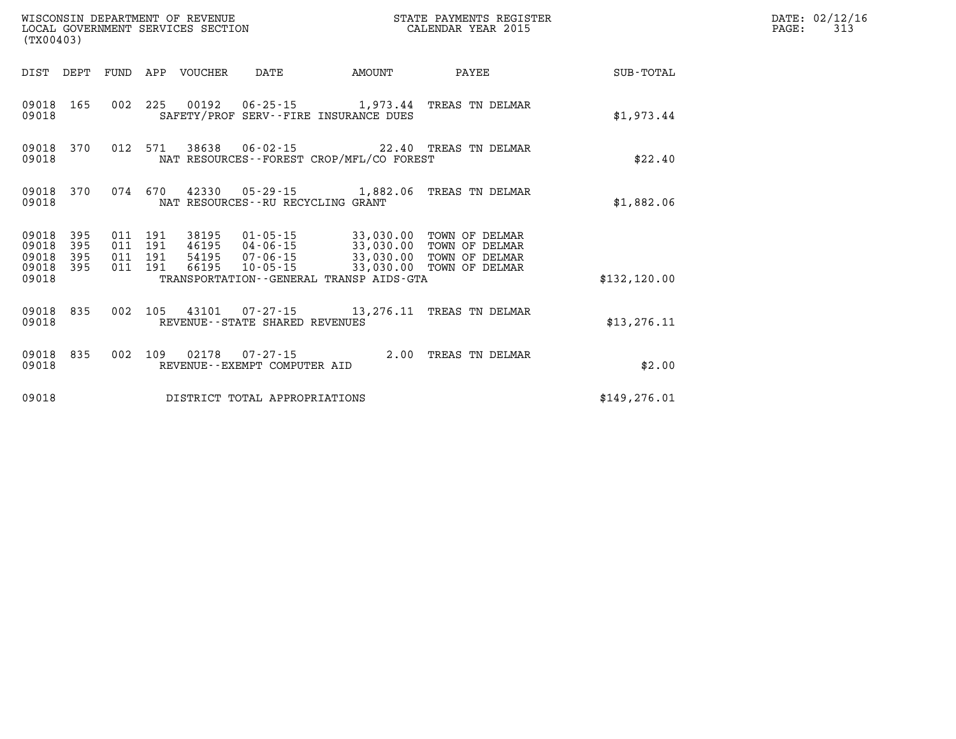| (TX00403)                                |              |                                          | WISCONSIN DEPARTMENT OF REVENUE | LOCAL GOVERNMENT SERVICES SECTION   |                                              | STATE PAYMENTS REGISTER<br>CALENDAR YEAR 2015                                                                                                                                        |               | DATE: 02/12/16<br>PAGE:<br>313 |
|------------------------------------------|--------------|------------------------------------------|---------------------------------|-------------------------------------|----------------------------------------------|--------------------------------------------------------------------------------------------------------------------------------------------------------------------------------------|---------------|--------------------------------|
|                                          |              |                                          | DIST DEPT FUND APP VOUCHER      | DATE                                | AMOUNT                                       | PAYEE                                                                                                                                                                                | SUB-TOTAL     |                                |
| 09018                                    | 09018 165    |                                          |                                 |                                     | SAFETY/PROF SERV--FIRE INSURANCE DUES        | 002 225 00192 06-25-15 1,973.44 TREAS TN DELMAR                                                                                                                                      | \$1,973.44    |                                |
| 09018                                    | 09018 370    |                                          |                                 |                                     | NAT RESOURCES - - FOREST CROP/MFL/CO FOREST  | 012 571 38638 06-02-15 22.40 TREAS TN DELMAR                                                                                                                                         | \$22.40       |                                |
| 09018 370<br>09018                       |              | 074 670                                  |                                 | NAT RESOURCES -- RU RECYCLING GRANT |                                              | 42330  05-29-15  1,882.06  TREAS TN DELMAR                                                                                                                                           | \$1,882.06    |                                |
| 09018 395<br>09018<br>09018<br>09018 395 | - 395<br>395 | 011 191<br>011 191<br>011 191<br>011 191 |                                 |                                     |                                              | 38195  01-05-15  33,030.00  TOWN OF DELMAR<br>46195  04-06-15  33,030.00  TOWN OF DELMAR<br>54195  07-06-15  33,030.00  TOWN OF DELMAR<br>66195  10-05-15  33,030.00  TOWN OF DELMAR |               |                                |
| 09018                                    |              |                                          |                                 |                                     | TRANSPORTATION - - GENERAL TRANSP AIDS - GTA |                                                                                                                                                                                      | \$132, 120.00 |                                |
| 09018                                    | 09018 835    | 002 105                                  |                                 | REVENUE - - STATE SHARED REVENUES   |                                              | 43101  07-27-15  13,276.11  TREAS TN DELMAR                                                                                                                                          | \$13, 276.11  |                                |
| 09018                                    | 09018 835    |                                          |                                 | REVENUE - - EXEMPT COMPUTER AID     |                                              | 002 109 02178 07-27-15 2.00 TREAS TN DELMAR                                                                                                                                          | \$2.00        |                                |
| 09018                                    |              |                                          |                                 | DISTRICT TOTAL APPROPRIATIONS       |                                              |                                                                                                                                                                                      | \$149, 276.01 |                                |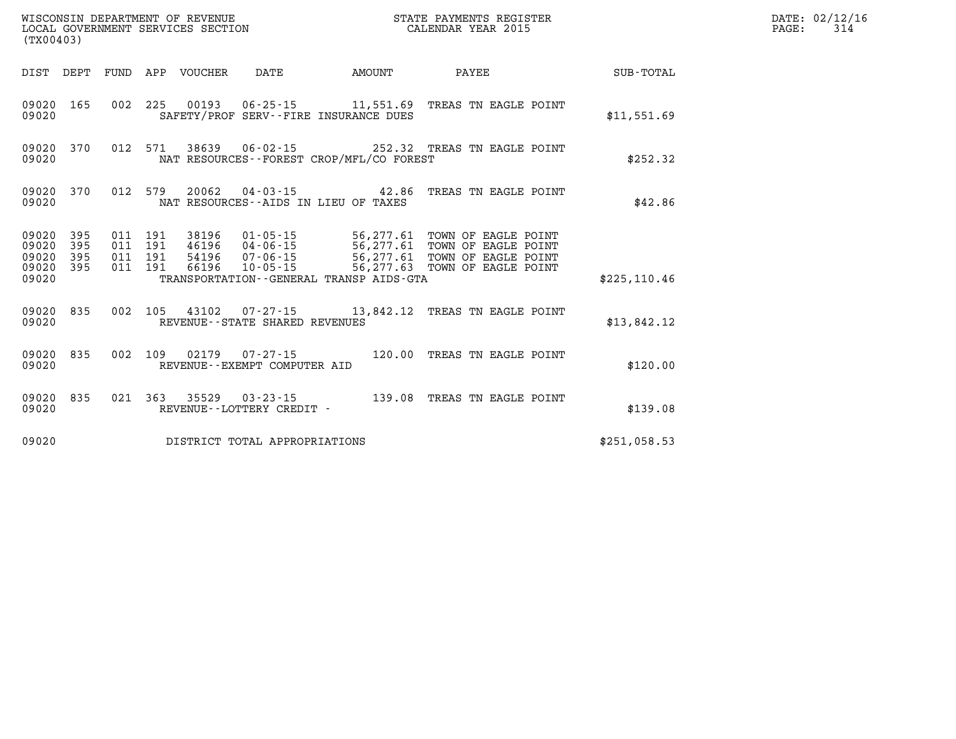| (TX00403)                                         |            |                               |         |                            | WISCONSIN DEPARTMENT OF REVENUE<br>LOCAL GOVERNMENT SERVICES SECTION |                                          | STATE PAYMENTS REGISTER<br>CALENDAR YEAR 2015                                                                                                                                                            |               | DATE: 02/12/16<br>PAGE:<br>314 |
|---------------------------------------------------|------------|-------------------------------|---------|----------------------------|----------------------------------------------------------------------|------------------------------------------|----------------------------------------------------------------------------------------------------------------------------------------------------------------------------------------------------------|---------------|--------------------------------|
|                                                   |            |                               |         | DIST DEPT FUND APP VOUCHER | DATE                                                                 | <b>AMOUNT</b>                            | PAYEE                                                                                                                                                                                                    | SUB-TOTAL     |                                |
| 09020 165<br>09020                                |            |                               |         |                            |                                                                      | SAFETY/PROF SERV--FIRE INSURANCE DUES    | 002 225 00193 06-25-15 11,551.69 TREAS TN EAGLE POINT                                                                                                                                                    | \$11,551.69   |                                |
| 09020                                             | 09020 370  |                               | 012 571 |                            |                                                                      | NAT RESOURCES--FOREST CROP/MFL/CO FOREST | 38639  06-02-15  252.32  TREAS TN EAGLE POINT                                                                                                                                                            | \$252.32      |                                |
| 09020                                             | 09020 370  |                               |         |                            |                                                                      | NAT RESOURCES -- AIDS IN LIEU OF TAXES   | 012 579 20062 04-03-15 42.86 TREAS TN EAGLE POINT                                                                                                                                                        | \$42.86       |                                |
| 09020 395<br>09020<br>09020<br>09020 395<br>09020 | 395<br>395 | 011 191<br>011 191<br>011 191 | 011 191 |                            |                                                                      | TRANSPORTATION--GENERAL TRANSP AIDS-GTA  | 38196  01-05-15  56,277.61  TOWN OF EAGLE POINT<br>46196  04-06-15  56,277.61  TOWN OF EAGLE POINT<br>54196  07-06-15  56,277.61  TOWN OF EAGLE POINT<br>66196  10-05-15  56,277.63  TOWN OF EAGLE POINT | \$225, 110.46 |                                |
| 09020                                             | 09020 835  |                               |         |                            | REVENUE - - STATE SHARED REVENUES                                    |                                          | 002 105 43102 07-27-15 13,842.12 TREAS TN EAGLE POINT                                                                                                                                                    | \$13,842.12   |                                |
| 09020 835<br>09020                                |            |                               |         |                            | REVENUE--EXEMPT COMPUTER AID                                         |                                          | 002 109 02179 07-27-15 120.00 TREAS TN EAGLE POINT                                                                                                                                                       | \$120.00      |                                |
| 09020 835<br>09020                                |            |                               |         |                            | REVENUE--LOTTERY CREDIT -                                            |                                          | 021  363  35529  03-23-15  139.08  TREAS TN EAGLE POINT                                                                                                                                                  | \$139.08      |                                |
| 09020                                             |            |                               |         |                            | DISTRICT TOTAL APPROPRIATIONS                                        |                                          |                                                                                                                                                                                                          | \$251,058.53  |                                |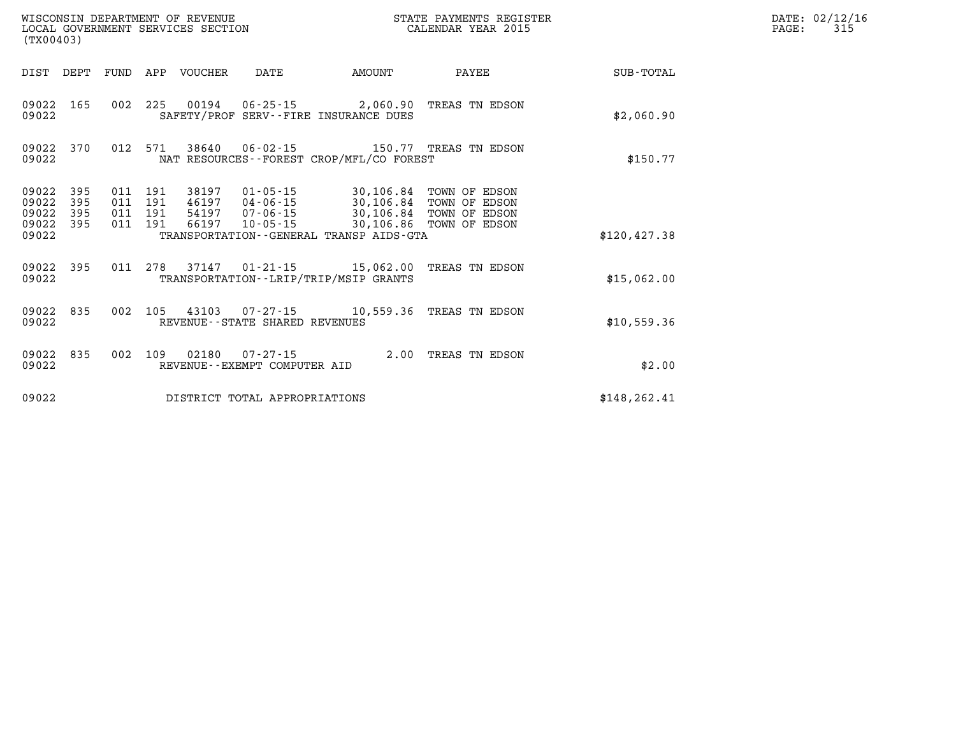| (TX00403)                                 |                          |                          |                          | WISCONSIN DEPARTMENT OF REVENUE<br>LOCAL GOVERNMENT SERVICES SECTION |                                                          | STATE PAYMENTS REGISTER<br>CALENDAR YEAR 2015                                                |                                                                  |                  |  |
|-------------------------------------------|--------------------------|--------------------------|--------------------------|----------------------------------------------------------------------|----------------------------------------------------------|----------------------------------------------------------------------------------------------|------------------------------------------------------------------|------------------|--|
| DIST                                      | DEPT                     | FUND                     | APP                      | VOUCHER                                                              | DATE                                                     | AMOUNT                                                                                       | PAYEE                                                            | <b>SUB-TOTAL</b> |  |
| 09022<br>09022                            | 165                      | 002                      | 225                      |                                                                      |                                                          | $00194$ $06-25-15$ 2,060.90<br>SAFETY/PROF SERV--FIRE INSURANCE DUES                         | TREAS TN EDSON                                                   | \$2,060.90       |  |
| 09022<br>09022                            | 370                      | 012                      | 571                      | 38640                                                                | $06 - 02 - 15$                                           | 150.77<br>NAT RESOURCES--FOREST CROP/MFL/CO FOREST                                           | TREAS TN EDSON                                                   | \$150.77         |  |
| 09022<br>09022<br>09022<br>09022<br>09022 | 395<br>395<br>395<br>395 | 011<br>011<br>011<br>011 | 191<br>191<br>191<br>191 | 38197<br>46197<br>54197<br>66197                                     | 01-05-15<br>04-06-15<br>$07 - 06 - 15$<br>$10 - 05 - 15$ | 30, 106.84<br>30,106.84<br>30,106.84<br>30,106.86<br>TRANSPORTATION--GENERAL TRANSP AIDS-GTA | TOWN OF EDSON<br>TOWN OF EDSON<br>TOWN OF EDSON<br>TOWN OF EDSON | \$120, 427.38    |  |
| 09022<br>09022                            | 395                      | 011                      | 278                      | 37147                                                                |                                                          | $01 - 21 - 15$ $15,062.00$<br>TRANSPORTATION - - LRIP/TRIP/MSIP GRANTS                       | TREAS TN EDSON                                                   | \$15,062.00      |  |
| 09022<br>09022                            | 835                      | 002                      | 105                      | 43103                                                                | $07 - 27 - 15$<br>REVENUE - - STATE SHARED REVENUES      | 10,559.36                                                                                    | TREAS TN EDSON                                                   | \$10,559.36      |  |
| 09022<br>09022                            | 835                      | 002                      | 109                      | 02180                                                                | $07 - 27 - 15$<br>REVENUE - - EXEMPT COMPUTER AID        | 2.00                                                                                         | TREAS TN EDSON                                                   | \$2.00           |  |
| 09022                                     |                          |                          |                          |                                                                      | DISTRICT TOTAL APPROPRIATIONS                            |                                                                                              |                                                                  | \$148, 262.41    |  |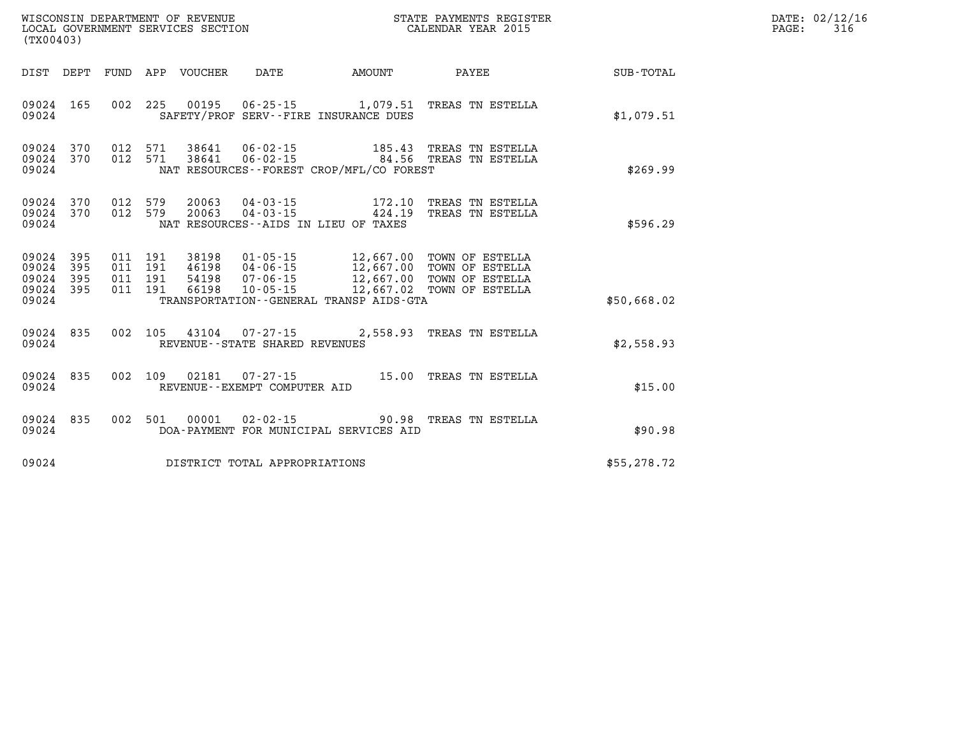| (TX00403)                                 |                          |                          | WISCONSIN DEPARTMENT OF REVENUE<br>LOCAL GOVERNMENT SERVICES SECTION |                                                                      | STATE PAYMENTS REGISTER<br>CALENDAR YEAR 2015                                                    |                                                                          |                  |  |
|-------------------------------------------|--------------------------|--------------------------|----------------------------------------------------------------------|----------------------------------------------------------------------|--------------------------------------------------------------------------------------------------|--------------------------------------------------------------------------|------------------|--|
| DIST                                      | DEPT                     | FUND                     | APP<br>VOUCHER                                                       | DATE                                                                 | AMOUNT                                                                                           | PAYEE                                                                    | <b>SUB-TOTAL</b> |  |
| 09024<br>09024                            | 165                      | 002                      | 225<br>00195                                                         | 06-25-15                                                             | 1,079.51<br>SAFETY/PROF SERV--FIRE INSURANCE DUES                                                | TREAS TN ESTELLA                                                         | \$1,079.51       |  |
| 09024<br>09024<br>09024                   | 370<br>370               | 012<br>012               | 38641<br>571<br>571<br>38641                                         | $06 - 02 - 15$<br>$06 - 02 - 15$                                     | 185.43<br>84.56<br>NAT RESOURCES--FOREST CROP/MFL/CO FOREST                                      | TREAS TN ESTELLA<br>TREAS TN ESTELLA                                     | \$269.99         |  |
| 09024<br>09024<br>09024                   | 370<br>370               | 012<br>012               | 579<br>20063<br>20063<br>579                                         | $04 - 03 - 15$<br>$04 - 03 - 15$                                     | 172.10<br>424.19<br>NAT RESOURCES - - AIDS IN LIEU OF TAXES                                      | TREAS TN ESTELLA<br>TREAS TN ESTELLA                                     | \$596.29         |  |
| 09024<br>09024<br>09024<br>09024<br>09024 | 395<br>395<br>395<br>395 | 011<br>011<br>011<br>011 | 191<br>38198<br>191<br>46198<br>191<br>54198<br>191<br>66198         | $01 - 05 - 15$<br>$04 - 06 - 15$<br>$07 - 06 - 15$<br>$10 - 05 - 15$ | 12,667.00<br>12,667.00<br>12,667.00<br>12,667.02<br>TRANSPORTATION - - GENERAL TRANSP AIDS - GTA | TOWN OF ESTELLA<br>TOWN OF ESTELLA<br>TOWN OF ESTELLA<br>TOWN OF ESTELLA | \$50,668.02      |  |
| 09024<br>09024                            | 835                      | 002                      | 105<br>43104<br>REVENUE - - STATE SHARED REVENUES                    | 07-27-15                                                             | 2,558.93                                                                                         | TREAS TN ESTELLA                                                         | \$2,558.93       |  |
| 09024<br>09024                            | 835                      | 002                      | 109<br>02181<br>REVENUE--EXEMPT COMPUTER AID                         | $07 - 27 - 15$                                                       | 15.00                                                                                            | TREAS TN ESTELLA                                                         | \$15.00          |  |
| 09024<br>09024                            | 835                      | 002                      | 501<br>00001                                                         | $02 - 02 - 15$                                                       | 90.98<br>DOA-PAYMENT FOR MUNICIPAL SERVICES AID                                                  | TREAS TN ESTELLA                                                         | \$90.98          |  |
| 09024                                     |                          |                          |                                                                      | DISTRICT TOTAL APPROPRIATIONS                                        |                                                                                                  |                                                                          | \$55,278.72      |  |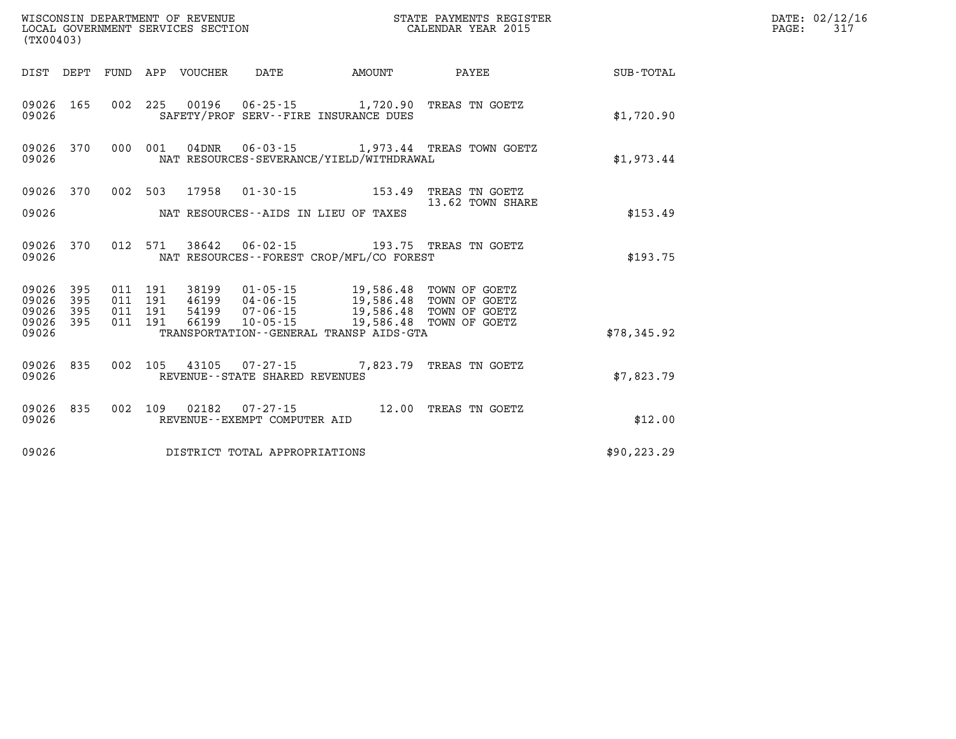| WISCONSIN DEPARTMENT OF REVENUE<br>LOCAL GOVERNMENT SERVICES SECTION<br>(TX00403) |                        |                               |  |                                 |                                   | STATE PAYMENTS REGISTER<br>CALENDAR YEAR 2015                                                                                                                                                  |                                                  | DATE: 02/12/16<br>$\mathtt{PAGE:}$<br>317 |  |
|-----------------------------------------------------------------------------------|------------------------|-------------------------------|--|---------------------------------|-----------------------------------|------------------------------------------------------------------------------------------------------------------------------------------------------------------------------------------------|--------------------------------------------------|-------------------------------------------|--|
|                                                                                   |                        |                               |  | DIST DEPT FUND APP VOUCHER DATE |                                   | <b>AMOUNT</b>                                                                                                                                                                                  | <b>PAYEE</b>                                     | SUB-TOTAL                                 |  |
| 09026                                                                             |                        |                               |  |                                 |                                   | 09026 165 002 225 00196 06-25-15 1,720.90 TREAS TN GOETZ<br>SAFETY/PROF SERV--FIRE INSURANCE DUES                                                                                              |                                                  | \$1,720.90                                |  |
| 09026                                                                             | 09026 370              |                               |  |                                 |                                   | NAT RESOURCES-SEVERANCE/YIELD/WITHDRAWAL                                                                                                                                                       | 000 001 04DNR 06-03-15 1,973.44 TREAS TOWN GOETZ | \$1.973.44                                |  |
| 09026                                                                             | 09026 370              |                               |  |                                 |                                   | 002 503 17958 01-30-15 153.49 TREAS TN GOETZ<br>NAT RESOURCES--AIDS IN LIEU OF TAXES                                                                                                           | 13.62 TOWN SHARE                                 | \$153.49                                  |  |
| 09026                                                                             | 09026 370              |                               |  |                                 |                                   | 012 571 38642 06-02-15 193.75 TREAS TN GOETZ<br>NAT RESOURCES - - FOREST CROP/MFL/CO FOREST                                                                                                    |                                                  | \$193.75                                  |  |
| 09026 395<br>09026 395                                                            | 09026 395<br>09026 395 | 011 191<br>011 191<br>011 191 |  |                                 |                                   | 38199   01-05-15   19,586.48   TOWN OF GOETZ<br>46199   04-06-15   19,586.48   TOWN OF GOETZ<br>54199   07-06-15   19,586.48   TOWN OF GOETZ<br>011 191 66199 10-05-15 19,586.48 TOWN OF GOETZ |                                                  |                                           |  |
| 09026                                                                             |                        |                               |  |                                 |                                   | TRANSPORTATION--GENERAL TRANSP AIDS-GTA                                                                                                                                                        |                                                  | \$78,345.92                               |  |
| 09026                                                                             | 09026 835              |                               |  |                                 | REVENUE - - STATE SHARED REVENUES | 002 105 43105 07-27-15 7,823.79 TREAS TN GOETZ                                                                                                                                                 |                                                  | \$7,823.79                                |  |
| 09026                                                                             | 09026 835              |                               |  |                                 | REVENUE--EXEMPT COMPUTER AID      | 002 109 02182 07-27-15 12.00 TREAS TN GOETZ                                                                                                                                                    |                                                  | \$12.00                                   |  |
| 09026                                                                             |                        |                               |  |                                 | DISTRICT TOTAL APPROPRIATIONS     |                                                                                                                                                                                                |                                                  | \$90, 223.29                              |  |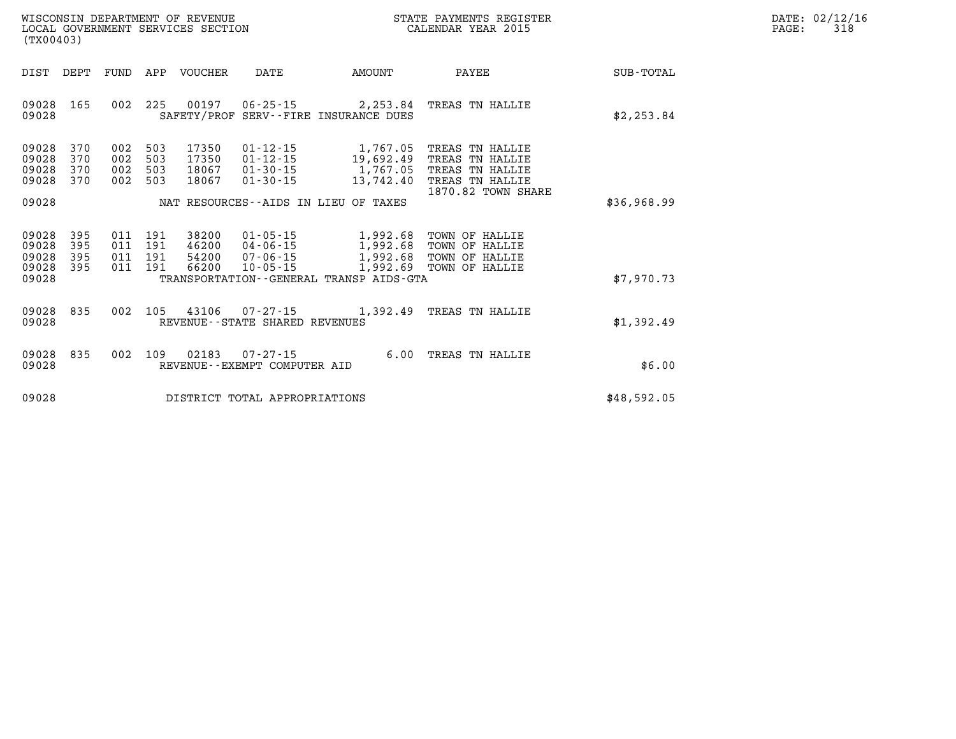| DATE:             | 02/12/16 |
|-------------------|----------|
| $\mathtt{PAGE}$ : | 318      |

| (TX00403)                                                                                | WISCONSIN DEPARTMENT OF REVENUE<br>STATE PAYMENTS REGISTER<br>LOCAL GOVERNMENT SERVICES SECTION<br>CALENDAR YEAR 2015                |                                                |                                                                                                      |                  |  |  |
|------------------------------------------------------------------------------------------|--------------------------------------------------------------------------------------------------------------------------------------|------------------------------------------------|------------------------------------------------------------------------------------------------------|------------------|--|--|
| DEPT<br><b>FUND</b><br>DIST                                                              | APP<br>VOUCHER<br>DATE                                                                                                               | AMOUNT                                         | PAYEE                                                                                                | <b>SUB-TOTAL</b> |  |  |
| 002<br>09028<br>165<br>09028                                                             | 225<br>00197<br>$06 - 25 - 15$<br>SAFETY/PROF                                                                                        | 2,253.84<br>SERV--FIRE INSURANCE DUES          | TREAS TN HALLIE                                                                                      | \$2,253.84       |  |  |
| 09028<br>370<br>002<br>09028<br>370<br>002<br>09028<br>370<br>002<br>09028<br>370<br>002 | 503<br>17350<br>$01 - 12 - 15$<br>503<br>17350<br>$01 - 12 - 15$<br>503<br>18067<br>$01 - 30 - 15$<br>503<br>18067<br>$01 - 30 - 15$ | 1,767.05<br>19,692.49<br>1,767.05<br>13,742.40 | TREAS TN HALLIE<br>TN HALLIE<br>TREAS<br>TREAS<br>TN HALLIE<br>TREAS TN HALLIE<br>1870.82 TOWN SHARE |                  |  |  |
| 09028                                                                                    | NAT RESOURCES--AIDS IN LIEU                                                                                                          | OF TAXES                                       |                                                                                                      | \$36,968.99      |  |  |
| 09028<br>395<br>011<br>395<br>09028<br>011<br>09028<br>395<br>011<br>395<br>09028<br>011 | 38200<br>191<br>$01 - 05 - 15$<br>191<br>46200<br>$04 - 06 - 15$<br>191<br>54200<br>$07 - 06 - 15$<br>191<br>66200<br>$10 - 05 - 15$ | 1,992.68<br>1,992.68<br>1,992.68<br>1,992.69   | TOWN OF HALLIE<br>TOWN OF HALLIE<br>TOWN OF HALLIE<br>TOWN OF HALLIE                                 |                  |  |  |
| 09028                                                                                    | TRANSPORTATION - - GENERAL TRANSP AIDS - GTA                                                                                         |                                                |                                                                                                      | \$7,970.73       |  |  |
| 09028<br>002<br>835<br>09028                                                             | 105<br>43106<br>$07 - 27 - 15$<br>REVENUE--STATE SHARED REVENUES                                                                     | 1,392.49                                       | TREAS TN HALLIE                                                                                      | \$1,392.49       |  |  |
| 09028<br>835<br>002<br>09028                                                             | 109<br>02183<br>$07 - 27 - 15$<br>REVENUE - - EXEMPT COMPUTER AID                                                                    | 6.00                                           | TREAS<br>TN HALLIE                                                                                   | \$6.00           |  |  |
| 09028                                                                                    | DISTRICT TOTAL APPROPRIATIONS                                                                                                        |                                                |                                                                                                      | \$48,592.05      |  |  |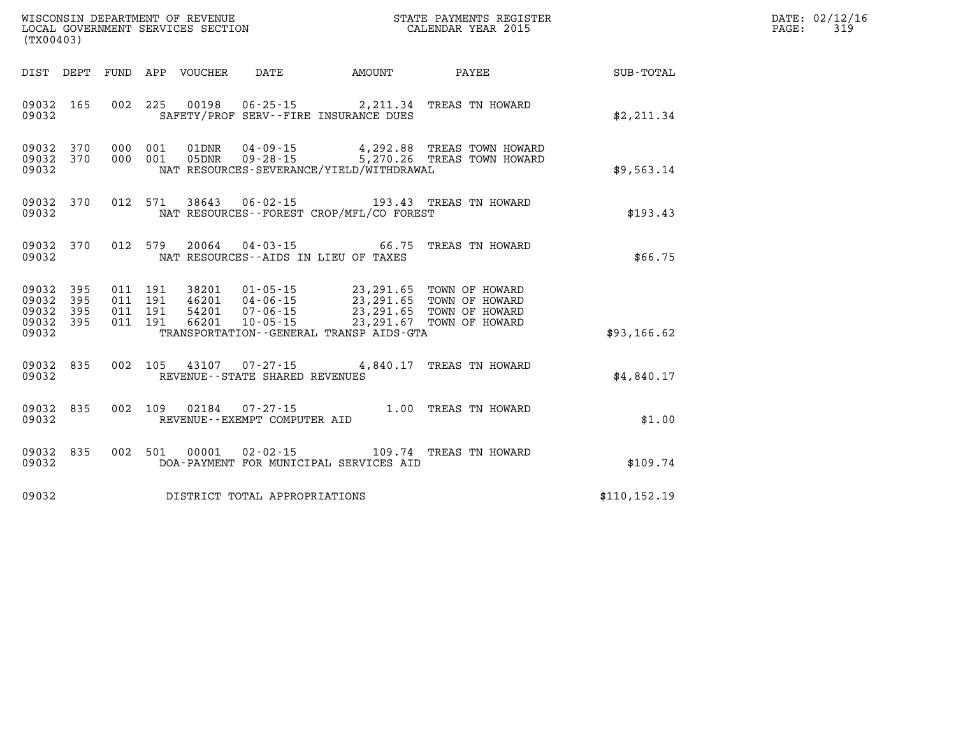| WISCONSIN DEPARTMENT OF REVENUE   | STATE PAYMENTS REGISTER |       | DATE: 02/12/16 |
|-----------------------------------|-------------------------|-------|----------------|
| LOCAL GOVERNMENT SERVICES SECTION | CALENDAR YEAR 2015      | PAGE: | 315            |

| (TX00403)                                                    |                                     | LOCAL GOVERNMENT SERVICES SECTION CALENDAR YEAR 2015                                                                                                                                                                                                     |                                                              | PAGE: | 319 |
|--------------------------------------------------------------|-------------------------------------|----------------------------------------------------------------------------------------------------------------------------------------------------------------------------------------------------------------------------------------------------------|--------------------------------------------------------------|-------|-----|
|                                                              |                                     |                                                                                                                                                                                                                                                          | DIST DEPT FUND APP VOUCHER DATE AMOUNT PAYEE PAYER SUB-TOTAL |       |     |
| 09032 165<br>09032                                           |                                     | 002 225 00198 06-25-15 2, 211.34 TREAS TN HOWARD<br>SAFETY/PROF SERV--FIRE INSURANCE DUES                                                                                                                                                                | \$2,211.34                                                   |       |     |
| 09032 370<br>09032 370<br>09032                              |                                     | 000 001 01DNR 04-09-15 4,292.88 TREAS TOWN HOWARD<br>000 001 05DNR 09-28-15 5,270.26 TREAS TOWN HOWARD<br>NAT RESOURCES-SEVERANCE/YIELD/WITHDRAWAL                                                                                                       | \$9,563.14                                                   |       |     |
| 09032 370<br>09032                                           |                                     | 012 571 38643 06-02-15 193.43 TREAS TN HOWARD<br>NAT RESOURCES--FOREST CROP/MFL/CO FOREST                                                                                                                                                                | \$193.43                                                     |       |     |
| 09032 370<br>09032                                           |                                     | 012 579 20064 04-03-15 66.75 TREAS TN HOWARD<br>NAT RESOURCES--AIDS IN LIEU OF TAXES                                                                                                                                                                     | \$66.75                                                      |       |     |
| 09032 395<br>09032 395<br>09032<br>395<br>09032 395<br>09032 |                                     | 011 191 38201 01-05-15 23,291.65 TOWN OF HOWARD<br>011 191 46201 04-06-15 23,291.65 TOWN OF HOWARD<br>011 191 54201 07-06-15 23,291.65 TOWN OF HOWARD<br>011 191 66201 10-05-15 23,291.67 TOWN OF HOWARD<br>TRANSPORTATION - - GENERAL TRANSP AIDS - GTA | \$93,166.62                                                  |       |     |
|                                                              |                                     |                                                                                                                                                                                                                                                          |                                                              |       |     |
| 09032 835<br>09032                                           | REVENUE--STATE SHARED REVENUES      | 002 105 43107 07-27-15 4,840.17 TREAS TN HOWARD                                                                                                                                                                                                          | \$4.840.17                                                   |       |     |
| 09032 835<br>09032                                           | REVENUE--EXEMPT COMPUTER AID        | 002 109 02184 07-27-15 1.00 TREAS TN HOWARD                                                                                                                                                                                                              | \$1.00                                                       |       |     |
| 09032 835<br>09032                                           |                                     | 002 501 00001 02-02-15 109.74 TREAS TN HOWARD<br>DOA-PAYMENT FOR MUNICIPAL SERVICES AID                                                                                                                                                                  | \$109.74                                                     |       |     |
|                                                              | 09032 DISTRICT TOTAL APPROPRIATIONS |                                                                                                                                                                                                                                                          | \$110, 152.19                                                |       |     |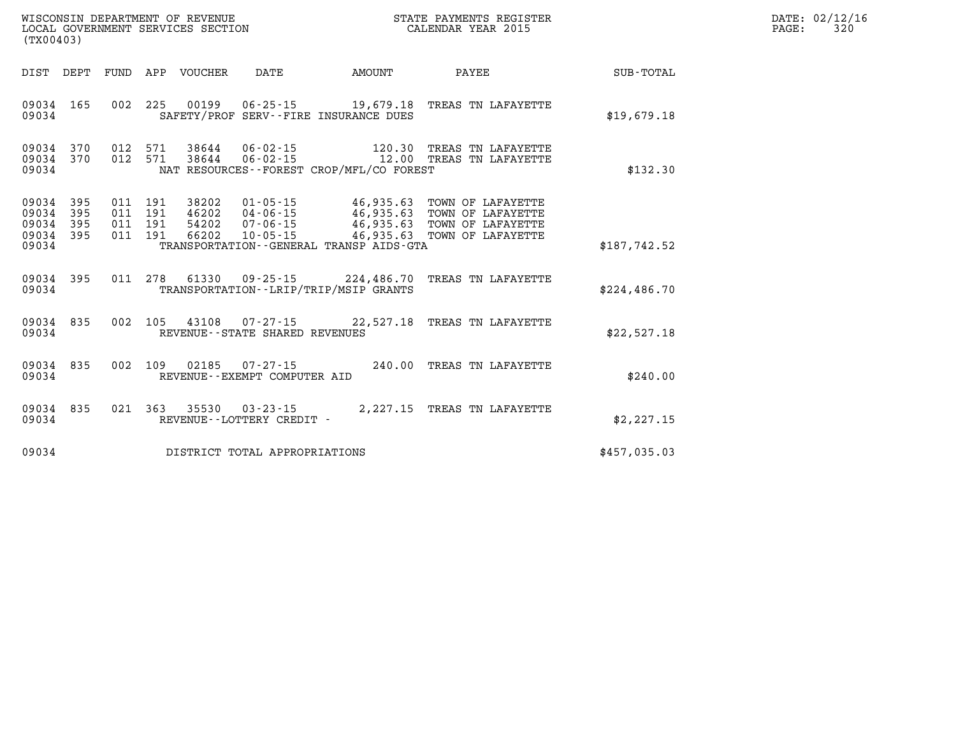| DATE: | 02/12/16 |
|-------|----------|
| PAGE: | 320      |

| WISCONSIN DEPARTMENT OF REVENUE<br>(TX00403)                                                      | LOCAL GOVERNMENT SERVICES SECTION                                                                                                                                                    | STATE PAYMENTS REGISTER<br>CALENDAR YEAR 2015                                                                                        |              |
|---------------------------------------------------------------------------------------------------|--------------------------------------------------------------------------------------------------------------------------------------------------------------------------------------|--------------------------------------------------------------------------------------------------------------------------------------|--------------|
| DIST<br>DEPT<br>FUND                                                                              | APP<br>VOUCHER<br><b>DATE</b><br><b>AMOUNT</b>                                                                                                                                       | PAYEE                                                                                                                                | SUB-TOTAL    |
| 002<br>09034<br>165<br>09034                                                                      | 225<br>00199<br>$06 - 25 - 15$<br>SAFETY/PROF SERV--FIRE INSURANCE DUES                                                                                                              | 19,679.18<br>TREAS TN LAFAYETTE                                                                                                      | \$19,679.18  |
| 012<br>09034<br>370<br>370<br>012<br>09034<br>09034                                               | 571<br>$06 - 02 - 15$<br>38644<br>$06 - 02 - 15$<br>571<br>38644<br>NAT RESOURCES - - FOREST CROP/MFL/CO FOREST                                                                      | 120.30<br>TREAS TN LAFAYETTE<br>12.00<br>TREAS TN LAFAYETTE                                                                          | \$132.30     |
| 09034<br>395<br>011<br>09034<br>395<br>011<br>09034<br>395<br>011<br>395<br>011<br>09034<br>09034 | $01 - 05 - 15$<br>191<br>38202<br>191<br>46202<br>$04 - 06 - 15$<br>191<br>54202<br>$07 - 06 - 15$<br>191<br>66202<br>$10 - 05 - 15$<br>TRANSPORTATION - - GENERAL TRANSP AIDS - GTA | 46,935.63<br>TOWN OF LAFAYETTE<br>46,935.63<br>TOWN OF LAFAYETTE<br>46,935.63<br>TOWN OF LAFAYETTE<br>46,935.63<br>TOWN OF LAFAYETTE | \$187,742.52 |
| 011<br>09034<br>395<br>09034                                                                      | 278<br>61330<br>$09 - 25 - 15$ 224,486.70<br>TRANSPORTATION--LRIP/TRIP/MSIP GRANTS                                                                                                   | TREAS TN LAFAYETTE                                                                                                                   | \$224,486.70 |
| 835<br>002<br>09034<br>09034                                                                      | 105<br>43108<br>$07 - 27 - 15$<br>REVENUE - - STATE SHARED REVENUES                                                                                                                  | 22,527.18<br>TREAS TN LAFAYETTE                                                                                                      | \$22,527.18  |
| 002<br>09034<br>835<br>09034                                                                      | 109<br>02185<br>$07 - 27 - 15$<br>REVENUE - - EXEMPT COMPUTER AID                                                                                                                    | 240.00<br>TREAS TN LAFAYETTE                                                                                                         | \$240.00     |
| 021<br>09034<br>835<br>09034                                                                      | 363<br>35530<br>$03 - 23 - 15$<br>REVENUE - - LOTTERY CREDIT -                                                                                                                       | 2,227.15<br>TREAS TN LAFAYETTE                                                                                                       | \$2,227.15   |
| 09034                                                                                             | DISTRICT TOTAL APPROPRIATIONS                                                                                                                                                        |                                                                                                                                      | \$457,035.03 |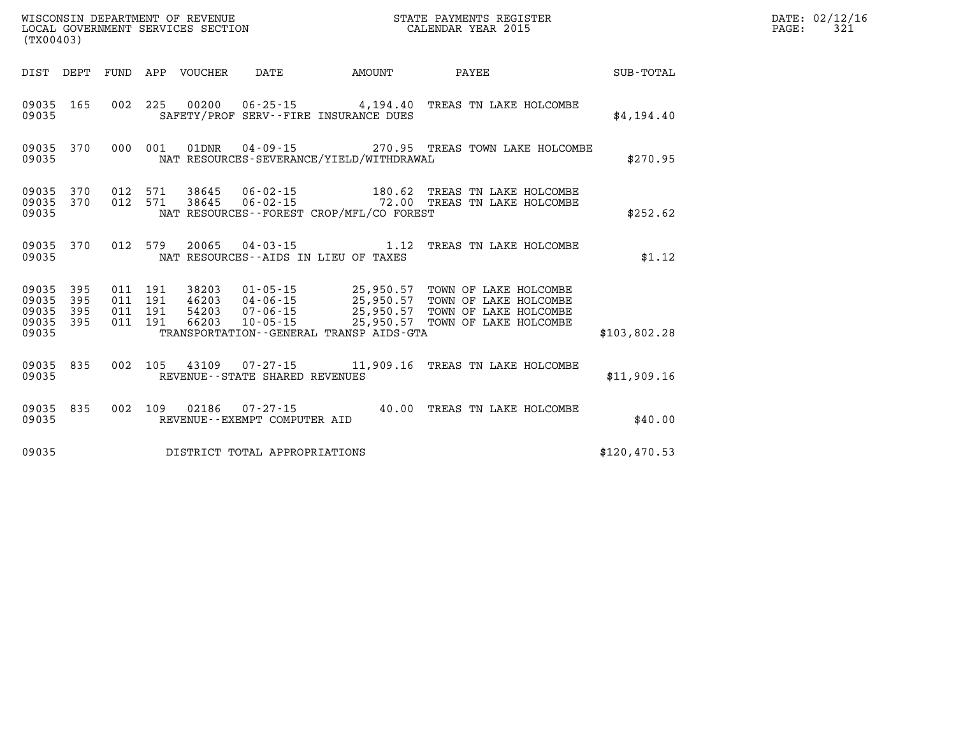| (TX00403)                            |                         |  |  |  |                                |                                          |                                                                                                                                                                                                                                                                                                                         | PAGE:        | DATE: 02/12/16<br>321 |  |
|--------------------------------------|-------------------------|--|--|--|--------------------------------|------------------------------------------|-------------------------------------------------------------------------------------------------------------------------------------------------------------------------------------------------------------------------------------------------------------------------------------------------------------------------|--------------|-----------------------|--|
|                                      |                         |  |  |  |                                |                                          |                                                                                                                                                                                                                                                                                                                         |              |                       |  |
| 09035 165<br>09035                   |                         |  |  |  |                                | SAFETY/PROF SERV--FIRE INSURANCE DUES    | 002 225 00200 06-25-15 4,194.40 TREAS TN LAKE HOLCOMBE                                                                                                                                                                                                                                                                  | \$4,194.40   |                       |  |
| 09035                                |                         |  |  |  |                                | NAT RESOURCES-SEVERANCE/YIELD/WITHDRAWAL | 09035 370 000 001 01DNR 04-09-15 270.95 TREAS TOWN LAKE HOLCOMBE                                                                                                                                                                                                                                                        | \$270.95     |                       |  |
| 09035 370<br>09035                   | 09035 370               |  |  |  |                                | NAT RESOURCES--FOREST CROP/MFL/CO FOREST | 012 571 38645 06-02-15 180.62 TREAS TN LAKE HOLCOMBE 012 571 38645 06-02-15 72.00 TREAS TN LAKE HOLCOMBE                                                                                                                                                                                                                | \$252.62     |                       |  |
| 09035                                | 09035 370               |  |  |  |                                | NAT RESOURCES--AIDS IN LIEU OF TAXES     | 012 579 20065 04-03-15 1.12 TREAS TN LAKE HOLCOMBE                                                                                                                                                                                                                                                                      | \$1.12       |                       |  |
| 09035<br>09035<br>09035 395<br>09035 | 09035 395<br>395<br>395 |  |  |  |                                | TRANSPORTATION--GENERAL TRANSP AIDS-GTA  | $\begin{tabular}{cccccc} 011 & 191 & 38203 & 01-05-15 & 25,950.57 & TOWN OF LAKE HOLCOMBE \\ 011 & 191 & 46203 & 04-06-15 & 25,950.57 & TOWN OF LAKE HOLCOMBE \\ 011 & 191 & 54203 & 07-06-15 & 25,950.57 & TOWN OF LAKE HOLCOMBE \\ 011 & 191 & 66203 & 10-05-15 & 25,950.57 & TOWN OF LAKE HOLCOMBE \\ \end{tabular}$ | \$103,802.28 |                       |  |
| 09035                                | 09035 835               |  |  |  | REVENUE--STATE SHARED REVENUES |                                          | 002 105 43109 07-27-15 11,909.16 TREAS TN LAKE HOLCOMBE                                                                                                                                                                                                                                                                 | \$11,909.16  |                       |  |
| 09035                                | 09035 835               |  |  |  | REVENUE--EXEMPT COMPUTER AID   |                                          | 002 109 02186 07-27-15 40.00 TREAS TN LAKE HOLCOMBE                                                                                                                                                                                                                                                                     | \$40.00      |                       |  |
| 09035                                |                         |  |  |  | DISTRICT TOTAL APPROPRIATIONS  |                                          |                                                                                                                                                                                                                                                                                                                         | \$120,470.53 |                       |  |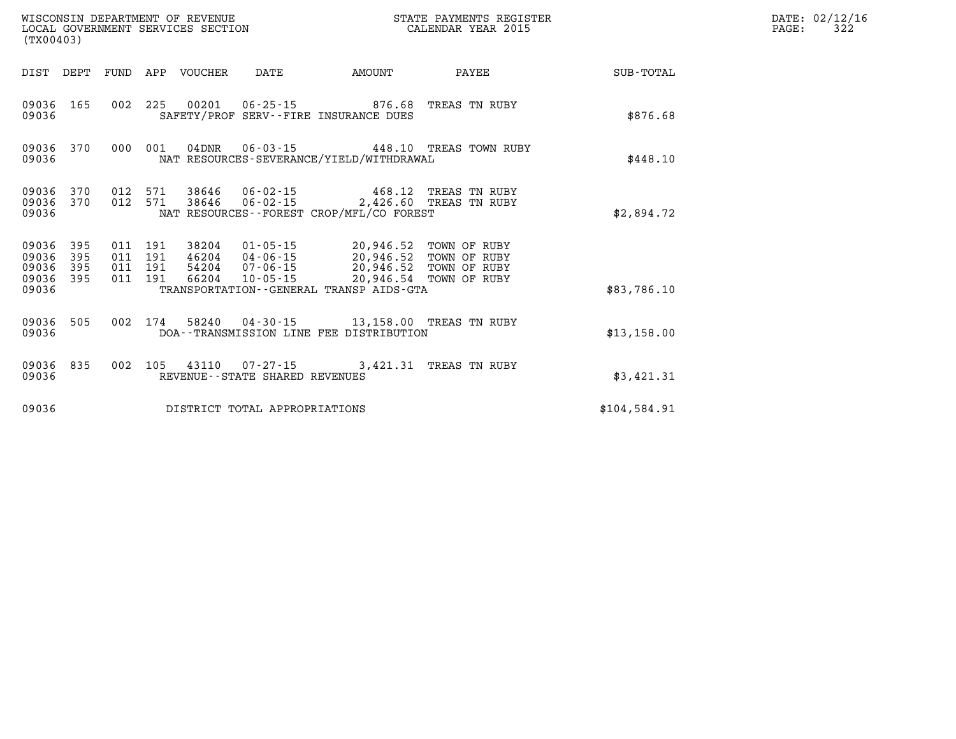| WISCONSIN DEPARTMENT OF REVENUE<br>LOCAL GOVERNMENT SERVICES SECTION<br>(TX00403) |                         |                    |                    |                            |                                                          |                                                                                                                                 | STATE PAYMENTS REGISTER<br>CALENDAR YEAR 2015 |              | DATE: 02/12/16<br>$\mathtt{PAGE:}$<br>322 |
|-----------------------------------------------------------------------------------|-------------------------|--------------------|--------------------|----------------------------|----------------------------------------------------------|---------------------------------------------------------------------------------------------------------------------------------|-----------------------------------------------|--------------|-------------------------------------------|
|                                                                                   |                         |                    |                    | DIST DEPT FUND APP VOUCHER | DATE                                                     | AMOUNT                                                                                                                          | PAYEE                                         | SUB-TOTAL    |                                           |
| 09036                                                                             | 09036 165               |                    | 002 225            |                            |                                                          | 00201  06-25-15  876.68 TREAS TN RUBY<br>SAFETY/PROF SERV--FIRE INSURANCE DUES                                                  |                                               | \$876.68     |                                           |
| 09036                                                                             | 09036 370               |                    | 000 001            |                            |                                                          | NAT RESOURCES-SEVERANCE/YIELD/WITHDRAWAL                                                                                        | 04DNR  06-03-15  448.10 TREAS TOWN RUBY       | \$448.10     |                                           |
| 09036                                                                             | 09036 370               |                    | 012 571            |                            | 38646 06-02-15                                           | 09036 370 012 571 38646 06-02-15 468.12 TREAS TN RUBY<br>NAT RESOURCES - - FOREST CROP/MFL/CO FOREST                            | 2,426.60 TREAS TN RUBY                        | \$2,894.72   |                                           |
| 09036<br>09036<br>09036 395<br>09036                                              | 09036 395<br>395<br>395 | 011 191<br>011 191 | 011 191<br>011 191 |                            |                                                          | 38204  01-05-15  20,946.52  TOWN OF RUBY<br>46204  04-06-15  20,946.52  TOWN OF RUBY<br>TRANSPORTATION--GENERAL TRANSP AIDS-GTA |                                               | \$83,786.10  |                                           |
| 09036                                                                             | 09036 505               |                    |                    |                            |                                                          | 002 174 58240 04-30-15 13,158.00 TREAS TN RUBY<br>DOA--TRANSMISSION LINE FEE DISTRIBUTION                                       |                                               | \$13,158.00  |                                           |
| 09036                                                                             | 09036 835               |                    |                    |                            | 002 105 43110 07-27-15<br>REVENUE--STATE SHARED REVENUES |                                                                                                                                 | 3,421.31 TREAS TN RUBY                        | \$3,421.31   |                                           |
| 09036                                                                             |                         |                    |                    |                            | DISTRICT TOTAL APPROPRIATIONS                            |                                                                                                                                 |                                               | \$104,584.91 |                                           |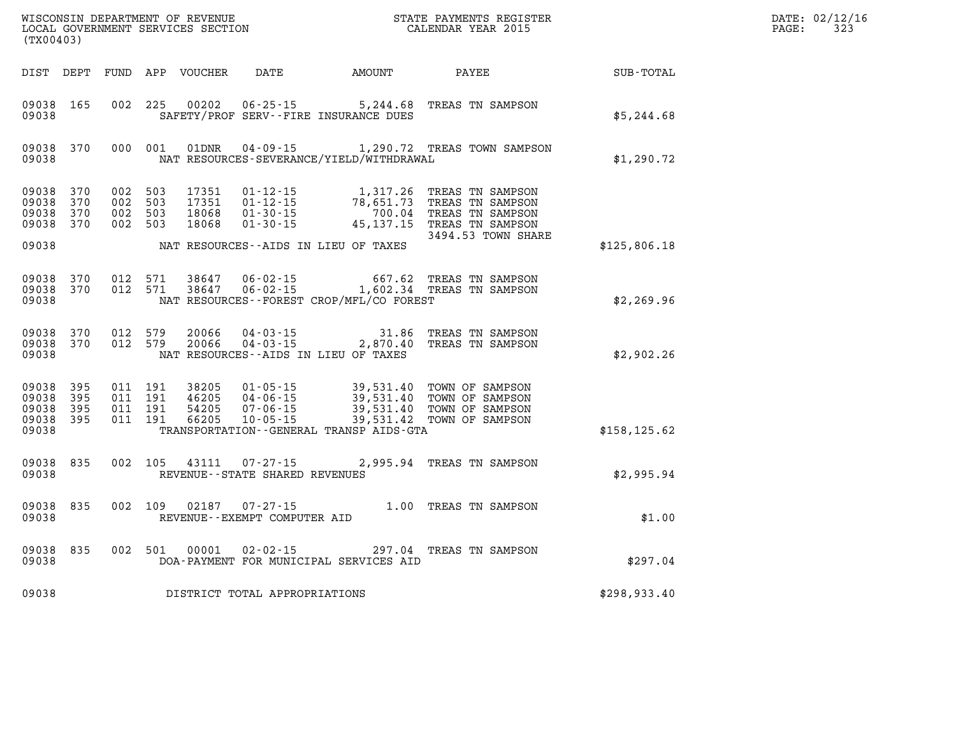| DATE: | 02/12/16 |
|-------|----------|
| PAGE: | 323      |

| (TX00403)               |                                      |  |                                          |                                  |                                                     |                                          |                                                                                                                                                                            |                  | DATE: 02/12/1<br>323<br>PAGE: |
|-------------------------|--------------------------------------|--|------------------------------------------|----------------------------------|-----------------------------------------------------|------------------------------------------|----------------------------------------------------------------------------------------------------------------------------------------------------------------------------|------------------|-------------------------------|
|                         | DIST DEPT                            |  |                                          | FUND APP VOUCHER                 |                                                     | DATE AMOUNT                              | PAYEE                                                                                                                                                                      | <b>SUB-TOTAL</b> |                               |
| 09038                   | 09038 165                            |  | 002 225                                  | 00202                            | $06 - 25 - 15$                                      | SAFETY/PROF SERV--FIRE INSURANCE DUES    | 5,244.68 TREAS TN SAMPSON                                                                                                                                                  | \$5,244.68       |                               |
| 09038                   | 09038 370                            |  | 000 001                                  | 01DNR                            |                                                     | NAT RESOURCES-SEVERANCE/YIELD/WITHDRAWAL | 04-09-15 1,290.72 TREAS TOWN SAMPSON                                                                                                                                       | \$1,290.72       |                               |
| 09038<br>09038<br>09038 | 370<br>370<br>09038 370<br>09038 370 |  | 002 503<br>002 503<br>002 503<br>002 503 | 17351<br>17351<br>18068<br>18068 |                                                     | NAT RESOURCES--AIDS IN LIEU OF TAXES     | 01-12-15 1,317.26 TREAS TN SAMPSON<br>01-12-15 78,651.73 TREAS TN SAMPSON<br>01-30-15 700.04 TREAS TN SAMPSON<br>01-30-15 45,137.15 TREAS TN SAMPSON<br>3494.53 TOWN SHARE | \$125,806.18     |                               |
| 09038                   | 09038 370<br>09038 370               |  | 012 571                                  | 38647<br>012 571 38647           |                                                     | NAT RESOURCES--FOREST CROP/MFL/CO FOREST | 06-02-15 667.62 TREAS TN SAMPSON<br>06-02-15 1,602.34 TREAS TN SAMPSON                                                                                                     | \$2,269.96       |                               |
| 09038<br>09038          | 370<br>09038 370                     |  | 012 579<br>012 579                       | 20066<br>20066                   |                                                     | NAT RESOURCES--AIDS IN LIEU OF TAXES     | 04-03-15 31.86 TREAS TN SAMPSON<br>04-03-15 2,870.40 TREAS TN SAMPSON                                                                                                      | \$2,902.26       |                               |
| 09038<br>09038<br>09038 | 09038 395<br>395<br>395<br>09038 395 |  | 011 191<br>011 191<br>011 191<br>011 191 | 54205<br>66205                   | $07 - 06 - 15$<br>$10 - 05 - 15$                    | TRANSPORTATION--GENERAL TRANSP AIDS-GTA  | 38205 01-05-15 39,531.40 TOWN OF SAMPSON<br>46205 04-06-15 39,531.40 TOWN OF SAMPSON<br>39,531.40 TOWN OF SAMPSON<br>39,531.42 TOWN OF SAMPSON                             | \$158, 125.62    |                               |
| 09038                   | 09038 835                            |  | 002 105                                  | 43111                            | $07 - 27 - 15$<br>REVENUE - - STATE SHARED REVENUES |                                          | 2,995.94 TREAS TN SAMPSON                                                                                                                                                  | \$2,995.94       |                               |
| 09038                   | 09038 835                            |  | 002 109                                  | 02187                            | REVENUE--EXEMPT COMPUTER AID                        |                                          | 07-27-15 1.00 TREAS TN SAMPSON                                                                                                                                             | \$1.00           |                               |
| 09038<br>09038          | 835                                  |  | 002 501                                  | 00001                            | $02 - 02 - 15$                                      | DOA-PAYMENT FOR MUNICIPAL SERVICES AID   | 297.04 TREAS TN SAMPSON                                                                                                                                                    | \$297.04         |                               |
| 09038                   |                                      |  |                                          |                                  | DISTRICT TOTAL APPROPRIATIONS                       |                                          |                                                                                                                                                                            | \$298,933.40     |                               |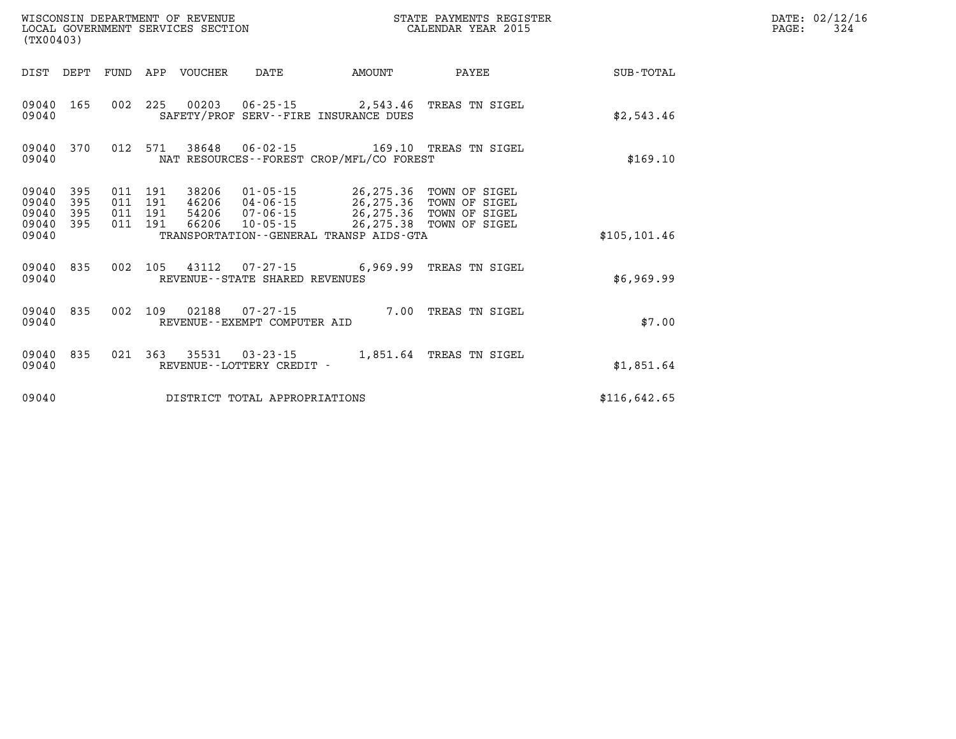| (TX00403)                                 |                          |                          |                          | WISCONSIN DEPARTMENT OF REVENUE<br>LOCAL GOVERNMENT SERVICES SECTION |                                                    |                                                                                                  | STATE PAYMENTS REGISTER<br>CALENDAR YEAR 2015                    |               |
|-------------------------------------------|--------------------------|--------------------------|--------------------------|----------------------------------------------------------------------|----------------------------------------------------|--------------------------------------------------------------------------------------------------|------------------------------------------------------------------|---------------|
| DIST                                      | DEPT                     | FUND                     | APP                      | VOUCHER                                                              | DATE                                               | AMOUNT                                                                                           | PAYEE                                                            | SUB-TOTAL     |
| 09040<br>09040                            | 165                      | 002                      | 225                      | 00203                                                                | $06 - 25 - 15$                                     | 2,543.46 TREAS TN SIGEL<br>SAFETY/PROF SERV--FIRE INSURANCE DUES                                 |                                                                  | \$2,543.46    |
| 09040<br>09040                            | 370                      | 012                      | 571                      | 38648                                                                | $06 - 02 - 15$                                     | NAT RESOURCES - - FOREST CROP/MFL/CO FOREST                                                      | 169.10 TREAS TN SIGEL                                            | \$169.10      |
| 09040<br>09040<br>09040<br>09040<br>09040 | 395<br>395<br>395<br>395 | 011<br>011<br>011<br>011 | 191<br>191<br>191<br>191 | 38206<br>46206<br>54206<br>66206                                     | $01 - 05 - 15$<br>04-06-15<br>07-06-15<br>10-05-15 | 26,275.36<br>26,275.36<br>26,275.36<br>26,275.38<br>TRANSPORTATION - - GENERAL TRANSP AIDS - GTA | TOWN OF SIGEL<br>TOWN OF SIGEL<br>TOWN OF SIGEL<br>TOWN OF SIGEL | \$105, 101.46 |
| 09040<br>09040                            | 835                      | 002                      | 105                      | 43112                                                                | REVENUE - - STATE SHARED REVENUES                  | $07 - 27 - 15$ 6,969.99                                                                          | TREAS TN SIGEL                                                   | \$6,969.99    |
| 09040<br>09040                            | 835                      | 002                      | 109                      | 02188                                                                | $07 - 27 - 15$<br>REVENUE--EXEMPT COMPUTER AID     | 7.00                                                                                             | TREAS TN SIGEL                                                   | \$7.00        |
| 09040<br>09040                            | 835                      | 021                      | 363                      | 35531                                                                | $03 - 23 - 15$<br>REVENUE--LOTTERY CREDIT -        | 1,851.64                                                                                         | TREAS TN SIGEL                                                   | \$1,851.64    |
| 09040                                     |                          |                          |                          |                                                                      | DISTRICT TOTAL APPROPRIATIONS                      |                                                                                                  |                                                                  | \$116,642.65  |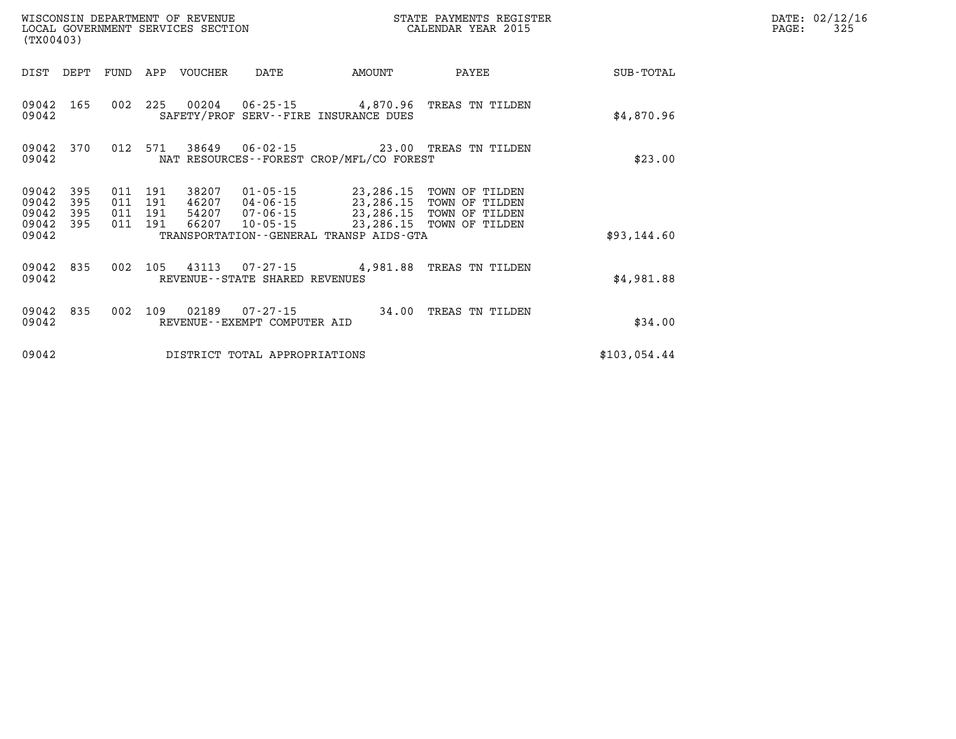| WISCONSIN DEPARTMENT OF REVENUE<br>LOCAL GOVERNMENT SERVICES SECTION<br>(TX00403) |            |            |            |                |                                                   |                                                           | STATE PAYMENTS REGISTER<br>CALENDAR YEAR 2015 |              |
|-----------------------------------------------------------------------------------|------------|------------|------------|----------------|---------------------------------------------------|-----------------------------------------------------------|-----------------------------------------------|--------------|
| DIST                                                                              | DEPT       | FUND       | APP        | <b>VOUCHER</b> | DATE                                              | AMOUNT                                                    | PAYEE                                         | SUB-TOTAL    |
| 09042<br>09042                                                                    | 165        | 002        | 225        | 00204          | $06 - 25 - 15$                                    | 4,870.96<br>SAFETY/PROF SERV--FIRE INSURANCE DUES         | TREAS TN TILDEN                               | \$4,870.96   |
| 09042<br>09042                                                                    | 370        | 012        | 571        | 38649          | $06 - 02 - 15$                                    | 23.00<br>NAT RESOURCES - - FOREST CROP/MFL/CO FOREST      | TREAS TN TILDEN                               | \$23.00      |
| 09042<br>09042                                                                    | 395<br>395 | 011<br>011 | 191<br>191 | 38207<br>46207 | $01 - 05 - 15$<br>04-06-15                        | 23,286.15<br>23,286.15                                    | TOWN OF TILDEN<br>TOWN OF TILDEN              |              |
| 09042<br>09042                                                                    | 395<br>395 | 011<br>011 | 191<br>191 | 54207<br>66207 | 07-06-15<br>10-05-15                              | 23,286.15                                                 | TOWN OF TILDEN<br>TOWN OF TILDEN              |              |
| 09042                                                                             |            |            |            |                |                                                   | 23,286.15<br>TRANSPORTATION - - GENERAL TRANSP AIDS - GTA |                                               | \$93,144.60  |
| 09042<br>09042                                                                    | 835        | 002        | 105        | 43113          | $07 - 27 - 15$<br>REVENUE--STATE SHARED REVENUES  | 4,981.88                                                  | TREAS TN TILDEN                               | \$4,981.88   |
| 09042<br>09042                                                                    | 835        | 002        | 109        | 02189          | $07 - 27 - 15$<br>REVENUE - - EXEMPT COMPUTER AID | 34.00                                                     | TREAS TN TILDEN                               | \$34.00      |
| 09042                                                                             |            |            |            |                | DISTRICT TOTAL APPROPRIATIONS                     |                                                           |                                               | \$103,054.44 |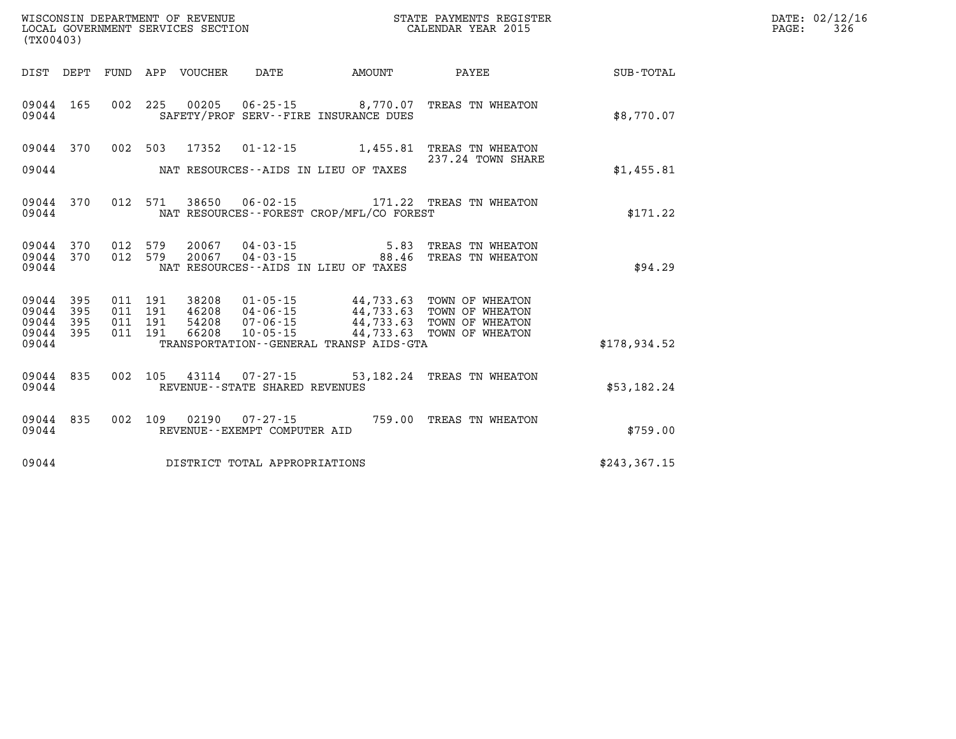|                                 | (TX00403)         |  |  |  |                                |                                              |                                                                                                                                                                                                                                                                                                                                                              |               | DATE: 02/12/16<br>$\mathtt{PAGE:}$<br>326 |
|---------------------------------|-------------------|--|--|--|--------------------------------|----------------------------------------------|--------------------------------------------------------------------------------------------------------------------------------------------------------------------------------------------------------------------------------------------------------------------------------------------------------------------------------------------------------------|---------------|-------------------------------------------|
|                                 |                   |  |  |  |                                |                                              | DIST DEPT FUND APP VOUCHER DATE AMOUNT PAYEE                                                                                                                                                                                                                                                                                                                 | SUB-TOTAL     |                                           |
| 09044 165<br>09044              |                   |  |  |  |                                | SAFETY/PROF SERV--FIRE INSURANCE DUES        | 002 225 00205 06-25-15 8,770.07 TREAS TN WHEATON                                                                                                                                                                                                                                                                                                             | \$8,770.07    |                                           |
| 09044 370                       |                   |  |  |  |                                |                                              | 002 503 17352 01-12-15 1,455.81 TREAS TN WHEATON<br>237.24 TOWN SHARE                                                                                                                                                                                                                                                                                        |               |                                           |
| 09044                           |                   |  |  |  |                                | NAT RESOURCES--AIDS IN LIEU OF TAXES         |                                                                                                                                                                                                                                                                                                                                                              | \$1,455.81    |                                           |
| 09044                           |                   |  |  |  |                                | NAT RESOURCES--FOREST CROP/MFL/CO FOREST     | 09044 370 012 571 38650 06-02-15 171.22 TREAS TN WHEATON                                                                                                                                                                                                                                                                                                     | \$171.22      |                                           |
| 09044 370<br>09044 370<br>09044 |                   |  |  |  |                                | NAT RESOURCES--AIDS IN LIEU OF TAXES         |                                                                                                                                                                                                                                                                                                                                                              | \$94.29       |                                           |
|                                 |                   |  |  |  |                                |                                              |                                                                                                                                                                                                                                                                                                                                                              |               |                                           |
| 09044<br>09044<br>09044         | 395<br>395<br>395 |  |  |  |                                |                                              | $\begin{tabular}{cccccc} 011 & 191 & 38208 & 01\text{-}05\text{-}15 & & 44\text{,}733.63 & TOWN OF WHEREATION \\ 011 & 191 & 46208 & 04\text{-}06\text{-}15 & & 44\text{,}733.63 & TOWN OF WHEREATION \\ 011 & 191 & 54208 & 07\text{-}06\text{-}15 & & 44\text{,}733.63 & TOWN OF WHEREATION \\ 011 & 191 & 66208 & 10\text{-}05\text{-}15 & & 44\text{,}7$ |               |                                           |
| 09044 395<br>09044              |                   |  |  |  |                                | TRANSPORTATION - - GENERAL TRANSP AIDS - GTA |                                                                                                                                                                                                                                                                                                                                                              | \$178,934.52  |                                           |
| 09044 835<br>09044              |                   |  |  |  | REVENUE--STATE SHARED REVENUES |                                              | 002 105 43114 07-27-15 53,182.24 TREAS TN WHEATON                                                                                                                                                                                                                                                                                                            | \$53,182.24   |                                           |
| 09044 835<br>09044              |                   |  |  |  | REVENUE--EXEMPT COMPUTER AID   |                                              | 002 109 02190 07-27-15 759.00 TREAS TN WHEATON                                                                                                                                                                                                                                                                                                               | \$759.00      |                                           |
| 09044                           |                   |  |  |  | DISTRICT TOTAL APPROPRIATIONS  |                                              |                                                                                                                                                                                                                                                                                                                                                              | \$243, 367.15 |                                           |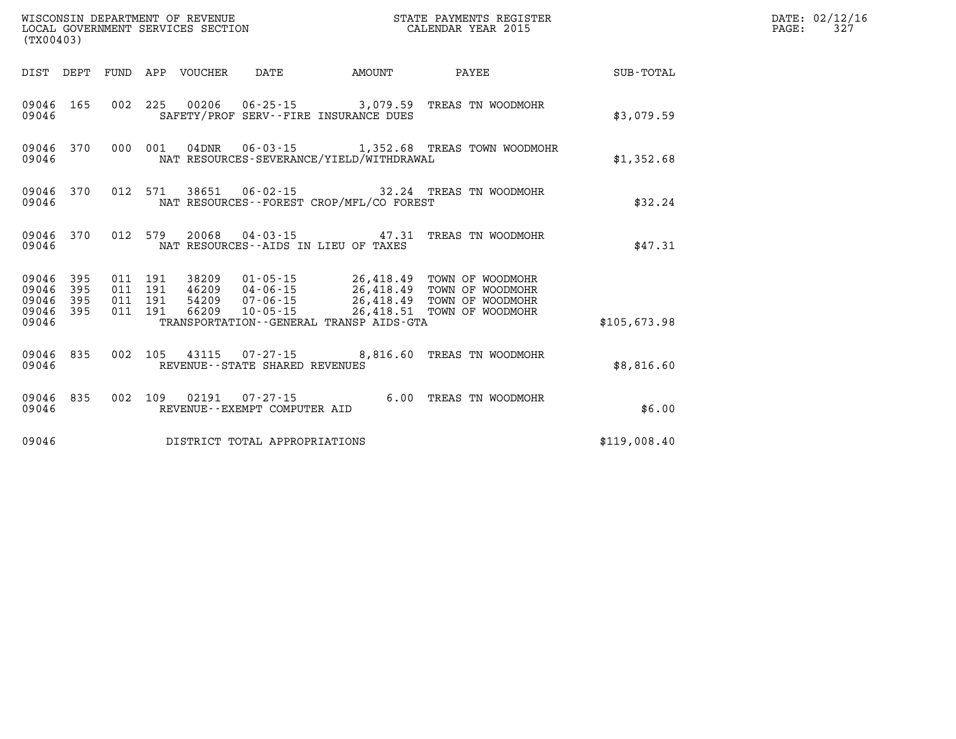|                                 | $\tt WISCONSIM DEPARTMENT OF REVENUE$ $\tt WISCONSIMENT$ SERVICES SECTION $\tt CALENDAR$ YEAR 2015<br>(TX00403) |  |  |                                 |                                |                                             |                                                                                                                                                                                                                                                                                                                                                      |              | DATE: 02/12/16<br>PAGE:<br>327 |
|---------------------------------|-----------------------------------------------------------------------------------------------------------------|--|--|---------------------------------|--------------------------------|---------------------------------------------|------------------------------------------------------------------------------------------------------------------------------------------------------------------------------------------------------------------------------------------------------------------------------------------------------------------------------------------------------|--------------|--------------------------------|
|                                 |                                                                                                                 |  |  | DIST DEPT FUND APP VOUCHER DATE |                                | <b>EXAMPLE THE PROPERTY OF A MOUNT</b>      | <b>PAYEE</b>                                                                                                                                                                                                                                                                                                                                         | SUB-TOTAL    |                                |
| 09046 165<br>09046              |                                                                                                                 |  |  |                                 |                                | SAFETY/PROF SERV--FIRE INSURANCE DUES       | 002 225 00206 06-25-15 3,079.59 TREAS TN WOODMOHR                                                                                                                                                                                                                                                                                                    | \$3,079.59   |                                |
| 09046                           |                                                                                                                 |  |  |                                 |                                | NAT RESOURCES-SEVERANCE/YIELD/WITHDRAWAL    | 09046 370 000 001 04DNR 06-03-15 1,352.68 TREAS TOWN WOODMOHR                                                                                                                                                                                                                                                                                        | \$1,352.68   |                                |
| 09046                           |                                                                                                                 |  |  |                                 |                                | NAT RESOURCES - - FOREST CROP/MFL/CO FOREST | 09046 370 012 571 38651 06-02-15 32.24 TREAS TN WOODMOHR                                                                                                                                                                                                                                                                                             | \$32.24      |                                |
| 09046                           | 09046 370                                                                                                       |  |  |                                 |                                | NAT RESOURCES--AIDS IN LIEU OF TAXES        | 012 579 20068 04-03-15 47.31 TREAS TN WOODMOHR                                                                                                                                                                                                                                                                                                       | \$47.31      |                                |
| 09046 395<br>09046 395<br>09046 | 09046 395<br>09046 395                                                                                          |  |  |                                 |                                | TRANSPORTATION--GENERAL TRANSP AIDS-GTA     | $\begin{array}{cccccc} 011 & 191 & 38209 & 01\cdot 05\cdot 15 & 26,418.49 & \text{TOWN OF WOODMOHR} \\ 011 & 191 & 46209 & 04\cdot 06\cdot 15 & 26,418.49 & \text{TOWN OF WOODMOHR} \\ 011 & 191 & 54209 & 07\cdot 06\cdot 15 & 26,418.49 & \text{TOWN OF WOODMOHR} \\ 011 & 191 & 66209 & 10\cdot 05\cdot 15 & 26,418.51 & \text{TOWN OF WOODMOHR}$ | \$105,673.98 |                                |
| 09046                           |                                                                                                                 |  |  |                                 | REVENUE--STATE SHARED REVENUES |                                             | 09046 835 002 105 43115 07-27-15 8,816.60 TREAS TN WOODMOHR                                                                                                                                                                                                                                                                                          | \$8,816.60   |                                |
| 09046 835<br>09046              |                                                                                                                 |  |  |                                 | REVENUE--EXEMPT COMPUTER AID   |                                             | 002 109 02191 07-27-15 6.00 TREAS TN WOODMOHR                                                                                                                                                                                                                                                                                                        | \$6.00       |                                |
| 09046                           |                                                                                                                 |  |  |                                 | DISTRICT TOTAL APPROPRIATIONS  |                                             |                                                                                                                                                                                                                                                                                                                                                      | \$119,008.40 |                                |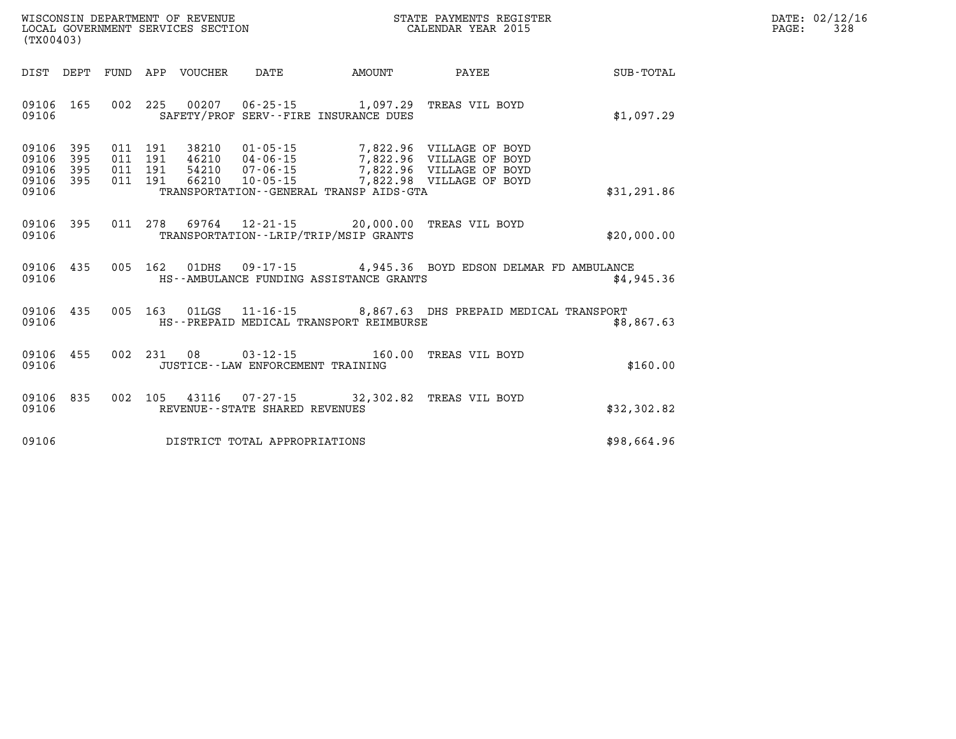| DATE: | 02/12/16 |
|-------|----------|
| PAGE: | 328      |

| (TX00403)                                 |                          |                          |                          |                                  |                                                        |                                                                           |                                                                                                                                |             |
|-------------------------------------------|--------------------------|--------------------------|--------------------------|----------------------------------|--------------------------------------------------------|---------------------------------------------------------------------------|--------------------------------------------------------------------------------------------------------------------------------|-------------|
| DIST                                      | DEPT                     | FUND                     | APP                      | VOUCHER                          | DATE                                                   | AMOUNT                                                                    | <b>PAYEE</b>                                                                                                                   | SUB-TOTAL   |
| 09106<br>09106                            | 165                      | 002                      | 225                      | 00207                            |                                                        | 06-25-15 1,097.29 TREAS VIL BOYD<br>SAFETY/PROF SERV--FIRE INSURANCE DUES |                                                                                                                                | \$1,097.29  |
| 09106<br>09106<br>09106<br>09106<br>09106 | 395<br>395<br>395<br>395 | 011<br>011<br>011<br>011 | 191<br>191<br>191<br>191 | 38210<br>46210<br>54210<br>66210 | 07-06-15<br>$10 - 05 - 15$                             | TRANSPORTATION--GENERAL TRANSP AIDS-GTA                                   | 01-05-15 7,822.96 VILLAGE OF BOYD<br>04-06-15 7,822.96 VILLAGE OF BOYD<br>7,822.96 VILLAGE OF BOYD<br>7,822.98 VILLAGE OF BOYD | \$31,291.86 |
| 09106<br>09106                            | 395                      | 011                      | 278                      | 69764                            |                                                        | $12 - 21 - 15$ 20,000.00<br>TRANSPORTATION--LRIP/TRIP/MSIP GRANTS         | TREAS VIL BOYD                                                                                                                 | \$20,000.00 |
| 09106<br>09106                            | 435                      | 005                      | 162                      |                                  |                                                        | HS--AMBULANCE FUNDING ASSISTANCE GRANTS                                   | 01DHS 09-17-15 4,945.36 BOYD EDSON DELMAR FD AMBULANCE                                                                         | \$4,945.36  |
| 09106<br>09106                            | 435                      | 005                      | 163                      | 01LGS                            |                                                        | HS--PREPAID MEDICAL TRANSPORT REIMBURSE                                   | 11-16-15 8,867.63 DHS PREPAID MEDICAL TRANSPORT                                                                                | \$8,867.63  |
| 09106<br>09106                            | 455                      | 002                      | 231                      | 08                               | $03 - 12 - 15$<br>JUSTICE - - LAW ENFORCEMENT TRAINING | 160.00                                                                    | TREAS VIL BOYD                                                                                                                 | \$160.00    |
| 09106<br>09106                            | 835                      | 002                      | 105                      | 43116                            | REVENUE--STATE SHARED REVENUES                         | 07-27-15 32,302.82 TREAS VIL BOYD                                         |                                                                                                                                | \$32,302.82 |
| 09106                                     |                          |                          |                          |                                  | DISTRICT TOTAL APPROPRIATIONS                          |                                                                           |                                                                                                                                | \$98,664.96 |

WISCONSIN DEPARTMENT OF REVENUE **STATE PAYMENTS REGISTER**<br>LOCAL GOVERNMENT SERVICES SECTION

LOCAL GOVERNMENT SERVICES SECTION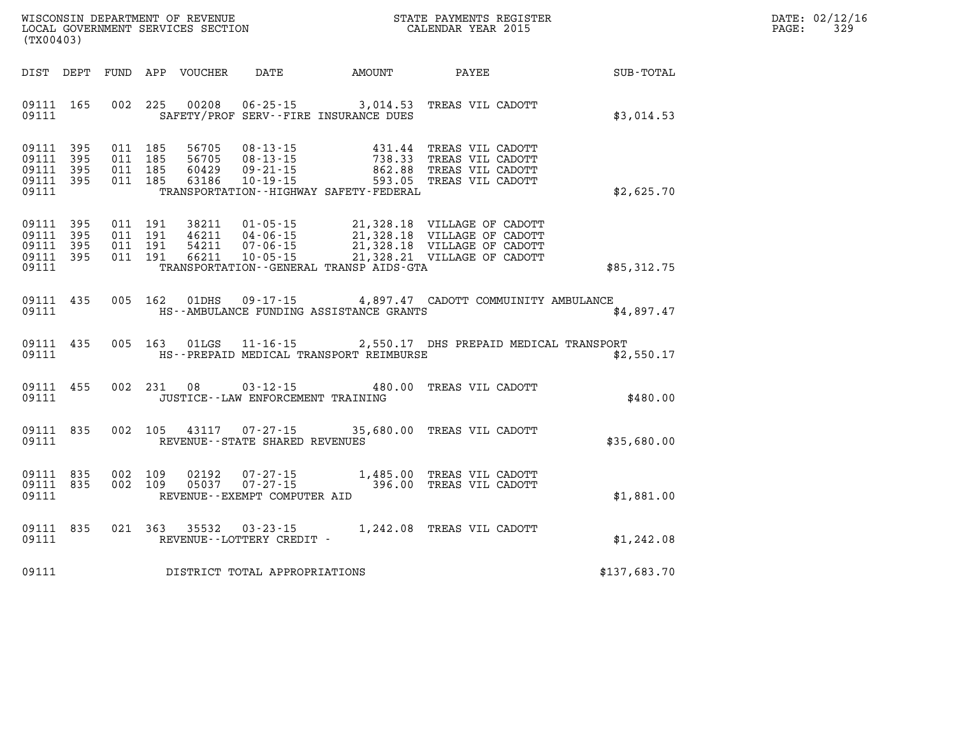|       | DATE: 02/12/16 |
|-------|----------------|
| PAGE: | 329            |

| (TX00403)                                                             | WISCONSIN DEPARTMENT OF REVENUE<br>LOCAL GOVERNMENT SERVICES SECTION                                                                           | S <sup>1</sup>                                                                                        | STATE PAYMENTS REGISTER<br>CALENDAR YEAR 2015                                                                  |              |  |
|-----------------------------------------------------------------------|------------------------------------------------------------------------------------------------------------------------------------------------|-------------------------------------------------------------------------------------------------------|----------------------------------------------------------------------------------------------------------------|--------------|--|
| FUND<br>DIST<br>DEPT                                                  | APP<br>DATE<br>VOUCHER                                                                                                                         | AMOUNT                                                                                                | PAYEE                                                                                                          | SUB-TOTAL    |  |
| 165<br>09111<br>09111                                                 | 002<br>225<br>00208                                                                                                                            | $06 - 25 - 15$ 3,014.53<br>SAFETY/PROF SERV--FIRE INSURANCE DUES                                      | TREAS VIL CADOTT                                                                                               | \$3,014.53   |  |
| 09111<br>395<br>395<br>09111<br>395<br>09111<br>09111<br>395<br>09111 | 185<br>011<br>56705<br>$08 - 13 - 15$<br>011<br>185<br>56705<br>$08 - 13 - 15$<br>011<br>185<br>60429<br>$09 - 21 - 15$<br>011<br>185<br>63186 | 431.44<br>738.33<br>862.88<br>$10 - 19 - 15$<br>593.05<br>TRANSPORTATION - - HIGHWAY SAFETY - FEDERAL | TREAS VIL CADOTT<br>TREAS VIL CADOTT<br>TREAS VIL CADOTT<br>TREAS VIL CADOTT                                   | \$2,625.70   |  |
| 09111<br>395<br>09111<br>395<br>09111<br>395<br>09111<br>395<br>09111 | 011<br>191<br>38211<br>$01 - 05 - 15$<br>011<br>191<br>46211<br>$04 - 06 - 15$<br>011<br>191<br>54211<br>$07 - 06 - 15$<br>66211<br>011<br>191 | 21,328.18<br>$10 - 05 - 15$<br>TRANSPORTATION--GENERAL TRANSP AIDS-GTA                                | 21,328.18 VILLAGE OF CADOTT<br>21,328.18 VILLAGE OF CADOTT<br>VILLAGE OF CADOTT<br>21,328.21 VILLAGE OF CADOTT | \$85,312.75  |  |
| 435<br>09111<br>09111                                                 | 005<br>162<br>01DHS                                                                                                                            | HS--AMBULANCE FUNDING ASSISTANCE GRANTS                                                               | 09-17-15 4,897.47 CADOTT COMMUINITY AMBULANCE                                                                  | \$4,897.47   |  |
| 09111<br>435<br>09111                                                 | 163<br>005<br>01LGS<br>$11 - 16 - 15$                                                                                                          | HS--PREPAID MEDICAL TRANSPORT REIMBURSE                                                               | 2,550.17 DHS PREPAID MEDICAL TRANSPORT                                                                         | \$2,550.17   |  |
| 09111<br>455<br>09111                                                 | 002<br>231<br>08<br>$03 - 12 - 15$<br>JUSTICE - - LAW ENFORCEMENT TRAINING                                                                     | 480.00                                                                                                | TREAS VIL CADOTT                                                                                               | \$480.00     |  |
| 835<br>09111<br>09111                                                 | 002<br>105<br>43117<br>REVENUE - - STATE SHARED REVENUES                                                                                       | $07 - 27 - 15$                                                                                        | 35,680.00 TREAS VIL CADOTT                                                                                     | \$35,680.00  |  |
| 09111<br>835<br>09111<br>835<br>09111                                 | 002<br>109<br>02192<br>002<br>109<br>05037<br>REVENUE--EXEMPT COMPUTER AID                                                                     | 07-27-15 1,485.00 TREAS VIL CADOTT<br>07-27-15 396.00 TREAS VIL CADOTT                                |                                                                                                                | \$1,881.00   |  |
| 835<br>09111<br>09111                                                 | 021<br>363<br>35532<br>$03 - 23 - 15$<br>REVENUE--LOTTERY CREDIT -                                                                             |                                                                                                       | 1,242.08 TREAS VIL CADOTT                                                                                      | \$1,242.08   |  |
| 09111                                                                 | DISTRICT TOTAL APPROPRIATIONS                                                                                                                  |                                                                                                       |                                                                                                                | \$137,683.70 |  |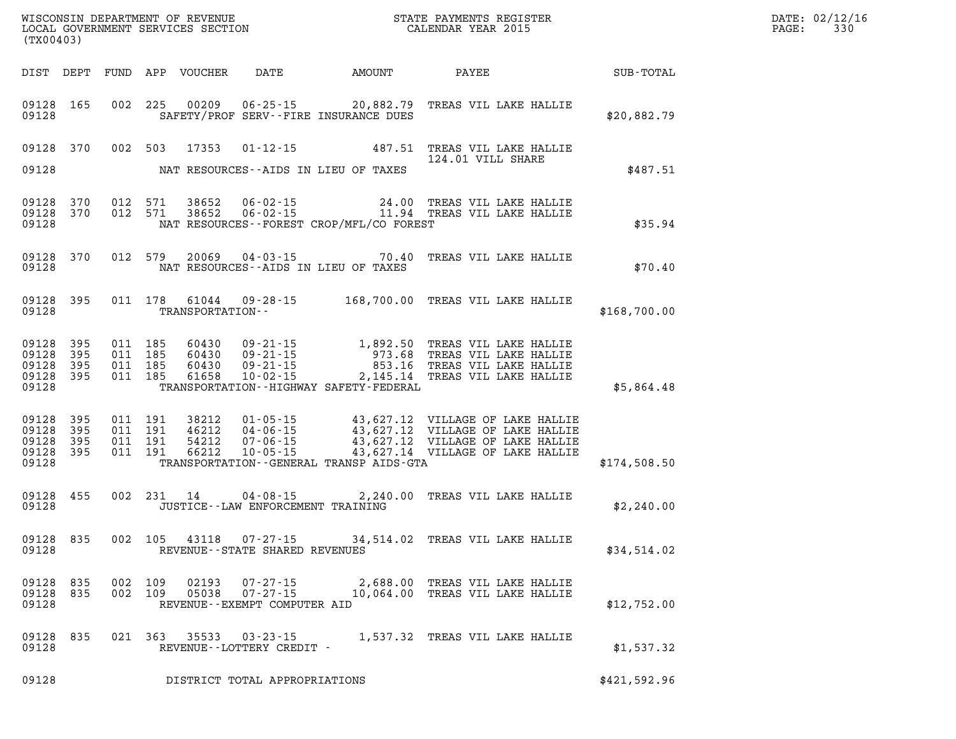| (TX00403)                                             |                  |                                          |                  |                                   |                                              | WISCONSIN DEPARTMENT OF REVENUE<br>LOCAL GOVERNMENT SERVICES SECTION FOR THE STATE PAYMENTS REGISTER<br>CALENDAR YEAR 2015                                                                                                   | $\mathbb{R}^n$ | DATE: 02/12/16<br>$\mathtt{PAGE:}$<br>330 |
|-------------------------------------------------------|------------------|------------------------------------------|------------------|-----------------------------------|----------------------------------------------|------------------------------------------------------------------------------------------------------------------------------------------------------------------------------------------------------------------------------|----------------|-------------------------------------------|
|                                                       |                  |                                          |                  |                                   |                                              | DIST DEPT FUND APP VOUCHER DATE AMOUNT PAYEE SUB-TOTAL                                                                                                                                                                       |                |                                           |
| 09128                                                 | 09128 165        |                                          |                  |                                   | SAFETY/PROF SERV--FIRE INSURANCE DUES        | 002 225 00209 06-25-15 20,882.79 TREAS VIL LAKE HALLIE                                                                                                                                                                       | \$20,882.79    |                                           |
|                                                       |                  |                                          |                  |                                   |                                              | 09128 370 002 503 17353 01-12-15 487.51 TREAS VIL LAKE HALLIE<br>124.01 VILL SHARE                                                                                                                                           |                |                                           |
| 09128                                                 |                  |                                          |                  |                                   | NAT RESOURCES--AIDS IN LIEU OF TAXES         |                                                                                                                                                                                                                              | \$487.51       |                                           |
| 09128 370<br>09128                                    | 09128 370        |                                          |                  |                                   | NAT RESOURCES--FOREST CROP/MFL/CO FOREST     | 012 571 38652 06-02-15 24.00 TREAS VIL LAKE HALLIE<br>012 571 38652 06-02-15 11.94 TREAS VIL LAKE HALLIE                                                                                                                     | \$35.94        |                                           |
| 09128                                                 |                  |                                          |                  |                                   | NAT RESOURCES--AIDS IN LIEU OF TAXES         | 09128 370 012 579 20069 04-03-15 70.40 TREAS VIL LAKE HALLIE                                                                                                                                                                 | \$70.40        |                                           |
| 09128                                                 |                  |                                          | TRANSPORTATION-- |                                   |                                              | 09128 395 011 178 61044 09-28-15 168,700.00 TREAS VIL LAKE HALLIE                                                                                                                                                            | \$168,700.00   |                                           |
| 09128<br>09128 395<br>09128 395<br>09128              | 09128 395<br>395 |                                          |                  |                                   | TRANSPORTATION - - HIGHWAY SAFETY - FEDERAL  | 011 185 60430 09-21-15 1,892.50 TREAS VIL LAKE HALLIE<br>011 185 60430 09-21-15 973.68 TREAS VIL LAKE HALLIE<br>011 185 60430 09-21-15 853.16 TREAS VIL LAKE HALLIE<br>011 185 61658 10-02-15 2,145.14 TREAS VIL LAKE HALLIE | \$5,864.48     |                                           |
| 09128<br>09128 395<br>09128 395<br>09128 395<br>09128 | 395              | 011 191<br>011 191<br>011 191<br>011 191 |                  |                                   | TRANSPORTATION - - GENERAL TRANSP AIDS - GTA | 38212  01-05-15  43,627.12  VILLAGE OF LAKE HALLIE<br>46212  04-06-15  43,627.12  VILLAGE OF LAKE HALLIE<br>54212  07-06-15  43,627.12  VILLAGE OF LAKE HALLIE<br>66212  10-05-15  43,627.14  VILLAGE OF LAKE HALLIE         | \$174,508.50   |                                           |
| 09128                                                 | 09128 455        |                                          |                  | JUSTICE--LAW ENFORCEMENT TRAINING |                                              | 002 231 14 04-08-15 2,240.00 TREAS VIL LAKE HALLIE                                                                                                                                                                           | \$2,240.00     |                                           |
| 09128                                                 |                  |                                          |                  |                                   | REVENUE - - STATE SHARED REVENUES            | 09128 835 002 105 43118 07-27-15 34,514.02 TREAS VIL LAKE HALLIE                                                                                                                                                             | \$34,514.02    |                                           |
| 09128 835<br>09128                                    | 09128 835        |                                          |                  | REVENUE--EXEMPT COMPUTER AID      |                                              | 002 109 02193 07-27-15 2,688.00 TREAS VIL LAKE HALLIE<br>002 109 05038 07-27-15 10,064.00 TREAS VIL LAKE HALLIE                                                                                                              | \$12,752.00    |                                           |
| 09128 835<br>09128                                    |                  |                                          |                  | REVENUE--LOTTERY CREDIT -         |                                              | 021 363 35533 03-23-15 1,537.32 TREAS VIL LAKE HALLIE                                                                                                                                                                        | \$1,537.32     |                                           |
| 09128                                                 |                  |                                          |                  | DISTRICT TOTAL APPROPRIATIONS     |                                              |                                                                                                                                                                                                                              | \$421,592.96   |                                           |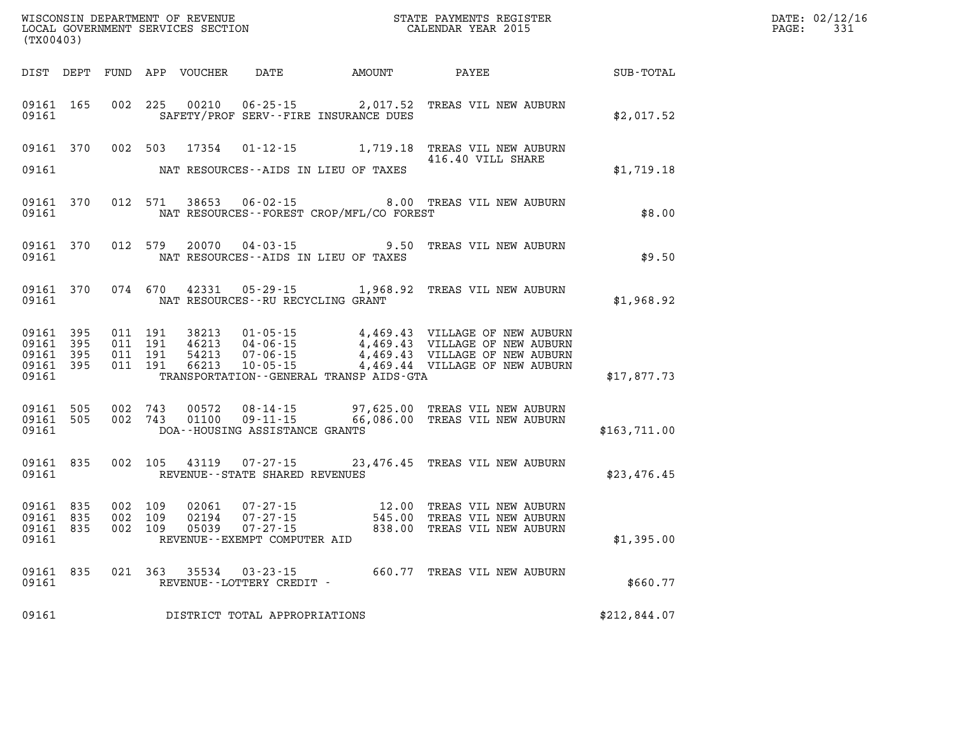| DATE: | 02/12/16 |
|-------|----------|
| PAGE: | 331      |

| (TX00403) |                                                  |                               |                         |                                                          |                                              |                                                                                                                                                                                                                                                                                                                                                           | $\mathbb{R}^n$       | DATE: 02/12/1<br>$\mathtt{PAGE:}$<br>331 |
|-----------|--------------------------------------------------|-------------------------------|-------------------------|----------------------------------------------------------|----------------------------------------------|-----------------------------------------------------------------------------------------------------------------------------------------------------------------------------------------------------------------------------------------------------------------------------------------------------------------------------------------------------------|----------------------|------------------------------------------|
|           |                                                  |                               |                         |                                                          | DIST DEPT FUND APP VOUCHER DATE AMOUNT PAYEE |                                                                                                                                                                                                                                                                                                                                                           | $\texttt{SUB-TOTAL}$ |                                          |
| 09161     | 09161 165                                        | 002 225                       | 00210                   |                                                          | SAFETY/PROF SERV--FIRE INSURANCE DUES        | 06-25-15 2,017.52 TREAS VIL NEW AUBURN                                                                                                                                                                                                                                                                                                                    | \$2,017.52           |                                          |
| 09161     | 09161 370                                        |                               |                         |                                                          | NAT RESOURCES--AIDS IN LIEU OF TAXES         | 002 503 17354 01-12-15 1,719.18 TREAS VIL NEW AUBURN<br>416.40 VILL SHARE                                                                                                                                                                                                                                                                                 | \$1,719.18           |                                          |
| 09161     | 09161 370                                        | 012 571                       | 38653                   |                                                          | NAT RESOURCES - - FOREST CROP/MFL/CO FOREST  | 06-02-15 8.00 TREAS VIL NEW AUBURN                                                                                                                                                                                                                                                                                                                        | \$8.00               |                                          |
| 09161     | 09161 370                                        |                               |                         |                                                          | NAT RESOURCES--AIDS IN LIEU OF TAXES         | 012 579 20070 04-03-15 9.50 TREAS VIL NEW AUBURN                                                                                                                                                                                                                                                                                                          | \$9.50               |                                          |
| 09161     | 09161 370                                        |                               |                         | NAT RESOURCES--RU RECYCLING GRANT                        |                                              | 074 670 42331 05-29-15 1,968.92 TREAS VIL NEW AUBURN                                                                                                                                                                                                                                                                                                      | \$1,968.92           |                                          |
| 09161     | 09161 395<br>09161 395<br>09161 395<br>09161 395 |                               |                         |                                                          | TRANSPORTATION--GENERAL TRANSP AIDS-GTA      | $\begin{array}{cccc} 011 & 191 & 38213 & 01\cdot 05\cdot 15 & 4\text{ ,}469\text{ .}43 & \text{VILLAGE OF NEW AUBURN} \\ 011 & 191 & 46213 & 04\cdot 06\cdot 15 & 4\text{ ,}469\text{ .}43 & \text{VILLAGE OF NEW AUBURN} \\ 011 & 191 & 54213 & 07\cdot 06\cdot 15 & 4\text{ ,}469\text{ .}43 & \text{VILLAGE OF NEW AUBURN} \\ 011 & 191 & 66213 & 10\$ | \$17,877.73          |                                          |
| 09161     | 09161 505<br>09161 505                           |                               |                         | DOA--HOUSING ASSISTANCE GRANTS                           |                                              | 002 743 00572 08-14-15 97,625.00 TREAS VIL NEW AUBURN<br>002 743 01100 09-11-15 66,086.00 TREAS VIL NEW AUBURN                                                                                                                                                                                                                                            | \$163,711.00         |                                          |
| 09161     | 09161 835                                        |                               |                         | 002 105 43119 07-27-15<br>REVENUE--STATE SHARED REVENUES |                                              | 23,476.45 TREAS VIL NEW AUBURN                                                                                                                                                                                                                                                                                                                            | \$23,476.45          |                                          |
| 09161     | 09161 835<br>09161 835<br>09161 835              | 002 109<br>002 109<br>002 109 | 02061<br>02194<br>05039 | REVENUE--EXEMPT COMPUTER AID                             |                                              |                                                                                                                                                                                                                                                                                                                                                           | \$1,395.00           |                                          |
|           | 09161 835<br>09161                               |                               |                         |                                                          |                                              |                                                                                                                                                                                                                                                                                                                                                           | \$660.77             |                                          |
| 09161     |                                                  |                               |                         | DISTRICT TOTAL APPROPRIATIONS                            |                                              |                                                                                                                                                                                                                                                                                                                                                           | \$212,844.07         |                                          |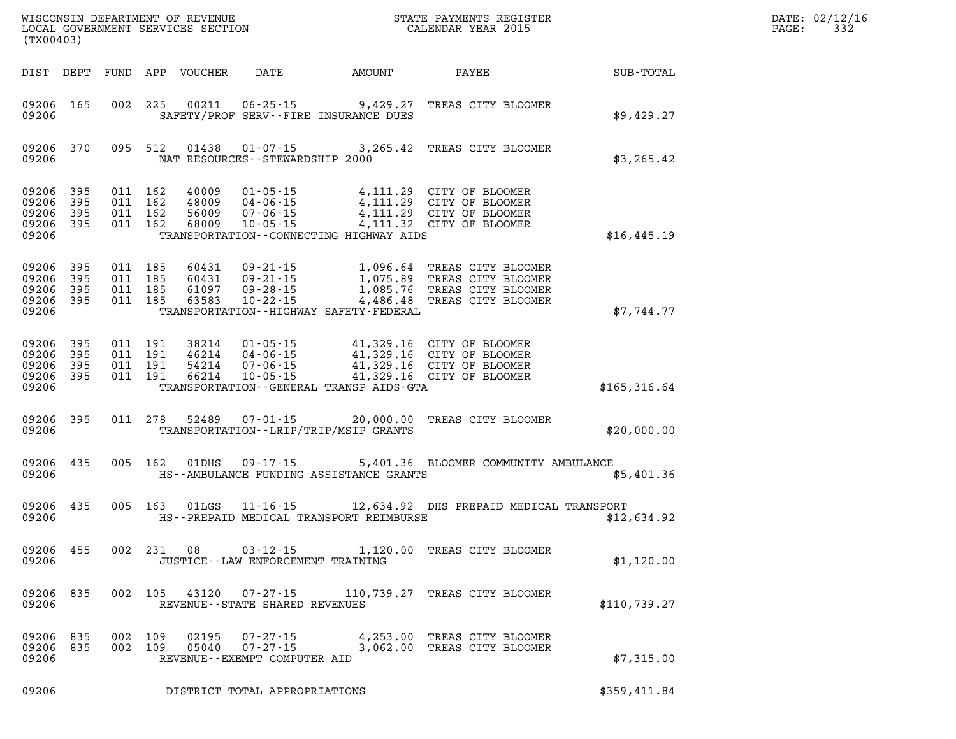| WISCONSIN DEPARTMENT OF REVENUE<br>LOCAL GOVERNMENT SERVICES SECTION<br>CALENDAR YEAR 2015<br>(TX00403) |           |                                                              |  |  |                                      |                                              |                                                                                                                                                                                                                                                                                                                                              | DATE: 02/12/16<br>$\mathtt{PAGE:}$<br>332 |  |
|---------------------------------------------------------------------------------------------------------|-----------|--------------------------------------------------------------|--|--|--------------------------------------|----------------------------------------------|----------------------------------------------------------------------------------------------------------------------------------------------------------------------------------------------------------------------------------------------------------------------------------------------------------------------------------------------|-------------------------------------------|--|
|                                                                                                         |           |                                                              |  |  |                                      | DIST DEPT FUND APP VOUCHER DATE AMOUNT PAYEE |                                                                                                                                                                                                                                                                                                                                              | SUB-TOTAL                                 |  |
| 09206                                                                                                   | 09206 165 |                                                              |  |  |                                      | SAFETY/PROF SERV--FIRE INSURANCE DUES        | 002 225 00211 06-25-15 9,429.27 TREAS CITY BLOOMER                                                                                                                                                                                                                                                                                           | \$9,429.27                                |  |
|                                                                                                         |           |                                                              |  |  | 09206 MAT RESOURCES-STEWARDSHIP 2000 |                                              | 09206 370 095 512 01438 01-07-15 3,265.42 TREAS CITY BLOOMER                                                                                                                                                                                                                                                                                 | \$3, 265.42                               |  |
| 09206 395<br>09206                                                                                      | 09206 395 | 09206 395 011 162<br>011 162<br>09206 395 011 162<br>011 162 |  |  |                                      | TRANSPORTATION--CONNECTING HIGHWAY AIDS      | 40009 01-05-15 4,111.29 CITY OF BLOOMER<br>48009 04-06-15 4,111.29 CITY OF BLOOMER<br>56009 07-06-15 4,111.29 CITY OF BLOOMER<br>68009 10-05-15 4,111.32 CITY OF BLOOMER                                                                                                                                                                     | \$16,445.19                               |  |
| 09206                                                                                                   |           |                                                              |  |  |                                      | TRANSPORTATION - - HIGHWAY SAFETY - FEDERAL  | $\begin{array}{cccccccc} 09206 & 395 & 011 & 185 & 60431 & 09\text{-}21\text{-}15 & & 1,096.64 & \text{TREAS CITY BLOOMER} \\ 09206 & 395 & 011 & 185 & 60431 & 09\text{-}21\text{-}15 & & 1,075.89 & \text{TREAS CITY BLOOMER} \\ 09206 & 395 & 011 & 185 & 61097 & 09\text{-}28\text{-}15 & & 1,085.76 & \text{TREAS CITY BLOOMER} \\ 092$ | \$7,744.77                                |  |
| 09206                                                                                                   |           |                                                              |  |  |                                      | TRANSPORTATION--GENERAL TRANSP AIDS-GTA      | $\begin{array}{cccccccc} 09206 & 395 & 011 & 191 & 38214 & 01\cdot05\cdot15 & 41,329.16 & CITY OF BLOOMER \\ 09206 & 395 & 011 & 191 & 46214 & 04\cdot06\cdot15 & 41,329.16 & CITY OF BLOOMER \\ 09206 & 395 & 011 & 191 & 54214 & 07\cdot06\cdot15 & 41,329.16 & CITY OF BLOOMER \\ 09206 & 395 & 011 & 191 & 66214 & 10$                   | \$165, 316.64                             |  |
| 09206                                                                                                   |           | 09206 395 011 278                                            |  |  |                                      | TRANSPORTATION--LRIP/TRIP/MSIP GRANTS        | 52489  07-01-15  20,000.00  TREAS CITY BLOOMER                                                                                                                                                                                                                                                                                               | \$20,000.00                               |  |
| 09206                                                                                                   |           |                                                              |  |  |                                      | HS--AMBULANCE FUNDING ASSISTANCE GRANTS      | 09206 435 005 162 01DHS 09-17-15 5,401.36 BLOOMER COMMUNITY AMBULANCE                                                                                                                                                                                                                                                                        | \$5,401.36                                |  |
| 09206                                                                                                   | 09206 435 |                                                              |  |  |                                      | HS--PREPAID MEDICAL TRANSPORT REIMBURSE      | 005 163 01LGS 11-16-15 12,634.92 DHS PREPAID MEDICAL TRANSPORT                                                                                                                                                                                                                                                                               | \$12,634.92                               |  |
| 09206                                                                                                   | 09206 455 |                                                              |  |  | JUSTICE -- LAW ENFORCEMENT TRAINING  |                                              | 002 231 08 03-12-15 1,120.00 TREAS CITY BLOOMER                                                                                                                                                                                                                                                                                              | \$1,120.00                                |  |
| 09206 835<br>09206                                                                                      |           |                                                              |  |  | REVENUE - - STATE SHARED REVENUES    |                                              | 002 105 43120 07-27-15 110,739.27 TREAS CITY BLOOMER                                                                                                                                                                                                                                                                                         | \$110,739.27                              |  |

**09206 835 002 109 02195 07-27-15 4,253.00 TREAS CITY BLOOMER 09206 835 002 109 05040 07-27-15 3,062.00 TREAS CITY BLOOMER**  09206 835 002 109 05040 07-27-15 3,062.00 TREAS CITY BLOOMER<br>09206 REVENUE--EXEMPT COMPUTER AID

**09206 DISTRICT TOTAL APPROPRIATIONS \$359,411.84**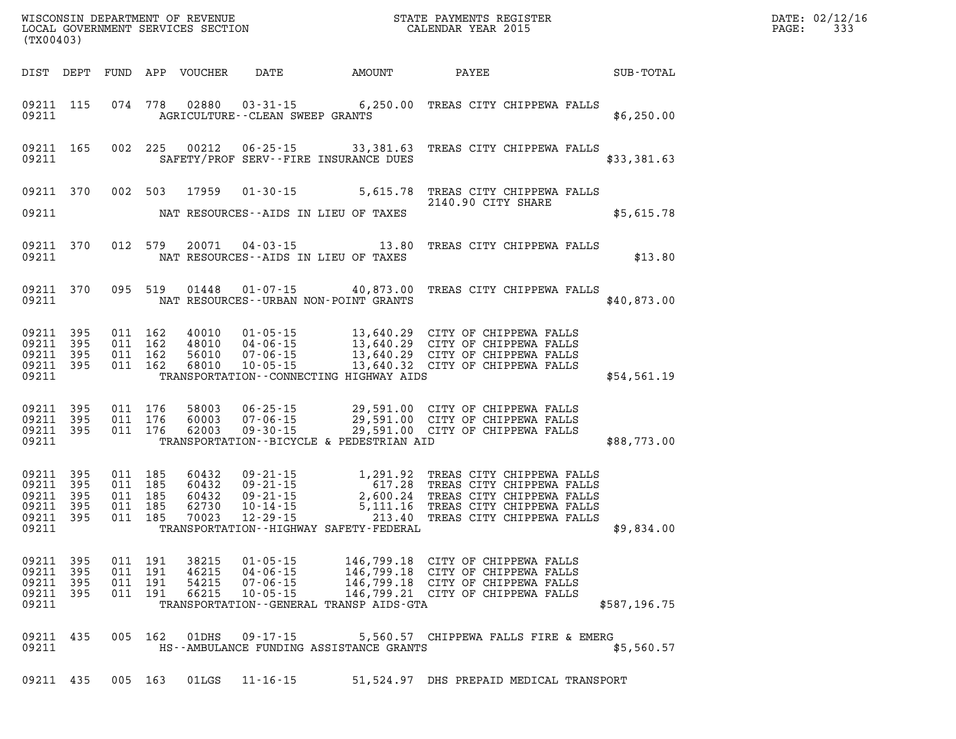| DATE: | 02/12/16 |
|-------|----------|
| PAGE: | 333      |

| (TX00403)               |                                                               |            |                                          |                                  |                                                                      |                                                                                                                                                                                                                                                                                      |                                                                                                                                                  |              | DATE: 02/12/1<br>333<br>$\mathtt{PAGE}$ : |
|-------------------------|---------------------------------------------------------------|------------|------------------------------------------|----------------------------------|----------------------------------------------------------------------|--------------------------------------------------------------------------------------------------------------------------------------------------------------------------------------------------------------------------------------------------------------------------------------|--------------------------------------------------------------------------------------------------------------------------------------------------|--------------|-------------------------------------------|
|                         |                                                               |            |                                          |                                  |                                                                      |                                                                                                                                                                                                                                                                                      |                                                                                                                                                  |              |                                           |
|                         | 09211                                                         |            |                                          |                                  | AGRICULTURE - - CLEAN SWEEP GRANTS                                   | 09211 115 074 778 02880 03-31-15 6,250.00 TREAS CITY CHIPPEWA FALLS                                                                                                                                                                                                                  |                                                                                                                                                  | \$6,250.00   |                                           |
|                         | 09211 165<br>09211                                            |            |                                          |                                  |                                                                      | 002 225 00212 06-25-15 33,381.63 TREAS CITY CHIPPEWA FALLS<br>SAFETY/PROF SERV--FIRE INSURANCE DUES                                                                                                                                                                                  |                                                                                                                                                  | \$33,381.63  |                                           |
|                         |                                                               |            |                                          |                                  |                                                                      | 09211 370 002 503 17959 01-30-15 5,615.78 TREAS CITY CHIPPEWA FALLS<br>2140.90 CITY SHARE<br>09211 NAT RESOURCES - AIDS IN LIEU OF TAXES                                                                                                                                             |                                                                                                                                                  | \$5,615.78   |                                           |
|                         |                                                               |            |                                          |                                  |                                                                      | 09211 370 012 579 20071 04-03-15 13.80 TREAS CITY CHIPPEWA FALLS<br>09211 NAT RESOURCES--AIDS IN LIEU OF TAXES                                                                                                                                                                       |                                                                                                                                                  | \$13.80      |                                           |
|                         |                                                               |            |                                          |                                  |                                                                      | 09211 370 095 519 01448 01-07-15 40,873.00 TREAS CITY CHIPPEWA FALLS<br>09211 NAT RESOURCES--URBAN NON-POINT GRANTS                                                                                                                                                                  |                                                                                                                                                  | \$40,873.00  |                                           |
| 09211                   | 09211 395<br>09211 395<br>09211 395<br>09211 395              |            |                                          |                                  |                                                                      | TRANSPORTATION -- CONNECTING HIGHWAY AIDS                                                                                                                                                                                                                                            |                                                                                                                                                  | \$54,561.19  |                                           |
| 09211                   | 09211 395<br>09211 395<br>09211 395                           |            |                                          |                                  |                                                                      | 011 176 58003 06-25-15 29,591.00 CITY OF CHIPPEWA FALLS<br>011 176 60003 07-06-15 29,591.00 CITY OF CHIPPEWA FALLS<br>011 176 62003 09-30-15 29,591.00 CITY OF CHIPPEWA FALLS<br>TRANSPORTATION--BICYCLE & PEDESTRIAN AID                                                            |                                                                                                                                                  | \$88,773.00  |                                           |
| 09211                   | 09211 395<br>09211 395<br>09211 395<br>09211 395<br>09211 395 |            | 011 185<br>011 185<br>011 185<br>011 185 | 011 185 70023                    |                                                                      | 60432 09-21-15 1,291.92 TREAS CITY CHIPPEWA FALLS<br>60432 09-21-15 617.28 TREAS CITY CHIPPEWA FALLS<br>60432 09-21-15 2,600.24 TREAS CITY CHIPPEWA FALLS<br>62730 10-14-15 5,111.16 TREAS CITY CHIPPEWA FALLS<br>70023 12-29-15 213.40 TR<br>TRANSPORTATION--HIGHWAY SAFETY-FEDERAL |                                                                                                                                                  | \$9,834.00   |                                           |
| 09211<br>09211<br>09211 | 09211 395<br>395<br>395<br>09211 395                          | 011<br>011 | 191<br>191<br>011 191<br>011 191         | 38215<br>46215<br>54215<br>66215 | $01 - 05 - 15$<br>$04 - 06 - 15$<br>$07 - 06 - 15$<br>$10 - 05 - 15$ | TRANSPORTATION--GENERAL TRANSP AIDS-GTA                                                                                                                                                                                                                                              | 146,799.18 CITY OF CHIPPEWA FALLS<br>146,799.18 CITY OF CHIPPEWA FALLS<br>146,799.18 CITY OF CHIPPEWA FALLS<br>146,799.21 CITY OF CHIPPEWA FALLS | \$587,196.75 |                                           |
| 09211                   | 09211 435                                                     |            | 005 162                                  | 01DHS                            | 09 - 17 - 15                                                         | HS--AMBULANCE FUNDING ASSISTANCE GRANTS                                                                                                                                                                                                                                              | 5,560.57 CHIPPEWA FALLS FIRE & EMERG                                                                                                             | \$5,560.57   |                                           |
| 09211 435               |                                                               |            | 005 163                                  | 01LGS                            | $11 - 16 - 15$                                                       |                                                                                                                                                                                                                                                                                      | 51,524.97 DHS PREPAID MEDICAL TRANSPORT                                                                                                          |              |                                           |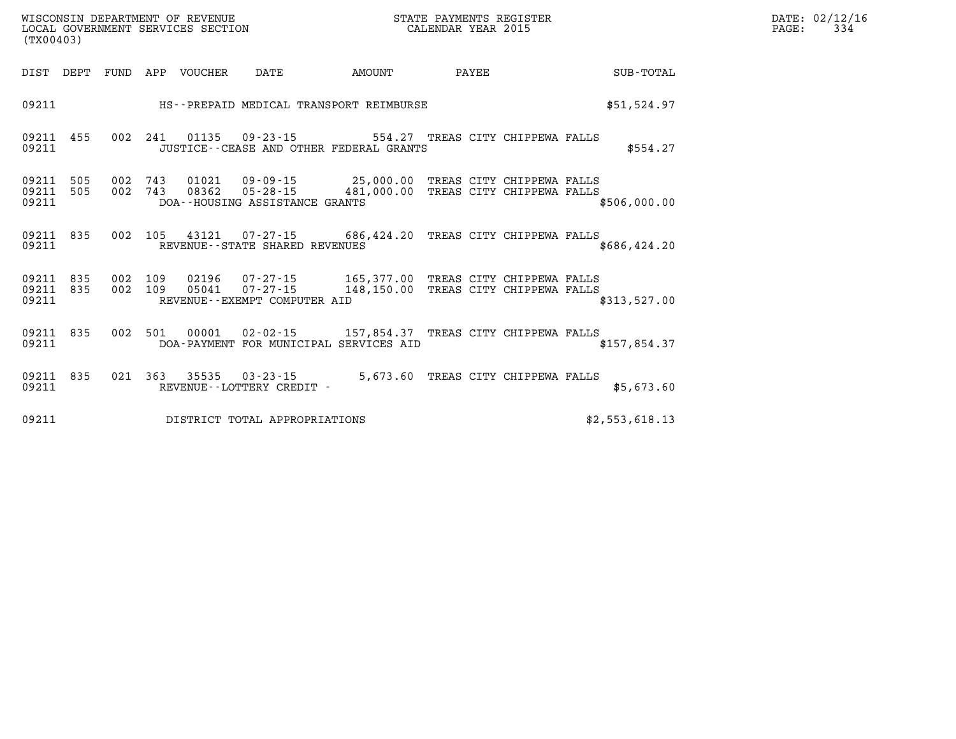| DATE:             | 02/12/16 |
|-------------------|----------|
| $\mathtt{PAGE}$ : | 334      |

| (TX00403)               |            |            | WISCONSIN DEPARTMENT OF REVENUE<br>LOCAL GOVERNMENT SERVICES SECTION |                                                                | STATE PAYMENTS REGISTER<br>CALENDAR YEAR 2015                       |                                                        |  |                |  |
|-------------------------|------------|------------|----------------------------------------------------------------------|----------------------------------------------------------------|---------------------------------------------------------------------|--------------------------------------------------------|--|----------------|--|
| DIST                    | DEPT       | FUND       | APP<br>VOUCHER                                                       | DATE                                                           | AMOUNT                                                              | PAYEE                                                  |  | SUB-TOTAL      |  |
| 09211                   |            |            |                                                                      |                                                                | HS--PREPAID MEDICAL TRANSPORT REIMBURSE                             |                                                        |  | \$51,524.97    |  |
| 09211<br>09211          | 455        | 002        | 241<br>01135                                                         | $09 - 23 - 15$                                                 | 554.27<br>JUSTICE -- CEASE AND OTHER FEDERAL GRANTS                 | TREAS CITY CHIPPEWA FALLS                              |  | \$554.27       |  |
| 09211<br>09211<br>09211 | 505<br>505 | 002<br>002 | 743<br>08362<br>743                                                  | $01021$ $09-09-15$ 25,000.00<br>DOA--HOUSING ASSISTANCE GRANTS | $05 - 28 - 15$ 481,000.00                                           | TREAS CITY CHIPPEWA FALLS<br>TREAS CITY CHIPPEWA FALLS |  | \$506,000.00   |  |
| 09211<br>09211          | 835        | 002        | 105                                                                  | 43121<br>REVENUE - - STATE SHARED REVENUES                     | $07 - 27 - 15$ 686,424.20                                           | TREAS CITY CHIPPEWA FALLS                              |  | \$686,424.20   |  |
| 09211<br>09211<br>09211 | 835<br>835 | 002<br>002 | 109<br>02196<br>109<br>05041                                         | $07 - 27 - 15$<br>REVENUE--EXEMPT COMPUTER AID                 | $07 - 27 - 15$ 165,377.00<br>148,150.00                             | TREAS CITY CHIPPEWA FALLS<br>TREAS CITY CHIPPEWA FALLS |  | \$313,527.00   |  |
| 09211<br>09211          | 835        | 002        | 501<br>00001                                                         |                                                                | $02 - 02 - 15$ 157,854.37<br>DOA-PAYMENT FOR MUNICIPAL SERVICES AID | TREAS CITY CHIPPEWA FALLS                              |  | \$157,854.37   |  |
| 09211<br>09211          | 835        | 021        | 363<br>35535                                                         | $03 - 23 - 15$<br>REVENUE - - LOTTERY CREDIT -                 | 5,673.60                                                            | TREAS CITY CHIPPEWA FALLS                              |  | \$5,673.60     |  |
| 09211                   |            |            |                                                                      | DISTRICT TOTAL APPROPRIATIONS                                  |                                                                     |                                                        |  | \$2,553,618.13 |  |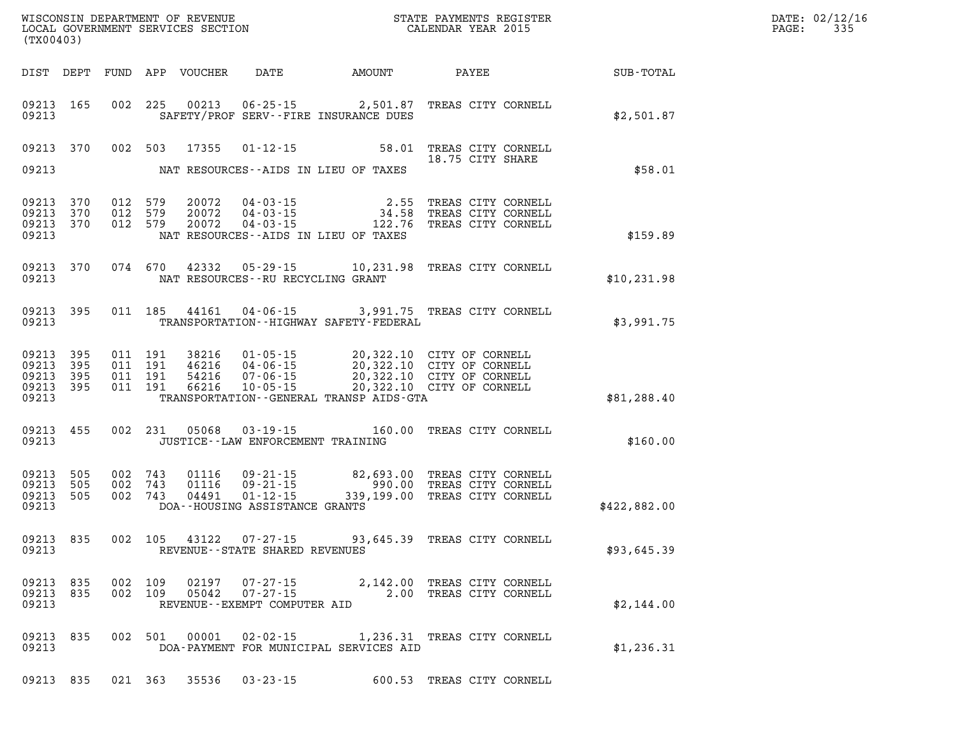| WISCONSIN DEPARTMENT OF REVENUE<br>LOCAL GOVERNMENT SERVICES SECTION<br>(TX00403) |                                                       |                   |                       |                                      |                                  |                                                                                      |                                                                   | STATE PAYMENTS REGISTER<br>CALENDAR YEAR 2015                                                                    |              | DATE: 02/12/16<br>335<br>PAGE: |
|-----------------------------------------------------------------------------------|-------------------------------------------------------|-------------------|-----------------------|--------------------------------------|----------------------------------|--------------------------------------------------------------------------------------|-------------------------------------------------------------------|------------------------------------------------------------------------------------------------------------------|--------------|--------------------------------|
|                                                                                   | DIST DEPT                                             |                   |                       |                                      | FUND APP VOUCHER                 | DATE                                                                                 | AMOUNT                                                            | PAYEE                                                                                                            | SUB-TOTAL    |                                |
|                                                                                   | 09213 165<br>09213                                    |                   |                       | 002 225                              | 00213                            |                                                                                      | $06 - 25 - 15$ 2,501.87<br>SAFETY/PROF SERV--FIRE INSURANCE DUES  | TREAS CITY CORNELL                                                                                               | \$2,501.87   |                                |
|                                                                                   | 09213 370                                             |                   |                       | 002 503                              | 17355                            | $01 - 12 - 15$                                                                       | 58.01                                                             | TREAS CITY CORNELL<br>18.75 CITY SHARE                                                                           |              |                                |
|                                                                                   | 09213                                                 |                   |                       |                                      |                                  |                                                                                      | NAT RESOURCES--AIDS IN LIEU OF TAXES                              |                                                                                                                  | \$58.01      |                                |
|                                                                                   | 09213<br>09213<br>09213<br>09213                      | 370<br>370<br>370 | 012 579<br>012<br>012 | 579<br>579                           | 20072<br>20072<br>20072          | $04 - 03 - 15$<br>$04 - 03 - 15$<br>$04 - 03 - 15$                                   | 2.55<br>34.58<br>122.76<br>NAT RESOURCES -- AIDS IN LIEU OF TAXES | TREAS CITY CORNELL<br>TREAS CITY CORNELL<br>TREAS CITY CORNELL                                                   | \$159.89     |                                |
|                                                                                   | 09213 370<br>09213                                    |                   |                       | 074 670                              | 42332                            | $05 - 29 - 15$<br>NAT RESOURCES -- RU RECYCLING GRANT                                |                                                                   | 10,231.98 TREAS CITY CORNELL                                                                                     | \$10, 231.98 |                                |
|                                                                                   | 09213 395<br>09213                                    |                   |                       | 011 185                              | 44161                            | 04-06-15                                                                             | TRANSPORTATION - - HIGHWAY SAFETY - FEDERAL                       | 3,991.75 TREAS CITY CORNELL                                                                                      | \$3,991.75   |                                |
|                                                                                   | 09213 395<br>09213 395<br>09213<br>09213 395<br>09213 | 395               | 011                   | 011 191<br>011 191<br>191<br>011 191 | 38216<br>46216<br>54216<br>66216 | $01 - 05 - 15$<br>$04 - 06 - 15$<br>$07 - 06 - 15$<br>$10 - 05 - 15$                 | TRANSPORTATION - - GENERAL TRANSP AIDS-GTA                        | 20,322.10 CITY OF CORNELL<br>20,322.10 CITY OF CORNELL<br>20,322.10 CITY OF CORNELL<br>20,322.10 CITY OF CORNELL | \$81, 288.40 |                                |
|                                                                                   | 09213 455<br>09213                                    |                   |                       | 002 231                              | 05068                            | $03 - 19 - 15$<br>JUSTICE - - LAW ENFORCEMENT TRAINING                               | 160.00                                                            | TREAS CITY CORNELL                                                                                               | \$160.00     |                                |
|                                                                                   | 09213 505<br>09213<br>09213<br>09213                  | 505<br>505        | 002 743<br>002<br>002 | 743<br>743                           | 01116<br>01116<br>04491          | $09 - 21 - 15$<br>$09 - 21 - 15$<br>$01 - 12 - 15$<br>DOA--HOUSING ASSISTANCE GRANTS | 82,693.00<br>990.00<br>339,199.00                                 | TREAS CITY CORNELL<br>TREAS CITY CORNELL<br>TREAS CITY CORNELL                                                   | \$422,882.00 |                                |
|                                                                                   | 09213 835<br>09213                                    |                   |                       | 002 105                              | 43122                            | $07 - 27 - 15$<br>REVENUE - - STATE SHARED REVENUES                                  |                                                                   | 93,645.39 TREAS CITY CORNELL                                                                                     | \$93,645.39  |                                |
|                                                                                   | 09213 835<br>09213 835<br>09213                       |                   |                       | 002 109<br>002 109                   | 02197<br>05042                   | $07 - 27 - 15$<br>$07 - 27 - 15$<br>REVENUE--EXEMPT COMPUTER AID                     |                                                                   | 2,142.00 TREAS CITY CORNELL<br>2.00 TREAS CITY CORNELL                                                           | \$2,144.00   |                                |
|                                                                                   | 09213 835<br>09213                                    |                   |                       | 002 501                              | 00001                            | 02-02-15                                                                             | DOA-PAYMENT FOR MUNICIPAL SERVICES AID                            | 1,236.31 TREAS CITY CORNELL                                                                                      | \$1,236.31   |                                |
|                                                                                   | 09213 835                                             |                   |                       |                                      | 021 363 35536                    | $03 - 23 - 15$                                                                       |                                                                   | 600.53 TREAS CITY CORNELL                                                                                        |              |                                |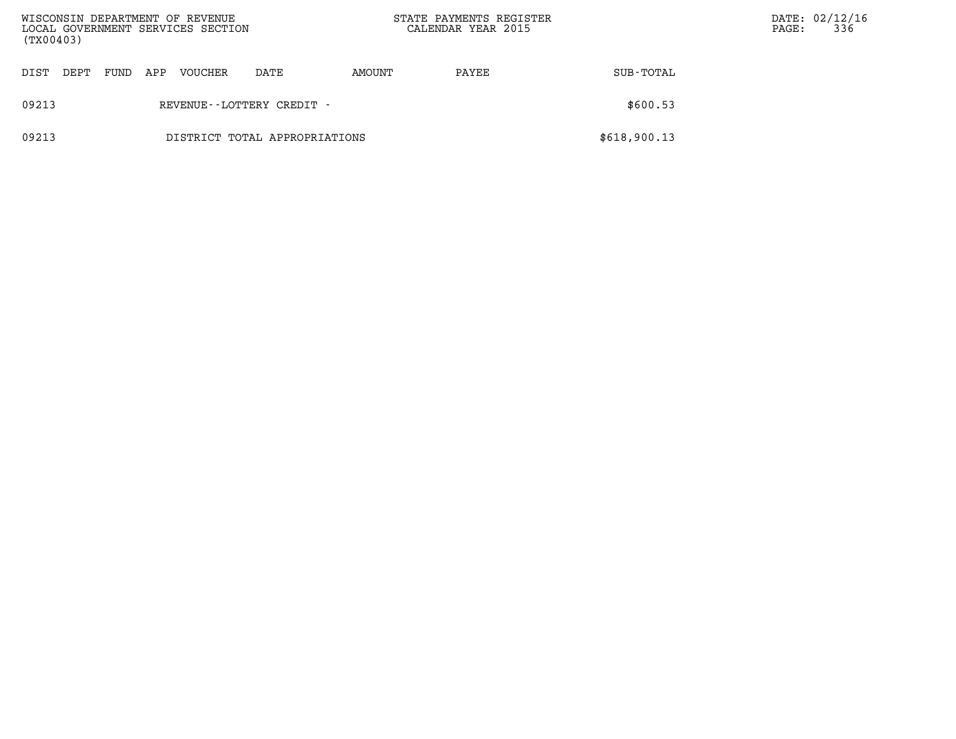| WISCONSIN DEPARTMENT OF REVENUE<br>LOCAL GOVERNMENT SERVICES SECTION<br>(TX00403) |      |     |                |                               |        | STATE PAYMENTS REGISTER<br>CALENDAR YEAR 2015 |              | PAGE: | DATE: 02/12/16<br>336 |
|-----------------------------------------------------------------------------------|------|-----|----------------|-------------------------------|--------|-----------------------------------------------|--------------|-------|-----------------------|
| DEPT<br>DIST                                                                      | FUND | APP | <b>VOUCHER</b> | DATE                          | AMOUNT | PAYEE                                         | SUB-TOTAL    |       |                       |
| 09213                                                                             |      |     |                | REVENUE - - LOTTERY CREDIT -  |        |                                               | \$600.53     |       |                       |
| 09213                                                                             |      |     |                | DISTRICT TOTAL APPROPRIATIONS |        |                                               | \$618,900.13 |       |                       |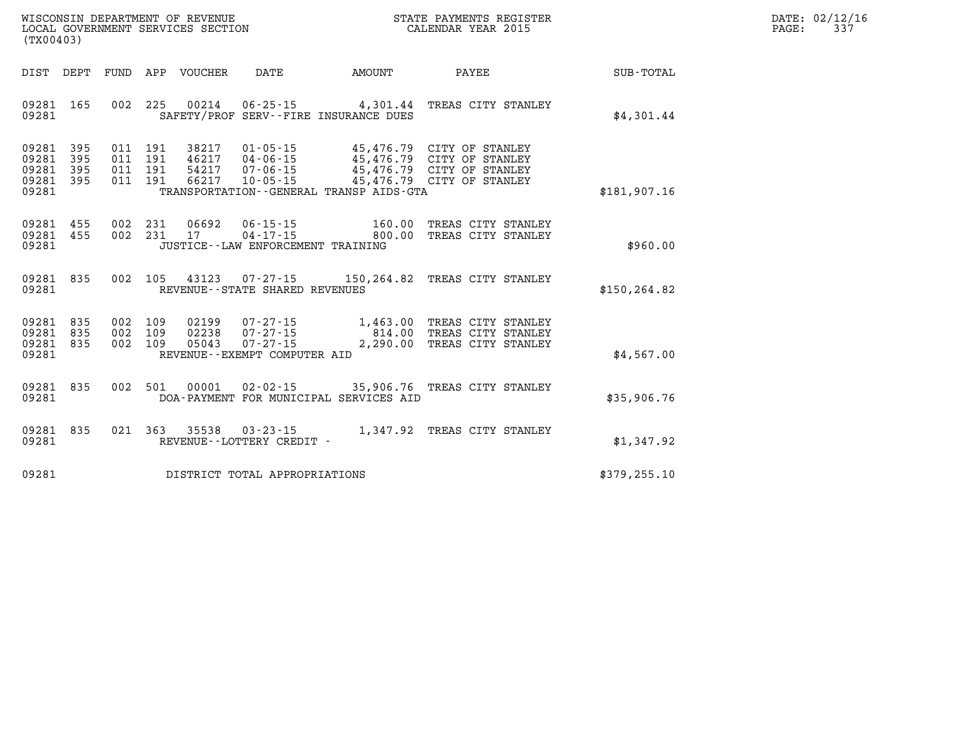| DATE:             | 02/12/16 |
|-------------------|----------|
| $\mathtt{PAGE}$ : | 337      |

| (TX00403)                                                                                  |                                                                                                                                                                      |                          |                                                                                                                  |                  |
|--------------------------------------------------------------------------------------------|----------------------------------------------------------------------------------------------------------------------------------------------------------------------|--------------------------|------------------------------------------------------------------------------------------------------------------|------------------|
| FUND<br>DIST<br>DEPT                                                                       | APP<br>VOUCHER<br><b>DATE</b>                                                                                                                                        | AMOUNT                   | PAYEE                                                                                                            | <b>SUB-TOTAL</b> |
| 165<br>002<br>09281<br>09281                                                               | 225<br>00214<br>SAFETY/PROF SERV--FIRE INSURANCE DUES                                                                                                                |                          | 06-25-15 4,301.44 TREAS CITY STANLEY                                                                             | \$4,301.44       |
| 09281<br>395<br>011<br>09281<br>395<br>09281<br>395<br>011<br>011<br>09281<br>395<br>09281 | 191<br>38217<br>$01 - 05 - 15$<br>011 191<br>46217 04-06-15<br>$07 - 06 - 15$<br>191<br>54217<br>191<br>66217<br>10-05-15<br>TRANSPORTATION--GENERAL TRANSP AIDS-GTA |                          | 45,476.79 CITY OF STANLEY<br>45,476.79 CITY OF STANLEY<br>45,476.79 CITY OF STANLEY<br>45,476.79 CITY OF STANLEY | \$181,907.16     |
| 002<br>09281<br>455<br>002<br>09281<br>455<br>09281                                        | 231<br>06692<br>$06 - 15 - 15$<br>231<br>$04 - 17 - 15$<br>17<br>JUSTICE - - LAW ENFORCEMENT TRAINING                                                                | 160.00<br>800.00         | TREAS CITY STANLEY<br>TREAS CITY STANLEY                                                                         | \$960.00         |
| 09281<br>835<br>002<br>09281                                                               | 105<br>REVENUE--STATE SHARED REVENUES                                                                                                                                |                          | 43123  07-27-15  150,264.82  TREAS CITY STANLEY                                                                  | \$150, 264.82    |
| 09281<br>835<br>09281<br>002<br>835<br>09281<br>002<br>835<br>09281                        | 002 109<br>02199<br>07-27-15<br>$07 - 27 - 15$<br>109<br>02238<br>$07 - 27 - 15$<br>109<br>05043<br>REVENUE--EXEMPT COMPUTER AID                                     | 814.00<br>2,290.00       | 1,463.00 TREAS CITY STANLEY<br>TREAS CITY STANLEY<br>TREAS CITY STANLEY                                          | \$4,567.00       |
| 002<br>09281<br>835<br>09281                                                               | 501<br>00001<br>DOA-PAYMENT FOR MUNICIPAL SERVICES AID                                                                                                               | $02 - 02 - 15$ 35,906.76 | TREAS CITY STANLEY                                                                                               | \$35,906.76      |
| 835<br>021<br>09281<br>09281                                                               | 363<br>35538<br>REVENUE--LOTTERY CREDIT -                                                                                                                            |                          | 03-23-15 1,347.92 TREAS CITY STANLEY                                                                             | \$1,347.92       |
| 09281                                                                                      | DISTRICT TOTAL APPROPRIATIONS                                                                                                                                        |                          |                                                                                                                  | \$379, 255.10    |

WISCONSIN DEPARTMENT OF REVENUE **STATE PAYMENTS REGISTER**<br>LOCAL GOVERNMENT SERVICES SECTION

LOCAL GOVERNMENT SERVICES SECTION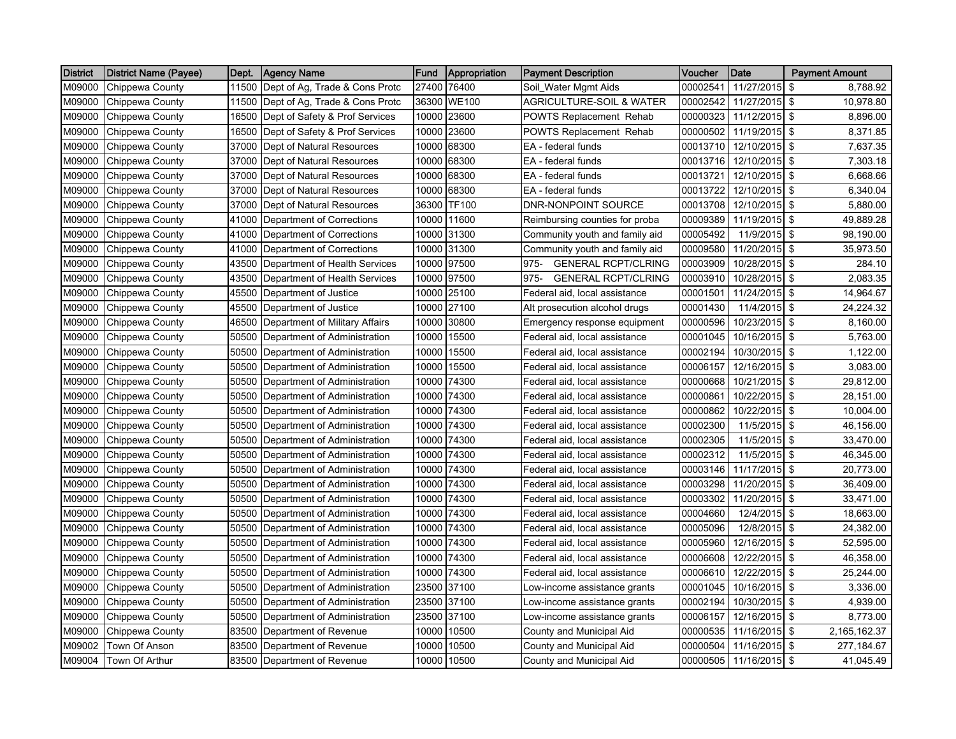| <b>District</b> | District Name (Payee) | Dept. | <b>Agency Name</b>             | <b>Fund</b> | <b>Appropriation</b> | <b>Payment Description</b>          | Voucher  | Date          | <b>Payment Amount</b>      |
|-----------------|-----------------------|-------|--------------------------------|-------------|----------------------|-------------------------------------|----------|---------------|----------------------------|
| M09000          | Chippewa County       | 11500 | Dept of Ag, Trade & Cons Protc | 27400       | 76400                | Soil_Water Mgmt Aids                | 00002541 | 11/27/2015    | \$<br>8,788.92             |
| M09000          | Chippewa County       | 11500 | Dept of Ag, Trade & Cons Protc | 36300       | <b>WE100</b>         | <b>AGRICULTURE-SOIL &amp; WATER</b> | 00002542 | 11/27/2015    | \$<br>10,978.80            |
| M09000          | Chippewa County       | 16500 | Dept of Safety & Prof Services | 10000       | 23600                | <b>POWTS Replacement Rehab</b>      | 00000323 | 11/12/2015 \$ | 8,896.00                   |
| M09000          | Chippewa County       | 16500 | Dept of Safety & Prof Services | 10000       | 23600                | POWTS Replacement Rehab             | 00000502 | 11/19/2015    | \$<br>8,371.85             |
| M09000          | Chippewa County       | 37000 | Dept of Natural Resources      | 10000       | 68300                | EA - federal funds                  | 00013710 | 12/10/2015 \$ | 7,637.35                   |
| M09000          | Chippewa County       | 37000 | Dept of Natural Resources      | 10000       | 68300                | EA - federal funds                  | 00013716 | 12/10/2015 \$ | 7,303.18                   |
| M09000          | Chippewa County       | 37000 | Dept of Natural Resources      | 10000       | 68300                | EA - federal funds                  | 00013721 | 12/10/2015 \$ | 6,668.66                   |
| M09000          | Chippewa County       | 37000 | Dept of Natural Resources      | 10000       | 68300                | EA - federal funds                  | 00013722 | 12/10/2015 \$ | 6,340.04                   |
| M09000          | Chippewa County       | 37000 | Dept of Natural Resources      | 36300       | <b>TF100</b>         | DNR-NONPOINT SOURCE                 | 00013708 | 12/10/2015    | -\$<br>5,880.00            |
| M09000          | Chippewa County       | 41000 | Department of Corrections      | 10000       | 11600                | Reimbursing counties for proba      | 00009389 | 11/19/2015    | \$<br>49,889.28            |
| M09000          | Chippewa County       | 41000 | Department of Corrections      | 10000       | 31300                | Community youth and family aid      | 00005492 | 11/9/2015     | \$<br>98,190.00            |
| M09000          | Chippewa County       | 41000 | Department of Corrections      | 10000       | 31300                | Community youth and family aid      | 00009580 | 11/20/2015    | \$<br>35,973.50            |
| M09000          | Chippewa County       | 43500 | Department of Health Services  | 10000       | 97500                | <b>GENERAL RCPT/CLRING</b><br>975-  | 00003909 | 10/28/2015    | -\$<br>284.10              |
| M09000          | Chippewa County       | 43500 | Department of Health Services  | 10000       | 97500                | 975-<br><b>GENERAL RCPT/CLRING</b>  | 00003910 | 10/28/2015    | \$<br>2,083.35             |
| M09000          | Chippewa County       | 45500 | Department of Justice          | 10000       | 25100                | Federal aid, local assistance       | 00001501 | 11/24/2015    | \$<br>14,964.67            |
| M09000          | Chippewa County       | 45500 | Department of Justice          | 10000       | 27100                | Alt prosecution alcohol drugs       | 00001430 | 11/4/2015     | \$<br>24,224.32            |
| M09000          | Chippewa County       | 46500 | Department of Military Affairs | 10000       | 30800                | Emergency response equipment        | 00000596 | 10/23/2015 \$ | 8,160.00                   |
| M09000          | Chippewa County       | 50500 | Department of Administration   | 10000       | 15500                | Federal aid, local assistance       | 00001045 | 10/16/2015    | \$<br>5,763.00             |
| M09000          | Chippewa County       | 50500 | Department of Administration   | 10000       | 15500                | Federal aid, local assistance       | 00002194 | 10/30/2015    | \$<br>1,122.00             |
| M09000          | Chippewa County       | 50500 | Department of Administration   | 10000       | 15500                | Federal aid, local assistance       | 00006157 | 12/16/2015 \$ | 3.083.00                   |
| M09000          | Chippewa County       | 50500 | Department of Administration   | 10000       | 74300                | Federal aid, local assistance       | 00000668 | 10/21/2015    | \$<br>29,812.00            |
| M09000          | Chippewa County       | 50500 | Department of Administration   | 10000       | 74300                | Federal aid, local assistance       | 00000861 | 10/22/2015 \$ | 28,151.00                  |
| M09000          | Chippewa County       | 50500 | Department of Administration   | 10000       | 74300                | Federal aid, local assistance       | 00000862 | 10/22/2015 \$ | 10,004.00                  |
| M09000          | Chippewa County       | 50500 | Department of Administration   | 10000       | 74300                | Federal aid, local assistance       | 00002300 | 11/5/2015     | \$<br>46,156.00            |
| M09000          | Chippewa County       | 50500 | Department of Administration   | 10000       | 74300                | Federal aid, local assistance       | 00002305 | 11/5/2015     | \$<br>33,470.00            |
| M09000          | Chippewa County       | 50500 | Department of Administration   | 10000       | 74300                | Federal aid, local assistance       | 00002312 | 11/5/2015     | \$<br>46,345.00            |
| M09000          | Chippewa County       | 50500 | Department of Administration   | 10000       | 74300                | Federal aid, local assistance       | 00003146 | 11/17/2015    | \$<br>20,773.00            |
| M09000          | Chippewa County       | 50500 | Department of Administration   | 10000       | 74300                | Federal aid, local assistance       | 00003298 | 11/20/2015    | $\sqrt[6]{2}$<br>36,409.00 |
| M09000          | Chippewa County       | 50500 | Department of Administration   | 10000       | 74300                | Federal aid, local assistance       | 00003302 | 11/20/2015    | \$<br>33,471.00            |
| M09000          | Chippewa County       | 50500 | Department of Administration   | 10000       | 74300                | Federal aid, local assistance       | 00004660 | 12/4/2015 \$  | 18,663.00                  |
| M09000          | Chippewa County       | 50500 | Department of Administration   | 10000       | 74300                | Federal aid, local assistance       | 00005096 | 12/8/2015     | \$<br>24,382.00            |
| M09000          | Chippewa County       | 50500 | Department of Administration   | 10000       | 74300                | Federal aid, local assistance       | 00005960 | 12/16/2015 \$ | 52,595.00                  |
| M09000          | Chippewa County       | 50500 | Department of Administration   | 10000       | 74300                | Federal aid, local assistance       | 00006608 | 12/22/2015 \$ | 46,358.00                  |
| M09000          | Chippewa County       | 50500 | Department of Administration   | 10000       | 74300                | Federal aid, local assistance       | 00006610 | 12/22/2015    | \$<br>25,244.00            |
| M09000          | Chippewa County       | 50500 | Department of Administration   | 23500       | 37100                | Low-income assistance grants        | 00001045 | 10/16/2015    | \$<br>3,336.00             |
| M09000          | Chippewa County       | 50500 | Department of Administration   | 23500       | 37100                | Low-income assistance grants        | 00002194 | 10/30/2015    | \$<br>4,939.00             |
| M09000          | Chippewa County       | 50500 | Department of Administration   | 23500       | 37100                | Low-income assistance grants        | 00006157 | 12/16/2015    | \$<br>8,773.00             |
| M09000          | Chippewa County       | 83500 | Department of Revenue          | 10000       | 10500                | County and Municipal Aid            | 00000535 | 11/16/2015    | \$<br>2,165,162.37         |
| M09002          | Town Of Anson         | 83500 | Department of Revenue          | 10000       | 10500                | County and Municipal Aid            | 00000504 | 11/16/2015    | \$<br>277,184.67           |
| M09004          | <b>Town Of Arthur</b> | 83500 | Department of Revenue          |             | 10000 10500          | County and Municipal Aid            | 00000505 | 11/16/2015 \$ | 41,045.49                  |